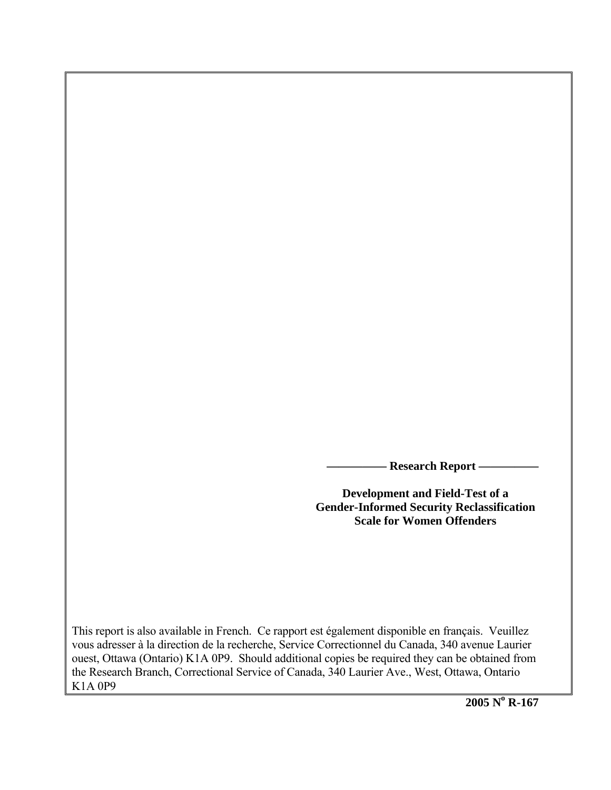**Research Report -**

**Development and Field-Test of a Gender-Informed Security Reclassification Scale for Women Offenders** 

This report is also available in French. Ce rapport est également disponible en français. Veuillez vous adresser à la direction de la recherche, Service Correctionnel du Canada, 340 avenue Laurier ouest, Ottawa (Ontario) K1A 0P9. Should additional copies be required they can be obtained from the Research Branch, Correctional Service of Canada, 340 Laurier Ave., West, Ottawa, Ontario K1A 0P9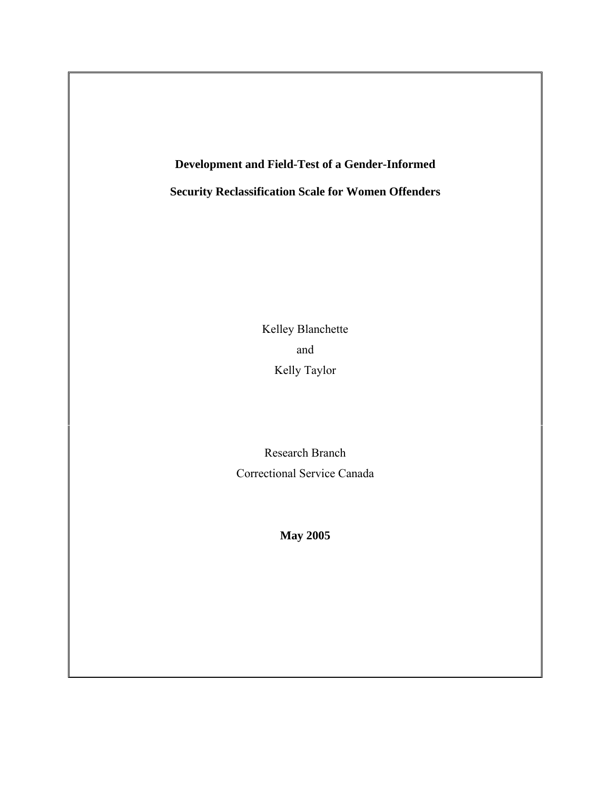**Development and Field-Test of a Gender-Informed** 

**Security Reclassification Scale for Women Offenders**

Kelley Blanchette and Kelly Taylor

Research Branch Correctional Service Canada

**May 2005**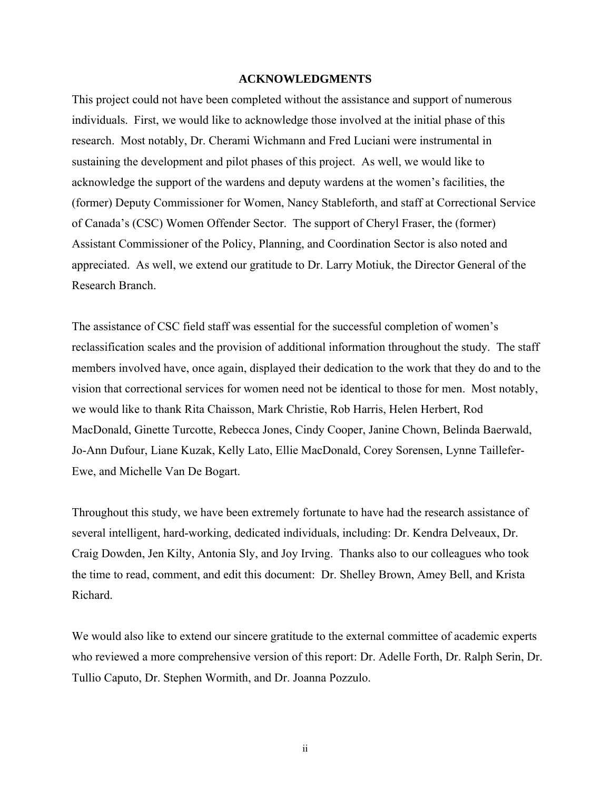#### **ACKNOWLEDGMENTS**

<span id="page-2-0"></span>This project could not have been completed without the assistance and support of numerous individuals. First, we would like to acknowledge those involved at the initial phase of this research. Most notably, Dr. Cherami Wichmann and Fred Luciani were instrumental in sustaining the development and pilot phases of this project. As well, we would like to acknowledge the support of the wardens and deputy wardens at the women's facilities, the (former) Deputy Commissioner for Women, Nancy Stableforth, and staff at Correctional Service of Canada's (CSC) Women Offender Sector. The support of Cheryl Fraser, the (former) Assistant Commissioner of the Policy, Planning, and Coordination Sector is also noted and appreciated. As well, we extend our gratitude to Dr. Larry Motiuk, the Director General of the Research Branch.

The assistance of CSC field staff was essential for the successful completion of women's reclassification scales and the provision of additional information throughout the study. The staff members involved have, once again, displayed their dedication to the work that they do and to the vision that correctional services for women need not be identical to those for men. Most notably, we would like to thank Rita Chaisson, Mark Christie, Rob Harris, Helen Herbert, Rod MacDonald, Ginette Turcotte, Rebecca Jones, Cindy Cooper, Janine Chown, Belinda Baerwald, Jo-Ann Dufour, Liane Kuzak, Kelly Lato, Ellie MacDonald, Corey Sorensen, Lynne Taillefer-Ewe, and Michelle Van De Bogart.

Throughout this study, we have been extremely fortunate to have had the research assistance of several intelligent, hard-working, dedicated individuals, including: Dr. Kendra Delveaux, Dr. Craig Dowden, Jen Kilty, Antonia Sly, and Joy Irving. Thanks also to our colleagues who took the time to read, comment, and edit this document: Dr. Shelley Brown, Amey Bell, and Krista Richard.

We would also like to extend our sincere gratitude to the external committee of academic experts who reviewed a more comprehensive version of this report: Dr. Adelle Forth, Dr. Ralph Serin, Dr. Tullio Caputo, Dr. Stephen Wormith, and Dr. Joanna Pozzulo.

ii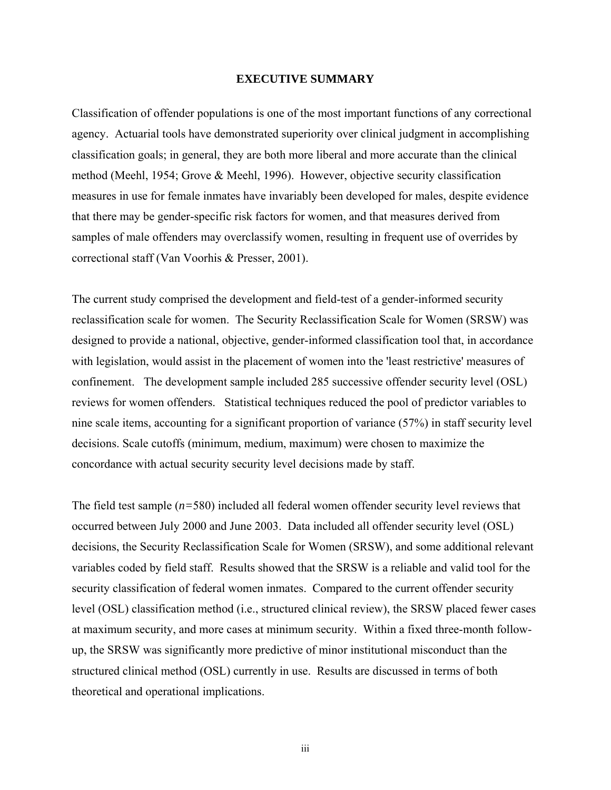#### **EXECUTIVE SUMMARY**

<span id="page-3-0"></span>Classification of offender populations is one of the most important functions of any correctional agency. Actuarial tools have demonstrated superiority over clinical judgment in accomplishing classification goals; in general, they are both more liberal and more accurate than the clinical method (Meehl, 1954; Grove & Meehl, 1996). However, objective security classification measures in use for female inmates have invariably been developed for males, despite evidence that there may be gender-specific risk factors for women, and that measures derived from samples of male offenders may overclassify women, resulting in frequent use of overrides by correctional staff (Van Voorhis & Presser, 2001).

The current study comprised the development and field-test of a gender-informed security reclassification scale for women. The Security Reclassification Scale for Women (SRSW) was designed to provide a national, objective, gender-informed classification tool that, in accordance with legislation, would assist in the placement of women into the 'least restrictive' measures of confinement. The development sample included 285 successive offender security level (OSL) reviews for women offenders. Statistical techniques reduced the pool of predictor variables to nine scale items, accounting for a significant proportion of variance (57%) in staff security level decisions. Scale cutoffs (minimum, medium, maximum) were chosen to maximize the concordance with actual security security level decisions made by staff.

The field test sample (*n=*580) included all federal women offender security level reviews that occurred between July 2000 and June 2003. Data included all offender security level (OSL) decisions, the Security Reclassification Scale for Women (SRSW), and some additional relevant variables coded by field staff. Results showed that the SRSW is a reliable and valid tool for the security classification of federal women inmates. Compared to the current offender security level (OSL) classification method (i.e., structured clinical review), the SRSW placed fewer cases at maximum security, and more cases at minimum security. Within a fixed three-month followup, the SRSW was significantly more predictive of minor institutional misconduct than the structured clinical method (OSL) currently in use. Results are discussed in terms of both theoretical and operational implications.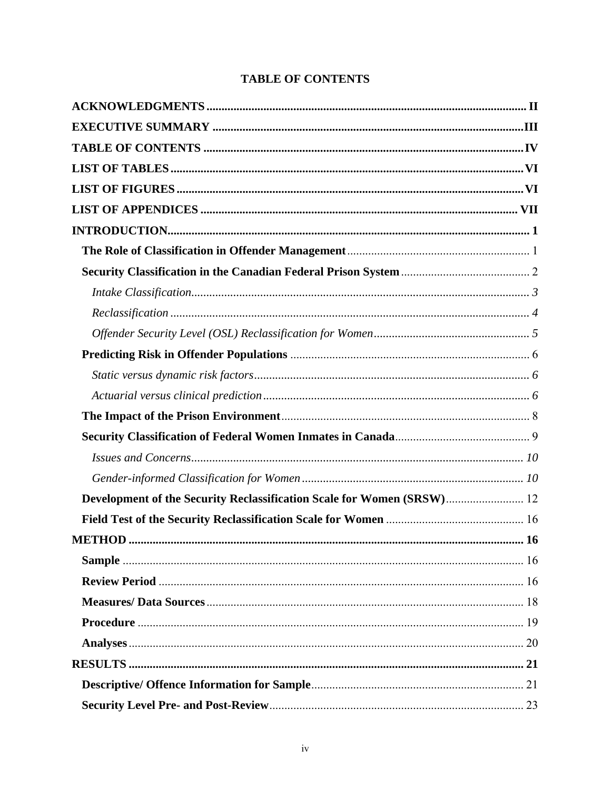# **TABLE OF CONTENTS**

<span id="page-4-0"></span>

| Development of the Security Reclassification Scale for Women (SRSW) 12 |  |
|------------------------------------------------------------------------|--|
|                                                                        |  |
|                                                                        |  |
|                                                                        |  |
|                                                                        |  |
|                                                                        |  |
|                                                                        |  |
|                                                                        |  |
|                                                                        |  |
|                                                                        |  |
|                                                                        |  |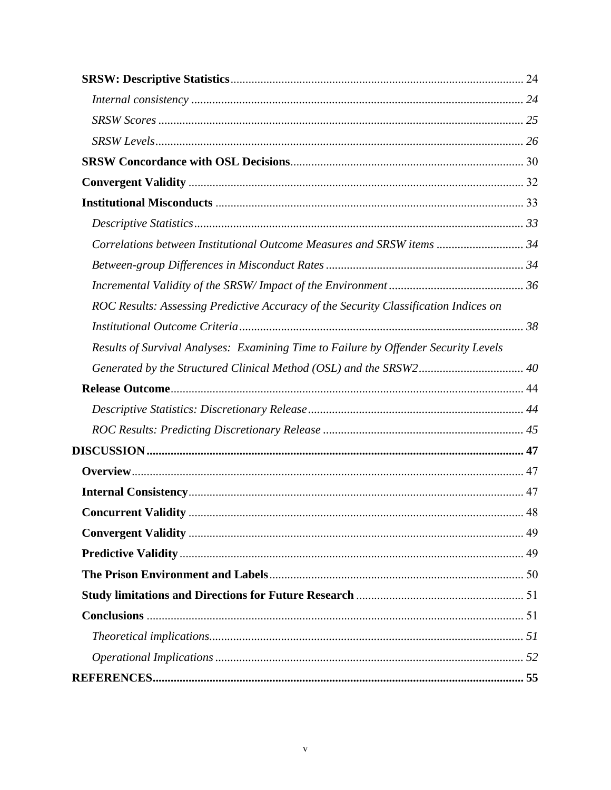| Correlations between Institutional Outcome Measures and SRSW items  34               |  |
|--------------------------------------------------------------------------------------|--|
|                                                                                      |  |
|                                                                                      |  |
| ROC Results: Assessing Predictive Accuracy of the Security Classification Indices on |  |
|                                                                                      |  |
| Results of Survival Analyses: Examining Time to Failure by Offender Security Levels  |  |
|                                                                                      |  |
|                                                                                      |  |
|                                                                                      |  |
|                                                                                      |  |
|                                                                                      |  |
|                                                                                      |  |
|                                                                                      |  |
|                                                                                      |  |
|                                                                                      |  |
|                                                                                      |  |
|                                                                                      |  |
|                                                                                      |  |
|                                                                                      |  |
|                                                                                      |  |
|                                                                                      |  |
|                                                                                      |  |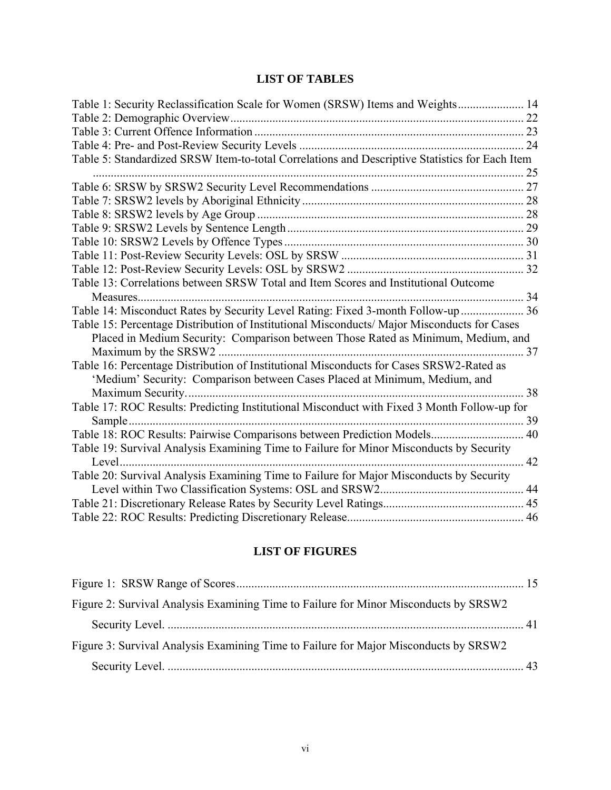# **LIST OF TABLES**

<span id="page-6-0"></span>

| Table 1: Security Reclassification Scale for Women (SRSW) Items and Weights 14                 |    |
|------------------------------------------------------------------------------------------------|----|
|                                                                                                |    |
|                                                                                                |    |
|                                                                                                |    |
| Table 5: Standardized SRSW Item-to-total Correlations and Descriptive Statistics for Each Item |    |
|                                                                                                | 25 |
|                                                                                                |    |
|                                                                                                |    |
|                                                                                                |    |
|                                                                                                |    |
|                                                                                                |    |
|                                                                                                |    |
|                                                                                                |    |
| Table 13: Correlations between SRSW Total and Item Scores and Institutional Outcome            |    |
| 34                                                                                             |    |
| Table 14: Misconduct Rates by Security Level Rating: Fixed 3-month Follow-up  36               |    |
| Table 15: Percentage Distribution of Institutional Misconducts/ Major Misconducts for Cases    |    |
| Placed in Medium Security: Comparison between Those Rated as Minimum, Medium, and              |    |
| . 37                                                                                           |    |
| Table 16: Percentage Distribution of Institutional Misconducts for Cases SRSW2-Rated as        |    |
| 'Medium' Security: Comparison between Cases Placed at Minimum, Medium, and                     |    |
|                                                                                                |    |
| Table 17: ROC Results: Predicting Institutional Misconduct with Fixed 3 Month Follow-up for    |    |
| Sample                                                                                         |    |
| Table 18: ROC Results: Pairwise Comparisons between Prediction Models 40                       |    |
| Table 19: Survival Analysis Examining Time to Failure for Minor Misconducts by Security        |    |
|                                                                                                | 42 |
| Table 20: Survival Analysis Examining Time to Failure for Major Misconducts by Security        |    |
|                                                                                                |    |
|                                                                                                |    |
|                                                                                                |    |

# **LIST OF FIGURES**

| Figure 2: Survival Analysis Examining Time to Failure for Minor Misconducts by SRSW2 |  |
|--------------------------------------------------------------------------------------|--|
|                                                                                      |  |
| Figure 3: Survival Analysis Examining Time to Failure for Major Misconducts by SRSW2 |  |
|                                                                                      |  |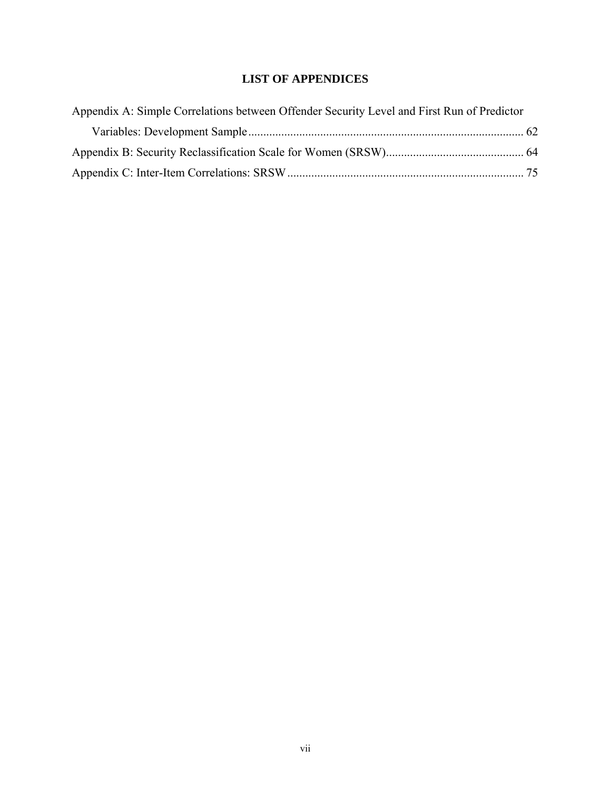# **LIST OF APPENDICES**

<span id="page-7-0"></span>

| Appendix A: Simple Correlations between Offender Security Level and First Run of Predictor |  |
|--------------------------------------------------------------------------------------------|--|
|                                                                                            |  |
|                                                                                            |  |
|                                                                                            |  |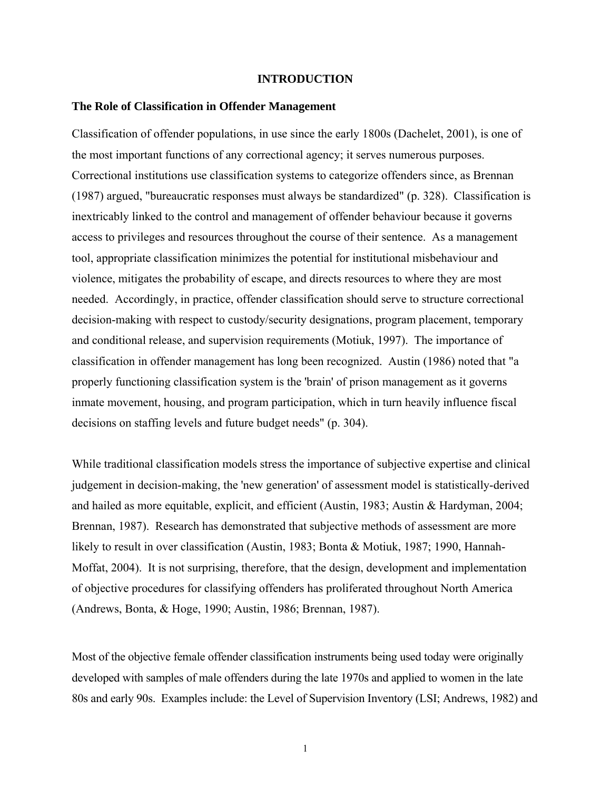#### **INTRODUCTION**

#### <span id="page-8-0"></span>**The Role of Classification in Offender Management**

Classification of offender populations, in use since the early 1800s (Dachelet, 2001), is one of the most important functions of any correctional agency; it serves numerous purposes. Correctional institutions use classification systems to categorize offenders since, as Brennan (1987) argued, "bureaucratic responses must always be standardized" (p. 328). Classification is inextricably linked to the control and management of offender behaviour because it governs access to privileges and resources throughout the course of their sentence. As a management tool, appropriate classification minimizes the potential for institutional misbehaviour and violence, mitigates the probability of escape, and directs resources to where they are most needed. Accordingly, in practice, offender classification should serve to structure correctional decision-making with respect to custody/security designations, program placement, temporary and conditional release, and supervision requirements (Motiuk, 1997). The importance of classification in offender management has long been recognized. Austin (1986) noted that "a properly functioning classification system is the 'brain' of prison management as it governs inmate movement, housing, and program participation, which in turn heavily influence fiscal decisions on staffing levels and future budget needs" (p. 304).

While traditional classification models stress the importance of subjective expertise and clinical judgement in decision-making, the 'new generation' of assessment model is statistically-derived and hailed as more equitable, explicit, and efficient (Austin, 1983; Austin & Hardyman, 2004; Brennan, 1987). Research has demonstrated that subjective methods of assessment are more likely to result in over classification (Austin, 1983; Bonta & Motiuk, 1987; 1990, Hannah-Moffat, 2004). It is not surprising, therefore, that the design, development and implementation of objective procedures for classifying offenders has proliferated throughout North America (Andrews, Bonta, & Hoge, 1990; Austin, 1986; Brennan, 1987).

Most of the objective female offender classification instruments being used today were originally developed with samples of male offenders during the late 1970s and applied to women in the late 80s and early 90s. Examples include: the Level of Supervision Inventory (LSI; Andrews, 1982) and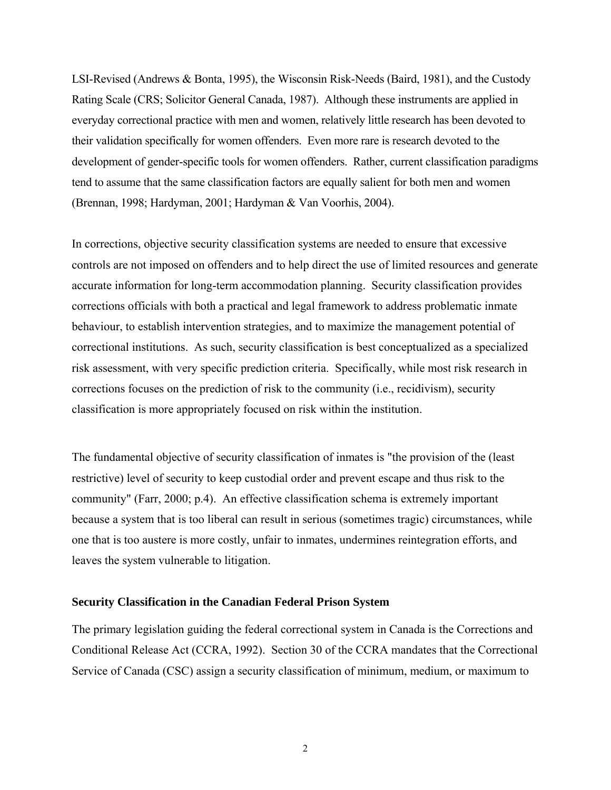<span id="page-9-0"></span>LSI-Revised (Andrews & Bonta, 1995), the Wisconsin Risk-Needs (Baird, 1981), and the Custody Rating Scale (CRS; Solicitor General Canada, 1987). Although these instruments are applied in everyday correctional practice with men and women, relatively little research has been devoted to their validation specifically for women offenders. Even more rare is research devoted to the development of gender-specific tools for women offenders. Rather, current classification paradigms tend to assume that the same classification factors are equally salient for both men and women (Brennan, 1998; Hardyman, 2001; Hardyman & Van Voorhis, 2004).

In corrections, objective security classification systems are needed to ensure that excessive controls are not imposed on offenders and to help direct the use of limited resources and generate accurate information for long-term accommodation planning. Security classification provides corrections officials with both a practical and legal framework to address problematic inmate behaviour, to establish intervention strategies, and to maximize the management potential of correctional institutions. As such, security classification is best conceptualized as a specialized risk assessment, with very specific prediction criteria. Specifically, while most risk research in corrections focuses on the prediction of risk to the community (i.e., recidivism), security classification is more appropriately focused on risk within the institution.

The fundamental objective of security classification of inmates is "the provision of the (least restrictive) level of security to keep custodial order and prevent escape and thus risk to the community" (Farr, 2000; p.4). An effective classification schema is extremely important because a system that is too liberal can result in serious (sometimes tragic) circumstances, while one that is too austere is more costly, unfair to inmates, undermines reintegration efforts, and leaves the system vulnerable to litigation.

#### **Security Classification in the Canadian Federal Prison System**

The primary legislation guiding the federal correctional system in Canada is the Corrections and Conditional Release Act (CCRA, 1992). Section 30 of the CCRA mandates that the Correctional Service of Canada (CSC) assign a security classification of minimum, medium, or maximum to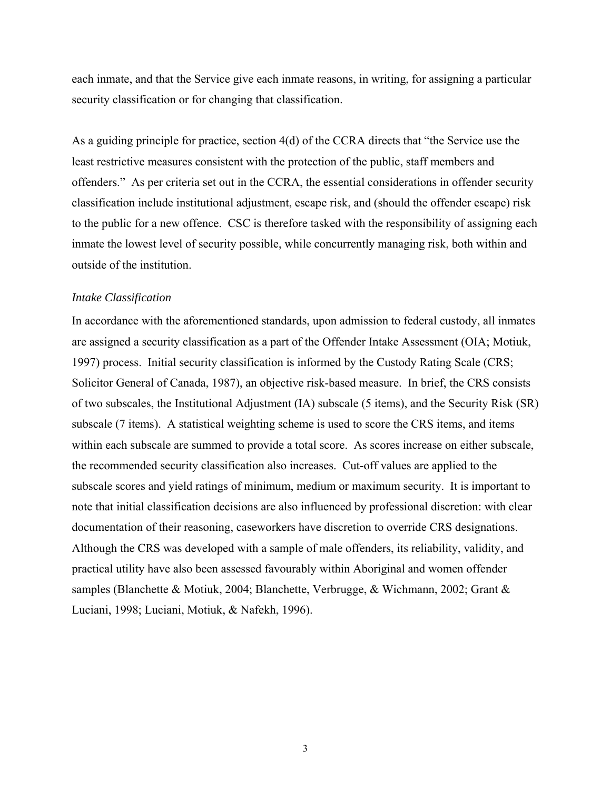<span id="page-10-0"></span>each inmate, and that the Service give each inmate reasons, in writing, for assigning a particular security classification or for changing that classification.

As a guiding principle for practice, section 4(d) of the CCRA directs that "the Service use the least restrictive measures consistent with the protection of the public, staff members and offenders." As per criteria set out in the CCRA, the essential considerations in offender security classification include institutional adjustment, escape risk, and (should the offender escape) risk to the public for a new offence. CSC is therefore tasked with the responsibility of assigning each inmate the lowest level of security possible, while concurrently managing risk, both within and outside of the institution.

#### *Intake Classification*

In accordance with the aforementioned standards, upon admission to federal custody, all inmates are assigned a security classification as a part of the Offender Intake Assessment (OIA; Motiuk, 1997) process. Initial security classification is informed by the Custody Rating Scale (CRS; Solicitor General of Canada, 1987), an objective risk-based measure. In brief, the CRS consists of two subscales, the Institutional Adjustment (IA) subscale (5 items), and the Security Risk (SR) subscale (7 items). A statistical weighting scheme is used to score the CRS items, and items within each subscale are summed to provide a total score. As scores increase on either subscale, the recommended security classification also increases. Cut-off values are applied to the subscale scores and yield ratings of minimum, medium or maximum security. It is important to note that initial classification decisions are also influenced by professional discretion: with clear documentation of their reasoning, caseworkers have discretion to override CRS designations. Although the CRS was developed with a sample of male offenders, its reliability, validity, and practical utility have also been assessed favourably within Aboriginal and women offender samples (Blanchette & Motiuk, 2004; Blanchette, Verbrugge, & Wichmann, 2002; Grant & Luciani, 1998; Luciani, Motiuk, & Nafekh, 1996).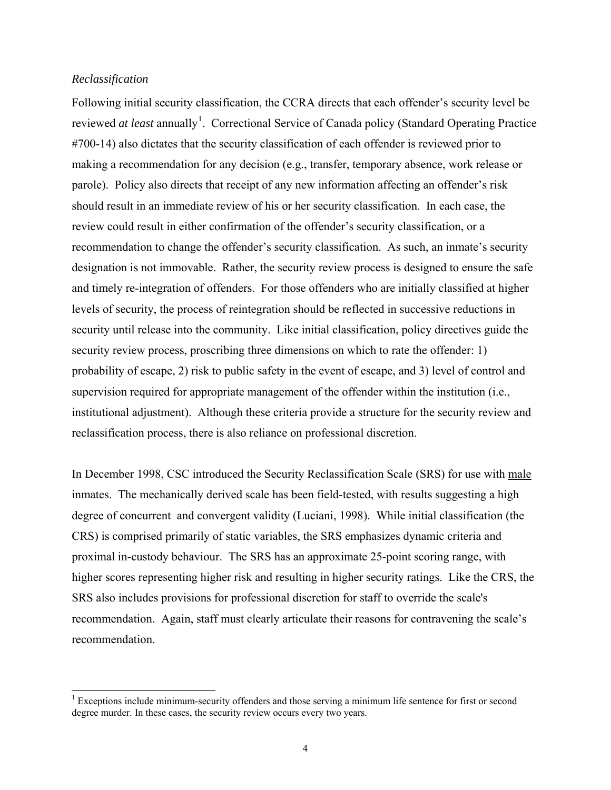#### <span id="page-11-0"></span>*Reclassification*

 $\overline{a}$ 

Following initial security classification, the CCRA directs that each offender's security level be reviewed *at least* annually<sup>[1](#page-11-1)</sup>. Correctional Service of Canada policy (Standard Operating Practice #700-14) also dictates that the security classification of each offender is reviewed prior to making a recommendation for any decision (e.g., transfer, temporary absence, work release or parole). Policy also directs that receipt of any new information affecting an offender's risk should result in an immediate review of his or her security classification. In each case, the review could result in either confirmation of the offender's security classification, or a recommendation to change the offender's security classification. As such, an inmate's security designation is not immovable. Rather, the security review process is designed to ensure the safe and timely re-integration of offenders. For those offenders who are initially classified at higher levels of security, the process of reintegration should be reflected in successive reductions in security until release into the community. Like initial classification, policy directives guide the security review process, proscribing three dimensions on which to rate the offender: 1) probability of escape, 2) risk to public safety in the event of escape, and 3) level of control and supervision required for appropriate management of the offender within the institution (i.e., institutional adjustment). Although these criteria provide a structure for the security review and reclassification process, there is also reliance on professional discretion.

In December 1998, CSC introduced the Security Reclassification Scale (SRS) for use with male inmates. The mechanically derived scale has been field-tested, with results suggesting a high degree of concurrent and convergent validity (Luciani, 1998). While initial classification (the CRS) is comprised primarily of static variables, the SRS emphasizes dynamic criteria and proximal in-custody behaviour. The SRS has an approximate 25-point scoring range, with higher scores representing higher risk and resulting in higher security ratings. Like the CRS, the SRS also includes provisions for professional discretion for staff to override the scale's recommendation. Again, staff must clearly articulate their reasons for contravening the scale's recommendation.

<span id="page-11-1"></span><sup>&</sup>lt;sup>1</sup> Exceptions include minimum-security offenders and those serving a minimum life sentence for first or second degree murder. In these cases, the security review occurs every two years.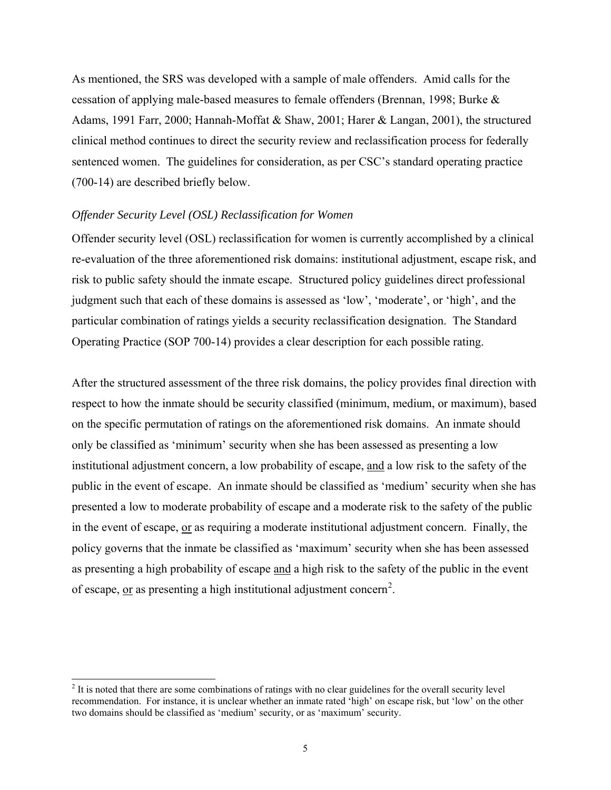<span id="page-12-0"></span>As mentioned, the SRS was developed with a sample of male offenders. Amid calls for the cessation of applying male-based measures to female offenders (Brennan, 1998; Burke & Adams, 1991 Farr, 2000; Hannah-Moffat & Shaw, 2001; Harer & Langan, 2001), the structured clinical method continues to direct the security review and reclassification process for federally sentenced women. The guidelines for consideration, as per CSC's standard operating practice (700-14) are described briefly below.

#### *Offender Security Level (OSL) Reclassification for Women*

Offender security level (OSL) reclassification for women is currently accomplished by a clinical re-evaluation of the three aforementioned risk domains: institutional adjustment, escape risk, and risk to public safety should the inmate escape. Structured policy guidelines direct professional judgment such that each of these domains is assessed as 'low', 'moderate', or 'high', and the particular combination of ratings yields a security reclassification designation. The Standard Operating Practice (SOP 700-14) provides a clear description for each possible rating.

After the structured assessment of the three risk domains, the policy provides final direction with respect to how the inmate should be security classified (minimum, medium, or maximum), based on the specific permutation of ratings on the aforementioned risk domains. An inmate should only be classified as 'minimum' security when she has been assessed as presenting a low institutional adjustment concern, a low probability of escape, and a low risk to the safety of the public in the event of escape. An inmate should be classified as 'medium' security when she has presented a low to moderate probability of escape and a moderate risk to the safety of the public in the event of escape, or as requiring a moderate institutional adjustment concern. Finally, the policy governs that the inmate be classified as 'maximum' security when she has been assessed as presenting a high probability of escape and a high risk to the safety of the public in the event of escape, <u>or</u> as presenting a high institutional adjustment concern<sup>[2](#page-12-1)</sup>.

<span id="page-12-1"></span><sup>&</sup>lt;sup>2</sup> It is noted that there are some combinations of ratings with no clear guidelines for the overall security level recommendation. For instance, it is unclear whether an inmate rated 'high' on escape risk, but 'low' on the other two domains should be classified as 'medium' security, or as 'maximum' security.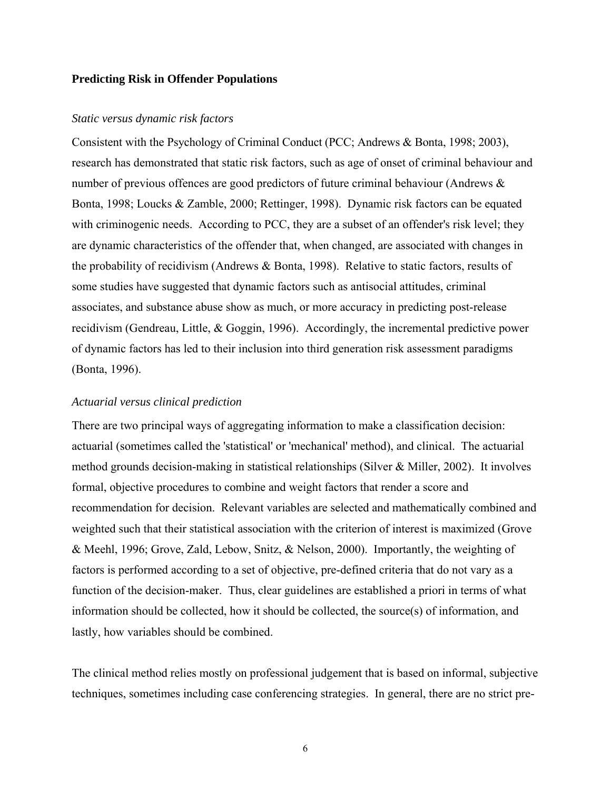#### <span id="page-13-0"></span>**Predicting Risk in Offender Populations**

#### *Static versus dynamic risk factors*

Consistent with the Psychology of Criminal Conduct (PCC; Andrews & Bonta, 1998; 2003), research has demonstrated that static risk factors, such as age of onset of criminal behaviour and number of previous offences are good predictors of future criminal behaviour (Andrews  $\&$ Bonta, 1998; Loucks & Zamble, 2000; Rettinger, 1998). Dynamic risk factors can be equated with criminogenic needs. According to PCC, they are a subset of an offender's risk level; they are dynamic characteristics of the offender that, when changed, are associated with changes in the probability of recidivism (Andrews & Bonta, 1998). Relative to static factors, results of some studies have suggested that dynamic factors such as antisocial attitudes, criminal associates, and substance abuse show as much, or more accuracy in predicting post-release recidivism (Gendreau, Little, & Goggin, 1996). Accordingly, the incremental predictive power of dynamic factors has led to their inclusion into third generation risk assessment paradigms (Bonta, 1996).

#### *Actuarial versus clinical prediction*

There are two principal ways of aggregating information to make a classification decision: actuarial (sometimes called the 'statistical' or 'mechanical' method), and clinical. The actuarial method grounds decision-making in statistical relationships (Silver & Miller, 2002). It involves formal, objective procedures to combine and weight factors that render a score and recommendation for decision. Relevant variables are selected and mathematically combined and weighted such that their statistical association with the criterion of interest is maximized (Grove & Meehl, 1996; Grove, Zald, Lebow, Snitz, & Nelson, 2000). Importantly, the weighting of factors is performed according to a set of objective, pre-defined criteria that do not vary as a function of the decision-maker. Thus, clear guidelines are established a priori in terms of what information should be collected, how it should be collected, the source(s) of information, and lastly, how variables should be combined.

The clinical method relies mostly on professional judgement that is based on informal, subjective techniques, sometimes including case conferencing strategies. In general, there are no strict pre-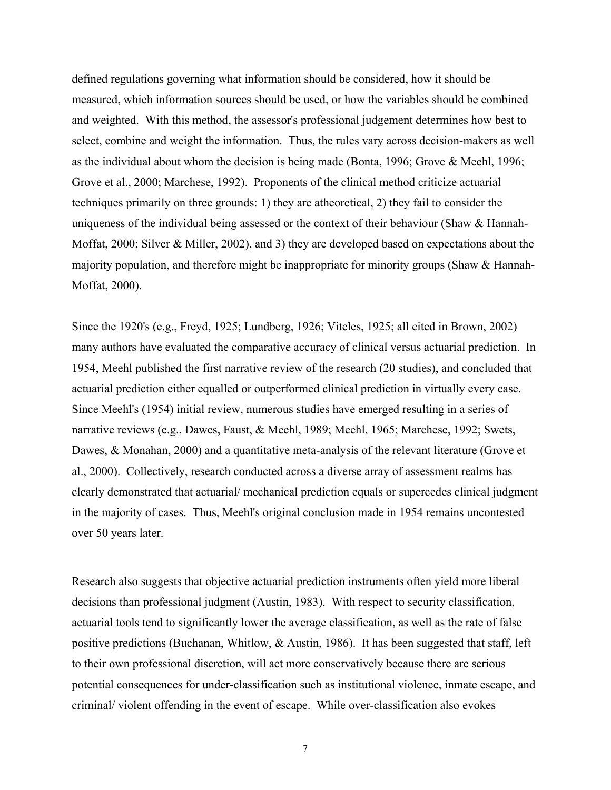defined regulations governing what information should be considered, how it should be measured, which information sources should be used, or how the variables should be combined and weighted. With this method, the assessor's professional judgement determines how best to select, combine and weight the information. Thus, the rules vary across decision-makers as well as the individual about whom the decision is being made (Bonta, 1996; Grove & Meehl, 1996; Grove et al., 2000; Marchese, 1992). Proponents of the clinical method criticize actuarial techniques primarily on three grounds: 1) they are atheoretical, 2) they fail to consider the uniqueness of the individual being assessed or the context of their behaviour (Shaw  $\&$  Hannah-Moffat, 2000; Silver & Miller, 2002), and 3) they are developed based on expectations about the majority population, and therefore might be inappropriate for minority groups (Shaw & Hannah-Moffat, 2000).

Since the 1920's (e.g., Freyd, 1925; Lundberg, 1926; Viteles, 1925; all cited in Brown, 2002) many authors have evaluated the comparative accuracy of clinical versus actuarial prediction. In 1954, Meehl published the first narrative review of the research (20 studies), and concluded that actuarial prediction either equalled or outperformed clinical prediction in virtually every case. Since Meehl's (1954) initial review, numerous studies have emerged resulting in a series of narrative reviews (e.g., Dawes, Faust, & Meehl, 1989; Meehl, 1965; Marchese, 1992; Swets, Dawes, & Monahan, 2000) and a quantitative meta-analysis of the relevant literature (Grove et al., 2000). Collectively, research conducted across a diverse array of assessment realms has clearly demonstrated that actuarial/ mechanical prediction equals or supercedes clinical judgment in the majority of cases. Thus, Meehl's original conclusion made in 1954 remains uncontested over 50 years later.

Research also suggests that objective actuarial prediction instruments often yield more liberal decisions than professional judgment (Austin, 1983). With respect to security classification, actuarial tools tend to significantly lower the average classification, as well as the rate of false positive predictions (Buchanan, Whitlow,  $\&$  Austin, 1986). It has been suggested that staff, left to their own professional discretion, will act more conservatively because there are serious potential consequences for under-classification such as institutional violence, inmate escape, and criminal/ violent offending in the event of escape. While over-classification also evokes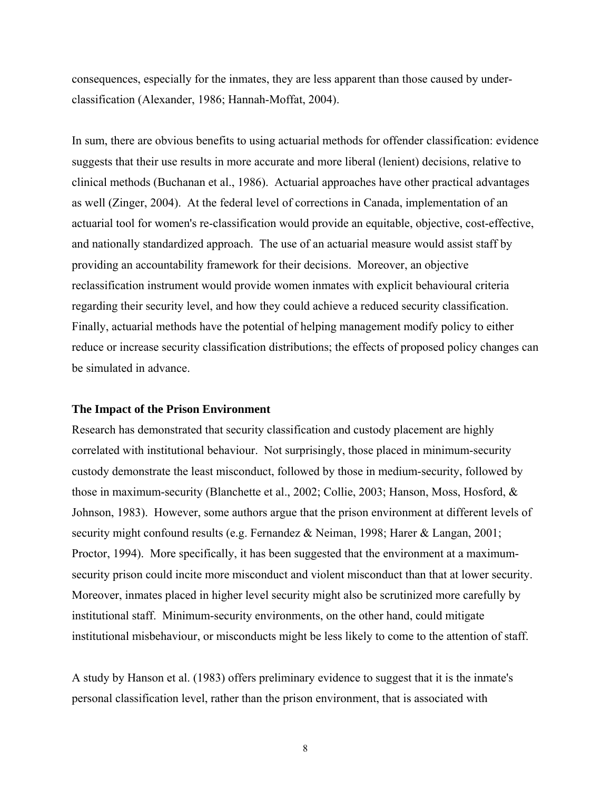<span id="page-15-0"></span>consequences, especially for the inmates, they are less apparent than those caused by underclassification (Alexander, 1986; Hannah-Moffat, 2004).

In sum, there are obvious benefits to using actuarial methods for offender classification: evidence suggests that their use results in more accurate and more liberal (lenient) decisions, relative to clinical methods (Buchanan et al., 1986). Actuarial approaches have other practical advantages as well (Zinger, 2004). At the federal level of corrections in Canada, implementation of an actuarial tool for women's re-classification would provide an equitable, objective, cost-effective, and nationally standardized approach. The use of an actuarial measure would assist staff by providing an accountability framework for their decisions. Moreover, an objective reclassification instrument would provide women inmates with explicit behavioural criteria regarding their security level, and how they could achieve a reduced security classification. Finally, actuarial methods have the potential of helping management modify policy to either reduce or increase security classification distributions; the effects of proposed policy changes can be simulated in advance.

#### **The Impact of the Prison Environment**

Research has demonstrated that security classification and custody placement are highly correlated with institutional behaviour. Not surprisingly, those placed in minimum-security custody demonstrate the least misconduct, followed by those in medium-security, followed by those in maximum-security (Blanchette et al., 2002; Collie, 2003; Hanson, Moss, Hosford, & Johnson, 1983). However, some authors argue that the prison environment at different levels of security might confound results (e.g. Fernandez & Neiman, 1998; Harer & Langan, 2001; Proctor, 1994). More specifically, it has been suggested that the environment at a maximumsecurity prison could incite more misconduct and violent misconduct than that at lower security. Moreover, inmates placed in higher level security might also be scrutinized more carefully by institutional staff. Minimum-security environments, on the other hand, could mitigate institutional misbehaviour, or misconducts might be less likely to come to the attention of staff.

A study by Hanson et al. (1983) offers preliminary evidence to suggest that it is the inmate's personal classification level, rather than the prison environment, that is associated with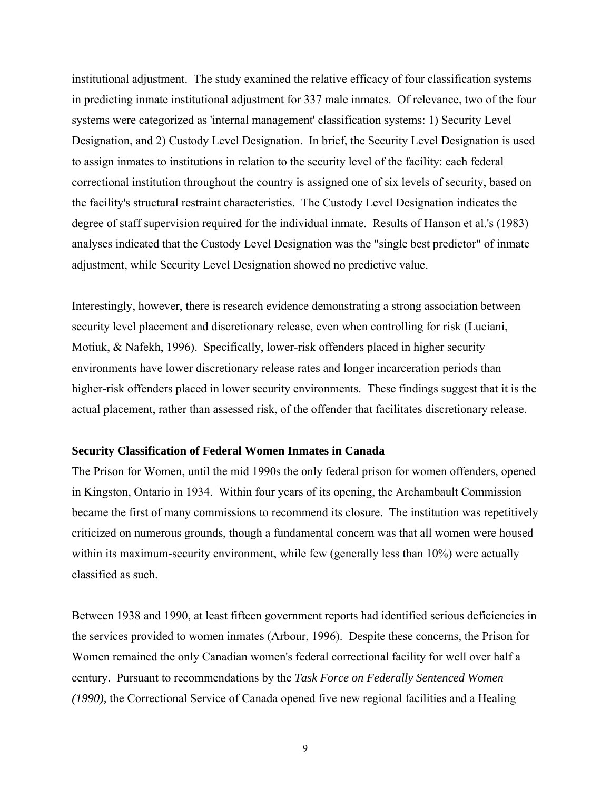<span id="page-16-0"></span>institutional adjustment. The study examined the relative efficacy of four classification systems in predicting inmate institutional adjustment for 337 male inmates. Of relevance, two of the four systems were categorized as 'internal management' classification systems: 1) Security Level Designation, and 2) Custody Level Designation. In brief, the Security Level Designation is used to assign inmates to institutions in relation to the security level of the facility: each federal correctional institution throughout the country is assigned one of six levels of security, based on the facility's structural restraint characteristics. The Custody Level Designation indicates the degree of staff supervision required for the individual inmate. Results of Hanson et al.'s (1983) analyses indicated that the Custody Level Designation was the "single best predictor" of inmate adjustment, while Security Level Designation showed no predictive value.

Interestingly, however, there is research evidence demonstrating a strong association between security level placement and discretionary release, even when controlling for risk (Luciani, Motiuk, & Nafekh, 1996). Specifically, lower-risk offenders placed in higher security environments have lower discretionary release rates and longer incarceration periods than higher-risk offenders placed in lower security environments. These findings suggest that it is the actual placement, rather than assessed risk, of the offender that facilitates discretionary release.

#### **Security Classification of Federal Women Inmates in Canada**

The Prison for Women, until the mid 1990s the only federal prison for women offenders, opened in Kingston, Ontario in 1934. Within four years of its opening, the Archambault Commission became the first of many commissions to recommend its closure. The institution was repetitively criticized on numerous grounds, though a fundamental concern was that all women were housed within its maximum-security environment, while few (generally less than 10%) were actually classified as such.

Between 1938 and 1990, at least fifteen government reports had identified serious deficiencies in the services provided to women inmates (Arbour, 1996). Despite these concerns, the Prison for Women remained the only Canadian women's federal correctional facility for well over half a century. Pursuant to recommendations by the *Task Force on Federally Sentenced Women (1990),* the Correctional Service of Canada opened five new regional facilities and a Healing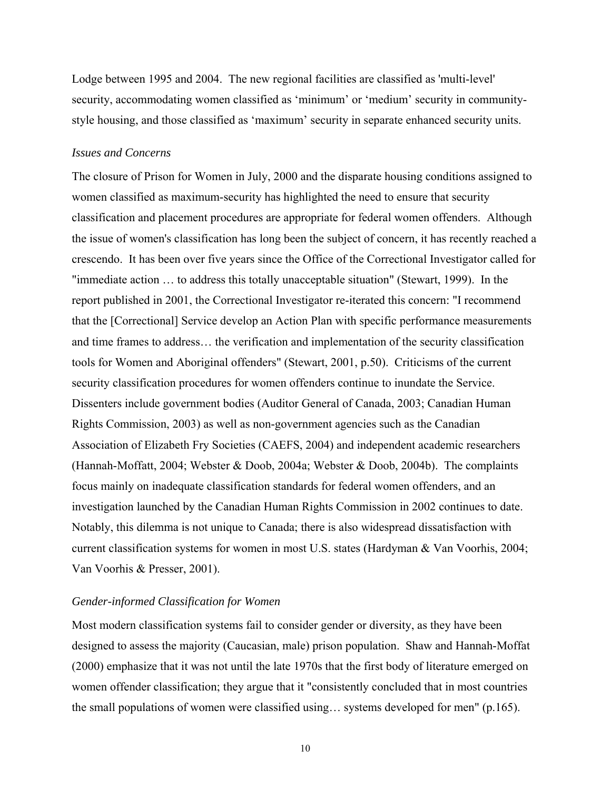<span id="page-17-0"></span>Lodge between 1995 and 2004. The new regional facilities are classified as 'multi-level' security, accommodating women classified as 'minimum' or 'medium' security in communitystyle housing, and those classified as 'maximum' security in separate enhanced security units.

#### *Issues and Concerns*

The closure of Prison for Women in July, 2000 and the disparate housing conditions assigned to women classified as maximum-security has highlighted the need to ensure that security classification and placement procedures are appropriate for federal women offenders. Although the issue of women's classification has long been the subject of concern, it has recently reached a crescendo. It has been over five years since the Office of the Correctional Investigator called for "immediate action … to address this totally unacceptable situation" (Stewart, 1999). In the report published in 2001, the Correctional Investigator re-iterated this concern: "I recommend that the [Correctional] Service develop an Action Plan with specific performance measurements and time frames to address… the verification and implementation of the security classification tools for Women and Aboriginal offenders" (Stewart, 2001, p.50). Criticisms of the current security classification procedures for women offenders continue to inundate the Service. Dissenters include government bodies (Auditor General of Canada, 2003; Canadian Human Rights Commission, 2003) as well as non-government agencies such as the Canadian Association of Elizabeth Fry Societies (CAEFS, 2004) and independent academic researchers (Hannah-Moffatt, 2004; Webster & Doob, 2004a; Webster & Doob, 2004b). The complaints focus mainly on inadequate classification standards for federal women offenders, and an investigation launched by the Canadian Human Rights Commission in 2002 continues to date. Notably, this dilemma is not unique to Canada; there is also widespread dissatisfaction with current classification systems for women in most U.S. states (Hardyman & Van Voorhis, 2004; Van Voorhis & Presser, 2001).

#### *Gender-informed Classification for Women*

Most modern classification systems fail to consider gender or diversity, as they have been designed to assess the majority (Caucasian, male) prison population. Shaw and Hannah-Moffat (2000) emphasize that it was not until the late 1970s that the first body of literature emerged on women offender classification; they argue that it "consistently concluded that in most countries the small populations of women were classified using… systems developed for men" (p.165).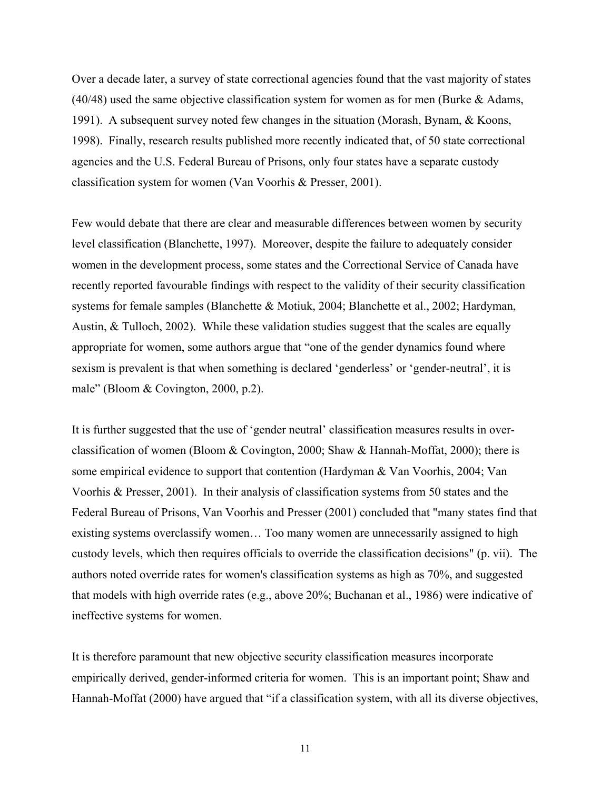Over a decade later, a survey of state correctional agencies found that the vast majority of states  $(40/48)$  used the same objective classification system for women as for men (Burke & Adams, 1991). A subsequent survey noted few changes in the situation (Morash, Bynam, & Koons, 1998). Finally, research results published more recently indicated that, of 50 state correctional agencies and the U.S. Federal Bureau of Prisons, only four states have a separate custody classification system for women (Van Voorhis & Presser, 2001).

Few would debate that there are clear and measurable differences between women by security level classification (Blanchette, 1997). Moreover, despite the failure to adequately consider women in the development process, some states and the Correctional Service of Canada have recently reported favourable findings with respect to the validity of their security classification systems for female samples (Blanchette & Motiuk, 2004; Blanchette et al., 2002; Hardyman, Austin, & Tulloch, 2002). While these validation studies suggest that the scales are equally appropriate for women, some authors argue that "one of the gender dynamics found where sexism is prevalent is that when something is declared 'genderless' or 'gender-neutral', it is male" (Bloom & Covington, 2000, p.2).

It is further suggested that the use of 'gender neutral' classification measures results in overclassification of women (Bloom & Covington, 2000; Shaw & Hannah-Moffat, 2000); there is some empirical evidence to support that contention (Hardyman & Van Voorhis, 2004; Van Voorhis & Presser, 2001). In their analysis of classification systems from 50 states and the Federal Bureau of Prisons, Van Voorhis and Presser (2001) concluded that "many states find that existing systems overclassify women… Too many women are unnecessarily assigned to high custody levels, which then requires officials to override the classification decisions" (p. vii). The authors noted override rates for women's classification systems as high as 70%, and suggested that models with high override rates (e.g., above 20%; Buchanan et al., 1986) were indicative of ineffective systems for women.

It is therefore paramount that new objective security classification measures incorporate empirically derived, gender-informed criteria for women. This is an important point; Shaw and Hannah-Moffat (2000) have argued that "if a classification system, with all its diverse objectives,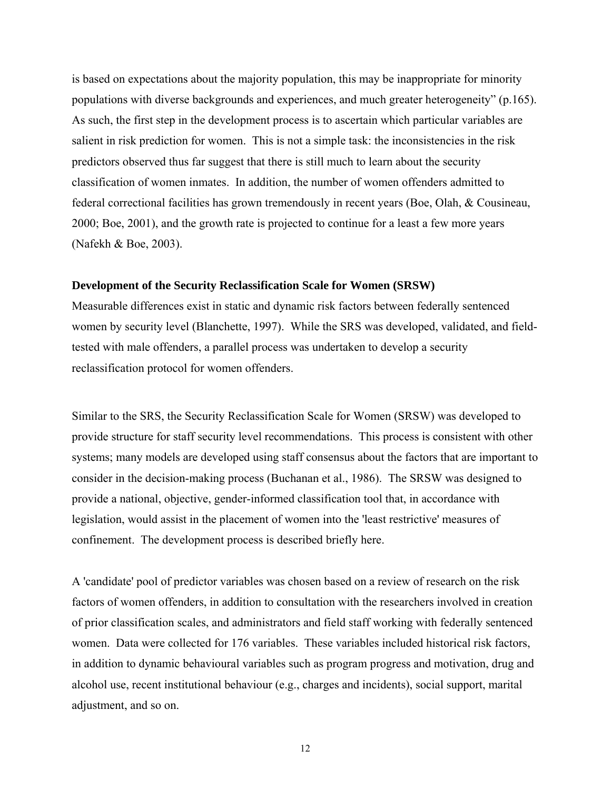<span id="page-19-0"></span>is based on expectations about the majority population, this may be inappropriate for minority populations with diverse backgrounds and experiences, and much greater heterogeneity" (p.165). As such, the first step in the development process is to ascertain which particular variables are salient in risk prediction for women. This is not a simple task: the inconsistencies in the risk predictors observed thus far suggest that there is still much to learn about the security classification of women inmates. In addition, the number of women offenders admitted to federal correctional facilities has grown tremendously in recent years (Boe, Olah, & Cousineau, 2000; Boe, 2001), and the growth rate is projected to continue for a least a few more years (Nafekh & Boe, 2003).

#### **Development of the Security Reclassification Scale for Women (SRSW)**

Measurable differences exist in static and dynamic risk factors between federally sentenced women by security level (Blanchette, 1997). While the SRS was developed, validated, and fieldtested with male offenders, a parallel process was undertaken to develop a security reclassification protocol for women offenders.

Similar to the SRS, the Security Reclassification Scale for Women (SRSW) was developed to provide structure for staff security level recommendations. This process is consistent with other systems; many models are developed using staff consensus about the factors that are important to consider in the decision-making process (Buchanan et al., 1986). The SRSW was designed to provide a national, objective, gender-informed classification tool that, in accordance with legislation, would assist in the placement of women into the 'least restrictive' measures of confinement. The development process is described briefly here.

A 'candidate' pool of predictor variables was chosen based on a review of research on the risk factors of women offenders, in addition to consultation with the researchers involved in creation of prior classification scales, and administrators and field staff working with federally sentenced women. Data were collected for 176 variables. These variables included historical risk factors, in addition to dynamic behavioural variables such as program progress and motivation, drug and alcohol use, recent institutional behaviour (e.g., charges and incidents), social support, marital adjustment, and so on.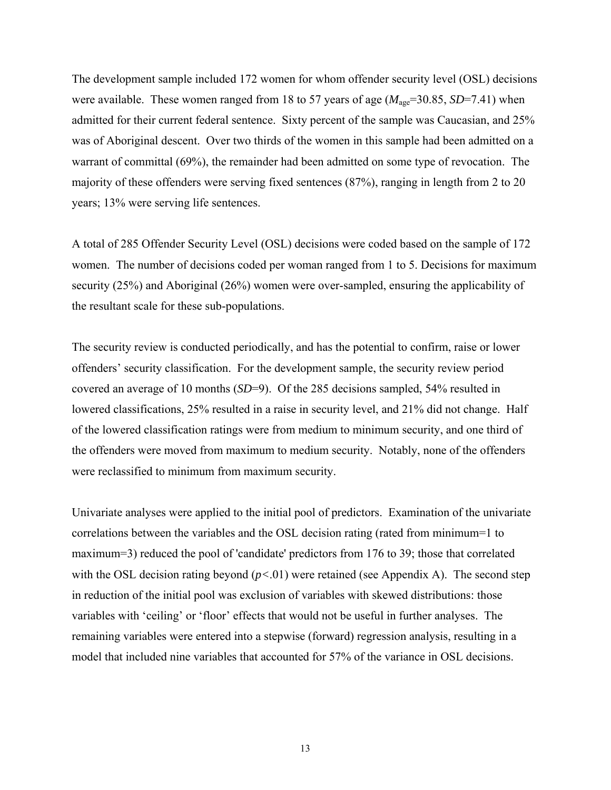The development sample included 172 women for whom offender security level (OSL) decisions were available. These women ranged from 18 to 57 years of age  $(M_{\text{age}}=30.85, SD=7.41)$  when admitted for their current federal sentence. Sixty percent of the sample was Caucasian, and 25% was of Aboriginal descent. Over two thirds of the women in this sample had been admitted on a warrant of committal (69%), the remainder had been admitted on some type of revocation. The majority of these offenders were serving fixed sentences (87%), ranging in length from 2 to 20 years; 13% were serving life sentences.

A total of 285 Offender Security Level (OSL) decisions were coded based on the sample of 172 women. The number of decisions coded per woman ranged from 1 to 5. Decisions for maximum security (25%) and Aboriginal (26%) women were over-sampled, ensuring the applicability of the resultant scale for these sub-populations.

The security review is conducted periodically, and has the potential to confirm, raise or lower offenders' security classification. For the development sample, the security review period covered an average of 10 months (*SD*=9). Of the 285 decisions sampled, 54% resulted in lowered classifications, 25% resulted in a raise in security level, and 21% did not change. Half of the lowered classification ratings were from medium to minimum security, and one third of the offenders were moved from maximum to medium security. Notably, none of the offenders were reclassified to minimum from maximum security.

Univariate analyses were applied to the initial pool of predictors. Examination of the univariate correlations between the variables and the OSL decision rating (rated from minimum=1 to maximum=3) reduced the pool of 'candidate' predictors from 176 to 39; those that correlated with the OSL decision rating beyond  $(p<.01)$  were retained (see Appendix A). The second step in reduction of the initial pool was exclusion of variables with skewed distributions: those variables with 'ceiling' or 'floor' effects that would not be useful in further analyses. The remaining variables were entered into a stepwise (forward) regression analysis, resulting in a model that included nine variables that accounted for 57% of the variance in OSL decisions.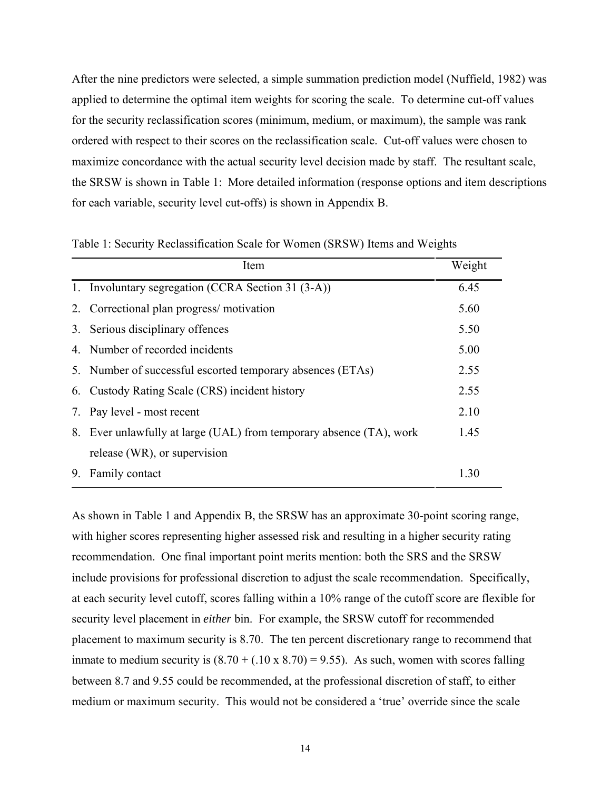<span id="page-21-0"></span>After the nine predictors were selected, a simple summation prediction model (Nuffield, 1982) was applied to determine the optimal item weights for scoring the scale. To determine cut-off values for the security reclassification scores (minimum, medium, or maximum), the sample was rank ordered with respect to their scores on the reclassification scale. Cut-off values were chosen to maximize concordance with the actual security level decision made by staff. The resultant scale, the SRSW is shown in Table 1: More detailed information (response options and item descriptions for each variable, security level cut-offs) is shown in Appendix B.

|    | Item                                                                | Weight |
|----|---------------------------------------------------------------------|--------|
|    | 1. Involuntary segregation (CCRA Section 31 (3-A))                  | 6.45   |
|    | 2. Correctional plan progress/motivation                            | 5.60   |
|    | 3. Serious disciplinary offences                                    | 5.50   |
|    | 4. Number of recorded incidents                                     | 5.00   |
|    | 5. Number of successful escorted temporary absences (ETAs)          | 2.55   |
|    | 6. Custody Rating Scale (CRS) incident history                      | 2.55   |
|    | 7. Pay level - most recent                                          | 2.10   |
|    | 8. Ever unlawfully at large (UAL) from temporary absence (TA), work | 1.45   |
|    | release (WR), or supervision                                        |        |
| 9. | Family contact                                                      | 1 30   |

Table 1: Security Reclassification Scale for Women (SRSW) Items and Weights

As shown in Table 1 and Appendix B, the SRSW has an approximate 30-point scoring range, with higher scores representing higher assessed risk and resulting in a higher security rating recommendation. One final important point merits mention: both the SRS and the SRSW include provisions for professional discretion to adjust the scale recommendation. Specifically, at each security level cutoff, scores falling within a 10% range of the cutoff score are flexible for security level placement in *either* bin. For example, the SRSW cutoff for recommended placement to maximum security is 8.70. The ten percent discretionary range to recommend that inmate to medium security is  $(8.70 + (.10 \times 8.70) = 9.55)$ . As such, women with scores falling between 8.7 and 9.55 could be recommended, at the professional discretion of staff, to either medium or maximum security. This would not be considered a 'true' override since the scale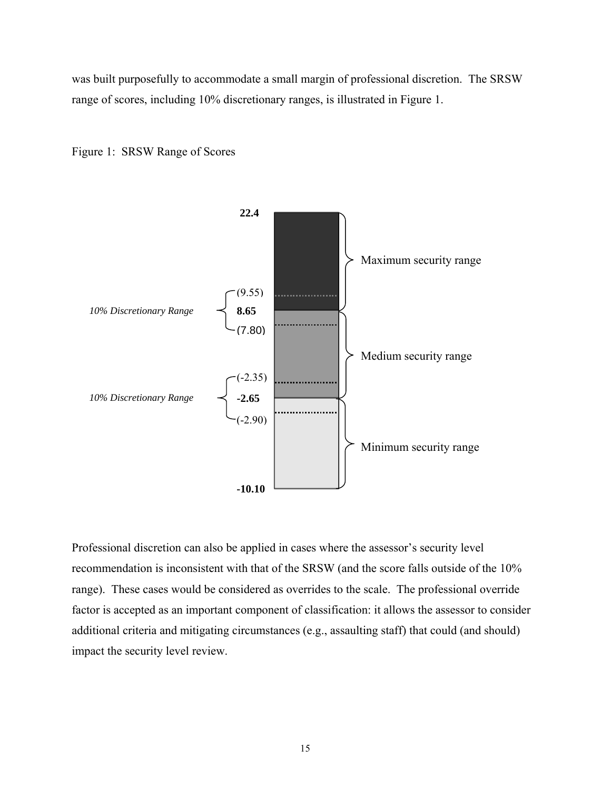<span id="page-22-0"></span>was built purposefully to accommodate a small margin of professional discretion. The SRSW range of scores, including 10% discretionary ranges, is illustrated in Figure 1.





Professional discretion can also be applied in cases where the assessor's security level recommendation is inconsistent with that of the SRSW (and the score falls outside of the 10% range). These cases would be considered as overrides to the scale. The professional override factor is accepted as an important component of classification: it allows the assessor to consider additional criteria and mitigating circumstances (e.g., assaulting staff) that could (and should) impact the security level review.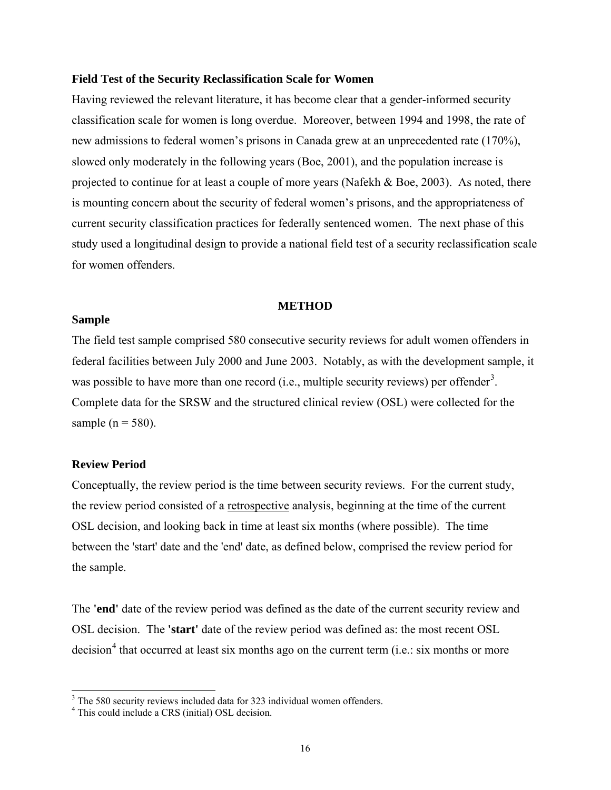#### <span id="page-23-0"></span>**Field Test of the Security Reclassification Scale for Women**

Having reviewed the relevant literature, it has become clear that a gender-informed security classification scale for women is long overdue. Moreover, between 1994 and 1998, the rate of new admissions to federal women's prisons in Canada grew at an unprecedented rate (170%), slowed only moderately in the following years (Boe, 2001), and the population increase is projected to continue for at least a couple of more years (Nafekh & Boe, 2003). As noted, there is mounting concern about the security of federal women's prisons, and the appropriateness of current security classification practices for federally sentenced women. The next phase of this study used a longitudinal design to provide a national field test of a security reclassification scale for women offenders.

#### **METHOD**

#### **Sample**

The field test sample comprised 580 consecutive security reviews for adult women offenders in federal facilities between July 2000 and June 2003. Notably, as with the development sample, it was possible to have more than one record (i.e., multiple security reviews) per offender<sup>[3](#page-23-1)</sup>. Complete data for the SRSW and the structured clinical review (OSL) were collected for the sample ( $n = 580$ ).

#### **Review Period**

Conceptually, the review period is the time between security reviews. For the current study, the review period consisted of a retrospective analysis, beginning at the time of the current OSL decision, and looking back in time at least six months (where possible). The time between the 'start' date and the 'end' date, as defined below, comprised the review period for the sample.

The **'end'** date of the review period was defined as the date of the current security review and OSL decision. The **'start'** date of the review period was defined as: the most recent OSL decision<sup>[4](#page-23-2)</sup> that occurred at least six months ago on the current term (i.e.: six months or more

<span id="page-23-1"></span><sup>&</sup>lt;sup>3</sup> The 580 security reviews included data for 323 individual women offenders.

<span id="page-23-2"></span><sup>4</sup> This could include a CRS (initial) OSL decision.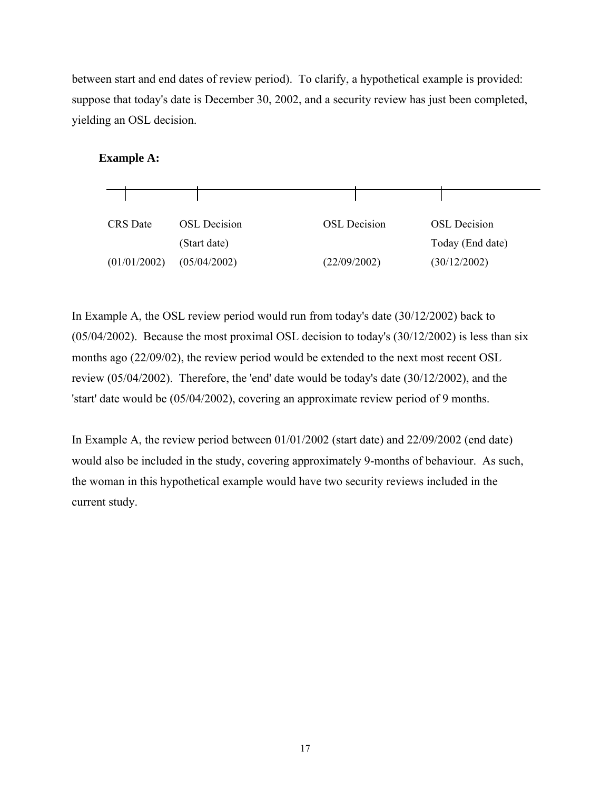between start and end dates of review period). To clarify, a hypothetical example is provided: suppose that today's date is December 30, 2002, and a security review has just been completed, yielding an OSL decision.

## **Example A:**



In Example A, the OSL review period would run from today's date (30/12/2002) back to (05/04/2002). Because the most proximal OSL decision to today's (30/12/2002) is less than six months ago (22/09/02), the review period would be extended to the next most recent OSL review (05/04/2002). Therefore, the 'end' date would be today's date (30/12/2002), and the 'start' date would be (05/04/2002), covering an approximate review period of 9 months.

In Example A, the review period between 01/01/2002 (start date) and 22/09/2002 (end date) would also be included in the study, covering approximately 9-months of behaviour. As such, the woman in this hypothetical example would have two security reviews included in the current study.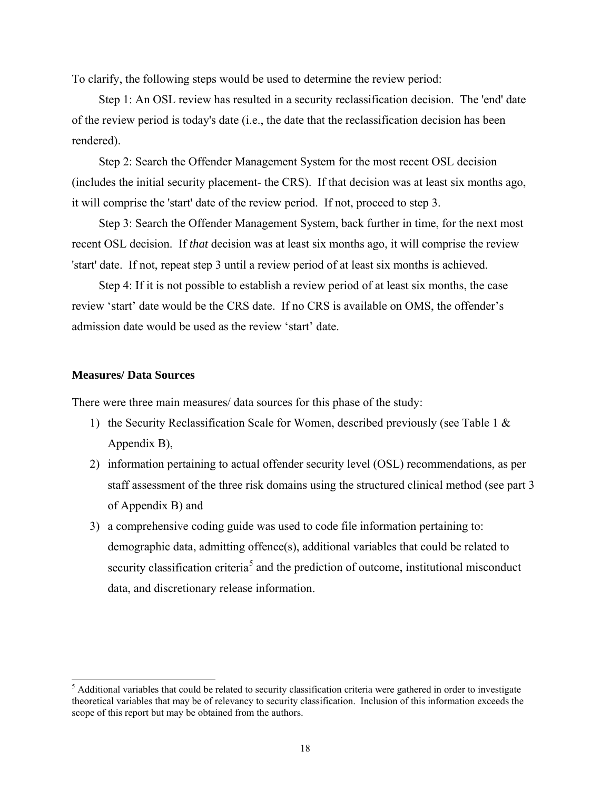<span id="page-25-0"></span>To clarify, the following steps would be used to determine the review period:

Step 1: An OSL review has resulted in a security reclassification decision. The 'end' date of the review period is today's date (i.e., the date that the reclassification decision has been rendered).

Step 2: Search the Offender Management System for the most recent OSL decision (includes the initial security placement- the CRS). If that decision was at least six months ago, it will comprise the 'start' date of the review period. If not, proceed to step 3.

Step 3: Search the Offender Management System, back further in time, for the next most recent OSL decision. If *that* decision was at least six months ago, it will comprise the review 'start' date. If not, repeat step 3 until a review period of at least six months is achieved.

Step 4: If it is not possible to establish a review period of at least six months, the case review 'start' date would be the CRS date. If no CRS is available on OMS, the offender's admission date would be used as the review 'start' date.

#### **Measures/ Data Sources**

There were three main measures/ data sources for this phase of the study:

- 1) the Security Reclassification Scale for Women, described previously (see Table 1 & Appendix B),
- 2) information pertaining to actual offender security level (OSL) recommendations, as per staff assessment of the three risk domains using the structured clinical method (see part 3 of Appendix B) and
- 3) a comprehensive coding guide was used to code file information pertaining to: demographic data, admitting offence(s), additional variables that could be related to security classification criteria<sup>[5](#page-25-1)</sup> and the prediction of outcome, institutional misconduct data, and discretionary release information.

<span id="page-25-1"></span><sup>&</sup>lt;sup>5</sup> Additional variables that could be related to security classification criteria were gathered in order to investigate theoretical variables that may be of relevancy to security classification. Inclusion of this information exceeds the scope of this report but may be obtained from the authors.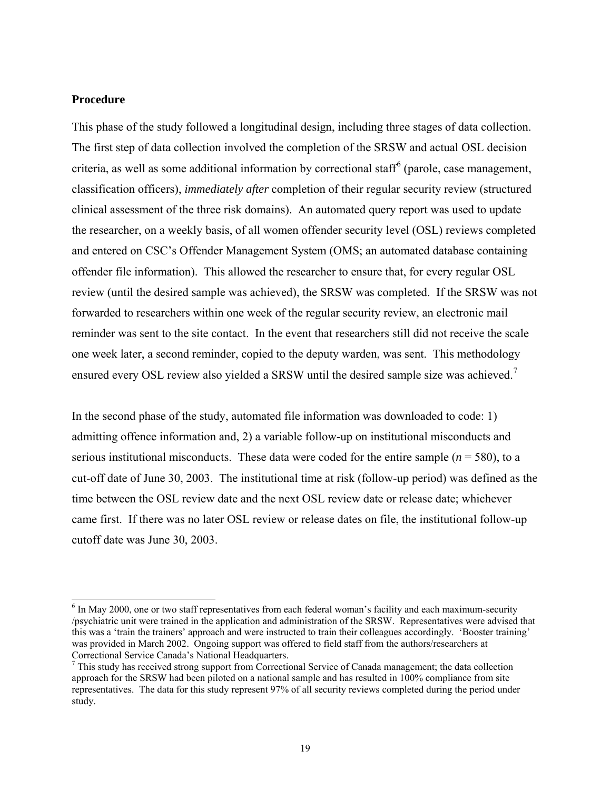## <span id="page-26-0"></span>**Procedure**

 $\overline{a}$ 

This phase of the study followed a longitudinal design, including three stages of data collection. The first step of data collection involved the completion of the SRSW and actual OSL decision criteria, as well as some additional information by correctional staff<sup>[6](#page-26-1)</sup> (parole, case management, classification officers), *immediately after* completion of their regular security review (structured clinical assessment of the three risk domains). An automated query report was used to update the researcher, on a weekly basis, of all women offender security level (OSL) reviews completed and entered on CSC's Offender Management System (OMS; an automated database containing offender file information). This allowed the researcher to ensure that, for every regular OSL review (until the desired sample was achieved), the SRSW was completed. If the SRSW was not forwarded to researchers within one week of the regular security review, an electronic mail reminder was sent to the site contact. In the event that researchers still did not receive the scale one week later, a second reminder, copied to the deputy warden, was sent. This methodology ensured every OSL review also yielded a SRSW until the desired sample size was achieved.<sup>[7](#page-26-2)</sup>

In the second phase of the study, automated file information was downloaded to code: 1) admitting offence information and, 2) a variable follow-up on institutional misconducts and serious institutional misconducts. These data were coded for the entire sample (*n* = 580), to a cut-off date of June 30, 2003. The institutional time at risk (follow-up period) was defined as the time between the OSL review date and the next OSL review date or release date; whichever came first. If there was no later OSL review or release dates on file, the institutional follow-up cutoff date was June 30, 2003.

<span id="page-26-1"></span><sup>&</sup>lt;sup>6</sup> In May 2000, one or two staff representatives from each federal woman's facility and each maximum-security /psychiatric unit were trained in the application and administration of the SRSW. Representatives were advised that this was a 'train the trainers' approach and were instructed to train their colleagues accordingly. 'Booster training' was provided in March 2002. Ongoing support was offered to field staff from the authors/researchers at Correctional Service Canada's National Headquarters.

<span id="page-26-2"></span> $7$  This study has received strong support from Correctional Service of Canada management; the data collection approach for the SRSW had been piloted on a national sample and has resulted in 100% compliance from site representatives. The data for this study represent 97% of all security reviews completed during the period under study.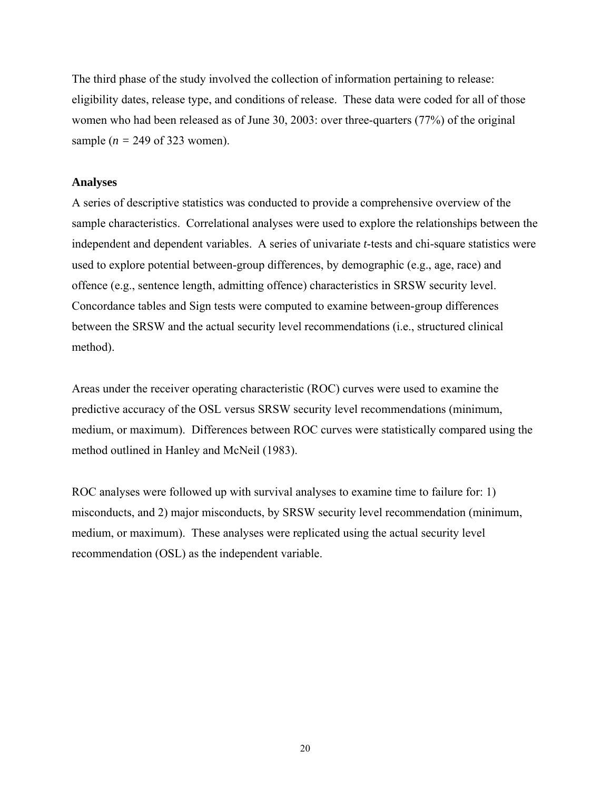<span id="page-27-0"></span>The third phase of the study involved the collection of information pertaining to release: eligibility dates, release type, and conditions of release. These data were coded for all of those women who had been released as of June 30, 2003: over three-quarters (77%) of the original sample (*n =* 249 of 323 women).

#### **Analyses**

A series of descriptive statistics was conducted to provide a comprehensive overview of the sample characteristics. Correlational analyses were used to explore the relationships between the independent and dependent variables. A series of univariate *t*-tests and chi-square statistics were used to explore potential between-group differences, by demographic (e.g., age, race) and offence (e.g., sentence length, admitting offence) characteristics in SRSW security level. Concordance tables and Sign tests were computed to examine between-group differences between the SRSW and the actual security level recommendations (i.e., structured clinical method).

Areas under the receiver operating characteristic (ROC) curves were used to examine the predictive accuracy of the OSL versus SRSW security level recommendations (minimum, medium, or maximum). Differences between ROC curves were statistically compared using the method outlined in Hanley and McNeil (1983).

ROC analyses were followed up with survival analyses to examine time to failure for: 1) misconducts, and 2) major misconducts, by SRSW security level recommendation (minimum, medium, or maximum). These analyses were replicated using the actual security level recommendation (OSL) as the independent variable.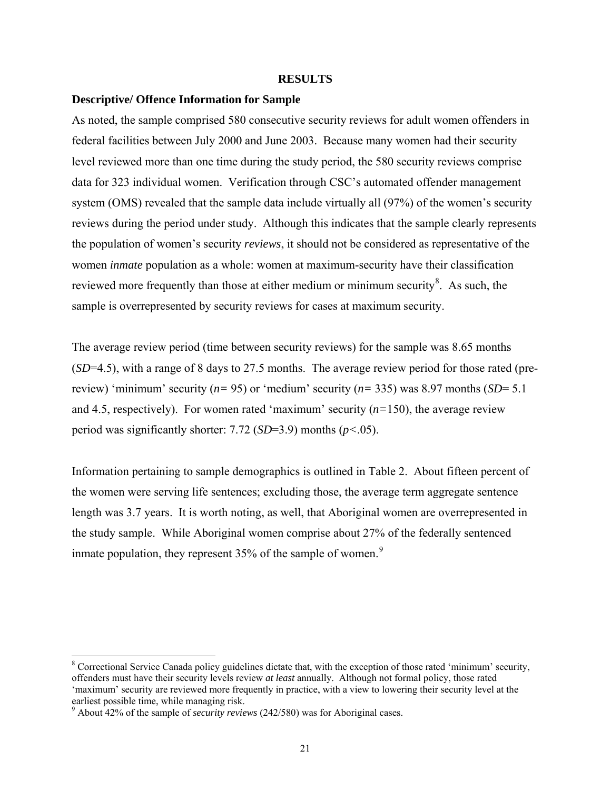#### **RESULTS**

#### <span id="page-28-0"></span>**Descriptive/ Offence Information for Sample**

As noted, the sample comprised 580 consecutive security reviews for adult women offenders in federal facilities between July 2000 and June 2003. Because many women had their security level reviewed more than one time during the study period, the 580 security reviews comprise data for 323 individual women. Verification through CSC's automated offender management system (OMS) revealed that the sample data include virtually all (97%) of the women's security reviews during the period under study. Although this indicates that the sample clearly represents the population of women's security *reviews*, it should not be considered as representative of the women *inmate* population as a whole: women at maximum-security have their classification reviewed more frequently than those at either medium or minimum security $\delta$ . As such, the sample is overrepresented by security reviews for cases at maximum security.

The average review period (time between security reviews) for the sample was 8.65 months (*SD*=4.5), with a range of 8 days to 27.5 months. The average review period for those rated (prereview) 'minimum' security (*n=* 95) or 'medium' security (*n=* 335) was 8.97 months (*SD*= 5.1 and 4.5, respectively). For women rated 'maximum' security  $(n=150)$ , the average review period was significantly shorter: 7.72 (*SD*=3.9) months (*p<*.05).

Information pertaining to sample demographics is outlined in Table 2. About fifteen percent of the women were serving life sentences; excluding those, the average term aggregate sentence length was 3.7 years. It is worth noting, as well, that Aboriginal women are overrepresented in the study sample. While Aboriginal women comprise about 27% of the federally sentenced inmate population, they represent  $35%$  of the sample of women.<sup>[9](#page-28-2)</sup>

 $\overline{a}$ 

<span id="page-28-1"></span><sup>&</sup>lt;sup>8</sup> Correctional Service Canada policy guidelines dictate that, with the exception of those rated 'minimum' security, offenders must have their security levels review *at least* annually. Although not formal policy, those rated 'maximum' security are reviewed more frequently in practice, with a view to lowering their security level at the earliest possible time, while managing risk.

<span id="page-28-2"></span><sup>9</sup> About 42% of the sample of *security reviews* (242/580) was for Aboriginal cases.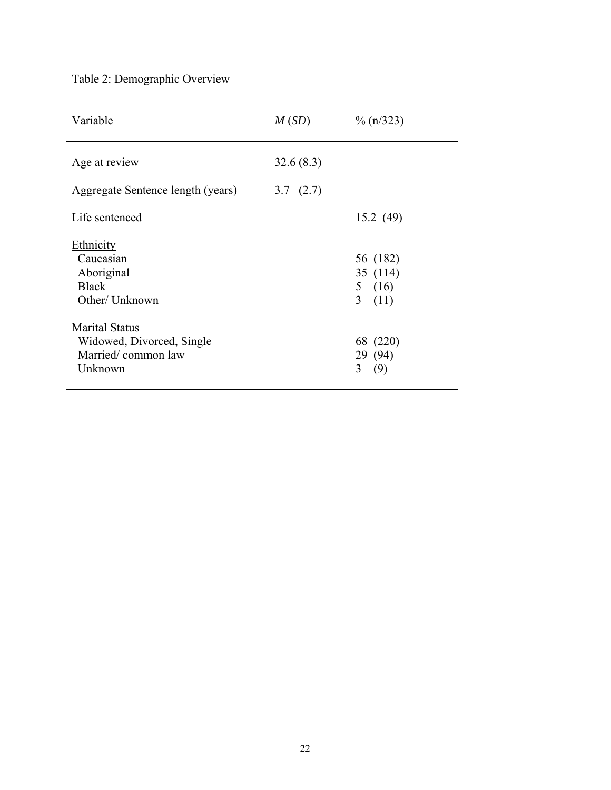# <span id="page-29-0"></span>Table 2: Demographic Overview

| Variable                                                                            | M(SD)                    | $\%$ (n/323)                                  |
|-------------------------------------------------------------------------------------|--------------------------|-----------------------------------------------|
| Age at review<br>Aggregate Sentence length (years)                                  | 32.6(8.3)<br>3.7 $(2.7)$ |                                               |
| Life sentenced                                                                      |                          | 15.2(49)                                      |
| Ethnicity<br>Caucasian<br>Aboriginal<br><b>Black</b><br>Other/ Unknown              |                          | 56 (182)<br>35 (114)<br>5 $(16)$<br>3<br>(11) |
| <b>Marital Status</b><br>Widowed, Divorced, Single<br>Married/common law<br>Unknown |                          | 68 (220)<br>29 (94)<br>3<br>(9)               |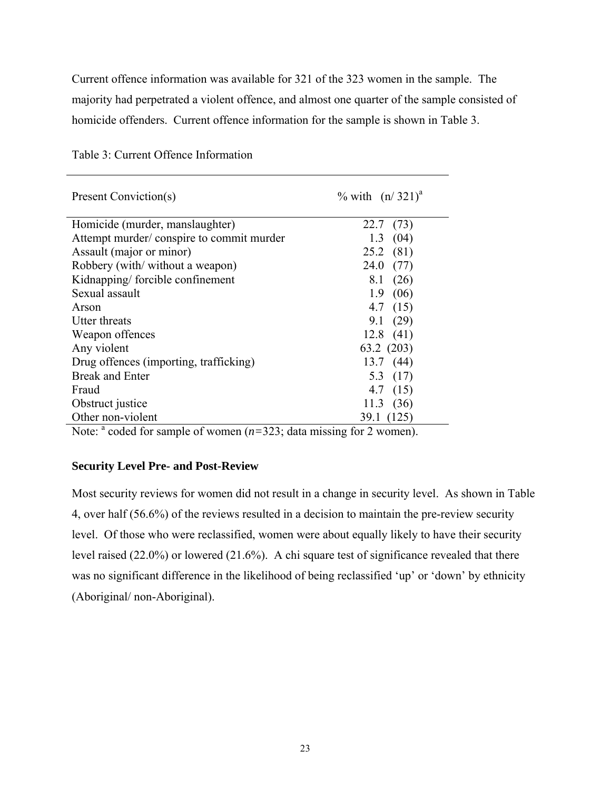<span id="page-30-0"></span>Current offence information was available for 321 of the 323 women in the sample. The majority had perpetrated a violent offence, and almost one quarter of the sample consisted of homicide offenders. Current offence information for the sample is shown in Table 3.

| Present Conviction(s)                    | % with $(n/321)^{a}$ |
|------------------------------------------|----------------------|
| Homicide (murder, manslaughter)          | 22.7<br>(73)         |
| Attempt murder/conspire to commit murder | 1.3<br>(04)          |
| Assault (major or minor)                 | $25.2$ (81)          |
| Robbery (with/without a weapon)          | 24.0(77)             |
| Kidnapping/forcible confinement          | 8.1<br>(26)          |
| Sexual assault                           | 1.9<br>(06)          |
| Arson                                    | 4.7 $(15)$           |
| Utter threats                            | 9.1(29)              |
| Weapon offences                          | 12.8(41)             |
| Any violent                              | 63.2 (203)           |
| Drug offences (importing, trafficking)   | 13.7(44)             |
| <b>Break and Enter</b>                   | 5.3 $(17)$           |
| Fraud                                    | 4.7 $(15)$           |
| Obstruct justice                         | (36)<br>11.3         |
| Other non-violent                        | 39.1<br>(125         |

Table 3: Current Offence Information

Note:  $a$  coded for sample of women  $(n=323)$ ; data missing for 2 women).

## **Security Level Pre- and Post-Review**

Most security reviews for women did not result in a change in security level. As shown in Table 4, over half (56.6%) of the reviews resulted in a decision to maintain the pre-review security level. Of those who were reclassified, women were about equally likely to have their security level raised (22.0%) or lowered (21.6%). A chi square test of significance revealed that there was no significant difference in the likelihood of being reclassified 'up' or 'down' by ethnicity (Aboriginal/ non-Aboriginal).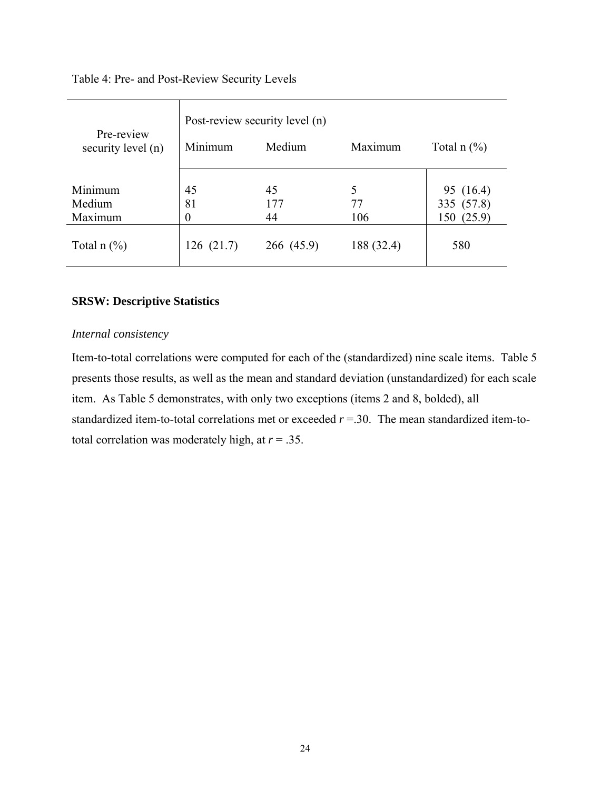## <span id="page-31-0"></span>Table 4: Pre- and Post-Review Security Levels

| Pre-review<br>security level (n)     | Post-review security level (n)<br>Maximum<br>Minimum<br>Medium<br>Total $n$ $(\%)$ |            |            |               |  |  |
|--------------------------------------|------------------------------------------------------------------------------------|------------|------------|---------------|--|--|
| Minimum                              | 45                                                                                 | 45         | 5          | 95 (16.4)     |  |  |
| Medium                               | 81                                                                                 | 177        | 77         | 335 (57.8)    |  |  |
| Maximum                              | $\overline{0}$                                                                     | 44         | 106        | (25.9)<br>150 |  |  |
| Total $n$ $\left(\frac{9}{6}\right)$ | 126(21.7)                                                                          | 266 (45.9) | 188 (32.4) | 580           |  |  |

### **SRSW: Descriptive Statistics**

#### *Internal consistency*

Item-to-total correlations were computed for each of the (standardized) nine scale items. Table 5 presents those results, as well as the mean and standard deviation (unstandardized) for each scale item. As Table 5 demonstrates, with only two exceptions (items 2 and 8, bolded), all standardized item-to-total correlations met or exceeded *r* =.30. The mean standardized item-tototal correlation was moderately high, at *r* = .35.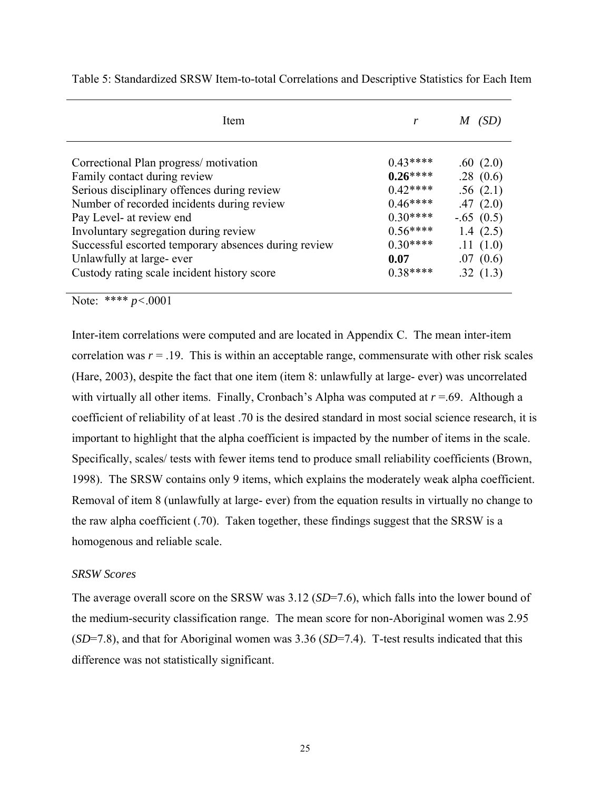| Item                                                 | r         |             |
|------------------------------------------------------|-----------|-------------|
| Correctional Plan progress/motivation                | $0.43***$ | .60(2.0)    |
| Family contact during review                         | $0.26***$ | .28(0.6)    |
| Serious disciplinary offences during review          | $0.42***$ | .56(2.1)    |
| Number of recorded incidents during review           | $0.46***$ | .47(2.0)    |
| Pay Level- at review end                             | $0.30***$ | $-.65(0.5)$ |
| Involuntary segregation during review                | $0.56***$ | 1.4 $(2.5)$ |
| Successful escorted temporary absences during review | $0.30***$ | .11(1.0)    |
| Unlawfully at large- ever                            | 0.07      | .07(0.6)    |
| Custody rating scale incident history score          | $0.38***$ | .32(1.3)    |

<span id="page-32-0"></span>Table 5: Standardized SRSW Item-to-total Correlations and Descriptive Statistics for Each Item

Note: \*\*\*\* *p<*.0001

Inter-item correlations were computed and are located in Appendix C. The mean inter-item correlation was  $r = 0.19$ . This is within an acceptable range, commensurate with other risk scales (Hare, 2003), despite the fact that one item (item 8: unlawfully at large- ever) was uncorrelated with virtually all other items. Finally, Cronbach's Alpha was computed at  $r = .69$ . Although a coefficient of reliability of at least .70 is the desired standard in most social science research, it is important to highlight that the alpha coefficient is impacted by the number of items in the scale. Specifically, scales/ tests with fewer items tend to produce small reliability coefficients (Brown, 1998). The SRSW contains only 9 items, which explains the moderately weak alpha coefficient. Removal of item 8 (unlawfully at large- ever) from the equation results in virtually no change to the raw alpha coefficient (.70). Taken together, these findings suggest that the SRSW is a homogenous and reliable scale.

#### *SRSW Scores*

The average overall score on the SRSW was 3.12 (*SD*=7.6), which falls into the lower bound of the medium-security classification range. The mean score for non-Aboriginal women was 2.95 (*SD*=7.8), and that for Aboriginal women was 3.36 (*SD*=7.4). T-test results indicated that this difference was not statistically significant.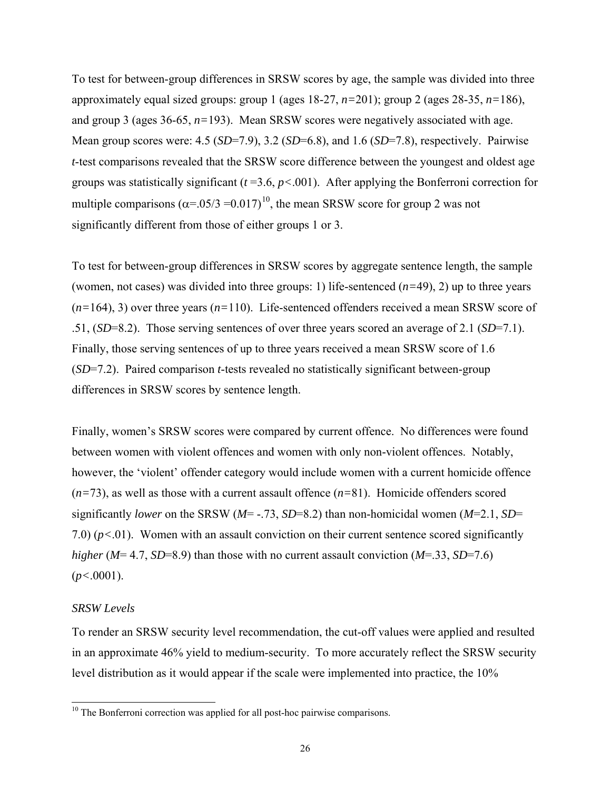<span id="page-33-0"></span>To test for between-group differences in SRSW scores by age, the sample was divided into three approximately equal sized groups: group 1 (ages 18-27, *n=*201); group 2 (ages 28-35, *n=*186), and group 3 (ages 36-65, *n=*193). Mean SRSW scores were negatively associated with age. Mean group scores were: 4.5 (*SD*=7.9), 3.2 (*SD*=6.8), and 1.6 (*SD*=7.8), respectively. Pairwise *t*-test comparisons revealed that the SRSW score difference between the youngest and oldest age groups was statistically significant (*t* =3.6, *p<*.001). After applying the Bonferroni correction for multiple comparisons  $(\alpha = 0.05/3 = 0.017)^{10}$  $(\alpha = 0.05/3 = 0.017)^{10}$  $(\alpha = 0.05/3 = 0.017)^{10}$ , the mean SRSW score for group 2 was not significantly different from those of either groups 1 or 3.

To test for between-group differences in SRSW scores by aggregate sentence length, the sample (women, not cases) was divided into three groups: 1) life-sentenced (*n=*49), 2) up to three years (*n=*164), 3) over three years (*n=*110). Life-sentenced offenders received a mean SRSW score of .51, (*SD*=8.2). Those serving sentences of over three years scored an average of 2.1 (*SD*=7.1). Finally, those serving sentences of up to three years received a mean SRSW score of 1.6 (*SD*=7.2). Paired comparison *t*-tests revealed no statistically significant between-group differences in SRSW scores by sentence length.

Finally, women's SRSW scores were compared by current offence. No differences were found between women with violent offences and women with only non-violent offences. Notably, however, the 'violent' offender category would include women with a current homicide offence (*n=*73), as well as those with a current assault offence (*n=*81). Homicide offenders scored significantly *lower* on the SRSW (*M*= -.73, *SD*=8.2) than non-homicidal women (*M*=2.1, *SD*= 7.0) (*p<*.01). Women with an assault conviction on their current sentence scored significantly *higher* (*M*= 4.7, *SD*=8.9) than those with no current assault conviction (*M*=.33, *SD*=7.6) (*p<*.0001).

#### *SRSW Levels*

 $\overline{a}$ 

To render an SRSW security level recommendation, the cut-off values were applied and resulted in an approximate 46% yield to medium-security. To more accurately reflect the SRSW security level distribution as it would appear if the scale were implemented into practice, the 10%

<span id="page-33-1"></span> $10$  The Bonferroni correction was applied for all post-hoc pairwise comparisons.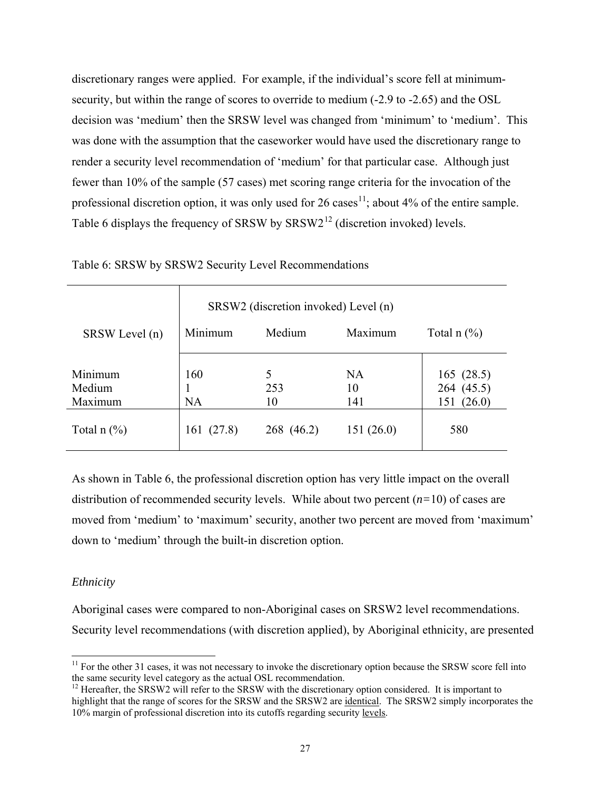<span id="page-34-0"></span>discretionary ranges were applied. For example, if the individual's score fell at minimumsecurity, but within the range of scores to override to medium (-2.9 to -2.65) and the OSL decision was 'medium' then the SRSW level was changed from 'minimum' to 'medium'. This was done with the assumption that the caseworker would have used the discretionary range to render a security level recommendation of 'medium' for that particular case. Although just fewer than 10% of the sample (57 cases) met scoring range criteria for the invocation of the professional discretion option, it was only used for 26 cases<sup>[1](#page-34-1)1</sup>; about 4% of the entire sample. Table 6 displays the frequency of SRSW by  $SRSW2^{12}$  $SRSW2^{12}$  $SRSW2^{12}$  (discretion invoked) levels.

|                | SRSW2 (discretion invoked) Level (n) |            |           |                |  |
|----------------|--------------------------------------|------------|-----------|----------------|--|
| SRSW Level (n) | Minimum                              | Medium     | Maximum   | Total n $(\%)$ |  |
| Minimum        | 160                                  |            | <b>NA</b> | 165(28.5)      |  |
| Medium         |                                      | 253        | 10        | 264 (45.5)     |  |
| Maximum        | NA                                   | 10         | 141       | (26.0)<br>151  |  |
| Total n $(\%)$ | 161 (27.8)                           | 268 (46.2) | 151(26.0) | 580            |  |

Table 6: SRSW by SRSW2 Security Level Recommendations

As shown in Table 6, the professional discretion option has very little impact on the overall distribution of recommended security levels. While about two percent (*n=*10) of cases are moved from 'medium' to 'maximum' security, another two percent are moved from 'maximum' down to 'medium' through the built-in discretion option.

## *Ethnicity*

 $\overline{a}$ 

Aboriginal cases were compared to non-Aboriginal cases on SRSW2 level recommendations. Security level recommendations (with discretion applied), by Aboriginal ethnicity, are presented

<span id="page-34-1"></span> $11$  For the other 31 cases, it was not necessary to invoke the discretionary option because the SRSW score fell into the same security level category as the actual OSL recommendation.

<span id="page-34-2"></span><sup>&</sup>lt;sup>12</sup> Hereafter, the SRSW2 will refer to the SRSW with the discretionary option considered. It is important to highlight that the range of scores for the SRSW and the SRSW2 are identical. The SRSW2 simply incorporates the 10% margin of professional discretion into its cutoffs regarding security levels.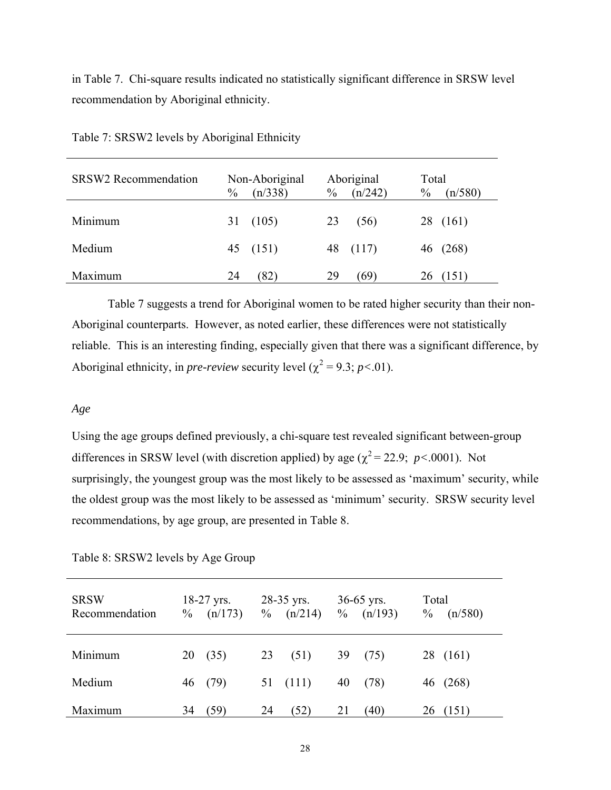<span id="page-35-0"></span>in Table 7. Chi-square results indicated no statistically significant difference in SRSW level recommendation by Aboriginal ethnicity.

| <b>SRSW2</b> Recommendation | $\frac{0}{0}$ | Non-Aboriginal<br>(n/338) | $\frac{0}{0}$ | Aboriginal<br>(n/242) | Total<br>$\frac{0}{0}$ | (n/580)  |
|-----------------------------|---------------|---------------------------|---------------|-----------------------|------------------------|----------|
| Minimum                     | 31            | (105)                     | 23            | (56)                  |                        | 28 (161) |
| Medium                      |               | 45 (151)                  |               | 48 (117)              |                        | 46 (268) |
| Maximum                     | 24            | (82)                      | 29            | (69)                  | 26 <sub>2</sub>        | (151)    |

Table 7: SRSW2 levels by Aboriginal Ethnicity

Table 7 suggests a trend for Aboriginal women to be rated higher security than their non-Aboriginal counterparts. However, as noted earlier, these differences were not statistically reliable. This is an interesting finding, especially given that there was a significant difference, by Aboriginal ethnicity, in *pre-review* security level ( $\chi^2 = 9.3$ ; *p*<.01).

#### *Age*

Using the age groups defined previously, a chi-square test revealed significant between-group differences in SRSW level (with discretion applied) by age ( $\chi^2$  = 22.9; *p*<.0001). Not surprisingly, the youngest group was the most likely to be assessed as 'maximum' security, while the oldest group was the most likely to be assessed as 'minimum' security. SRSW security level recommendations, by age group, are presented in Table 8.

| <b>SRSW</b><br>Recommendation | $\%$ | $18-27$ yrs.<br>(n/173) |    | $28-35$ yrs.<br>$\%$ (n/214) | $\%$ | $36-65$ yrs.<br>(n/193) | Total<br>$\frac{0}{0}$ | (n/580)  |
|-------------------------------|------|-------------------------|----|------------------------------|------|-------------------------|------------------------|----------|
| Minimum                       | 20   | (35)                    | 23 | (51)                         | 39   | (75)                    |                        | 28 (161) |
| Medium                        |      | 46 (79)                 |    | 51 (111)                     | 40   | (78)                    |                        | 46 (268) |
| Maximum                       | 34   | (59)                    | 24 | (52)                         | 21   | (40)                    | 26                     | (151)    |

Table 8: SRSW2 levels by Age Group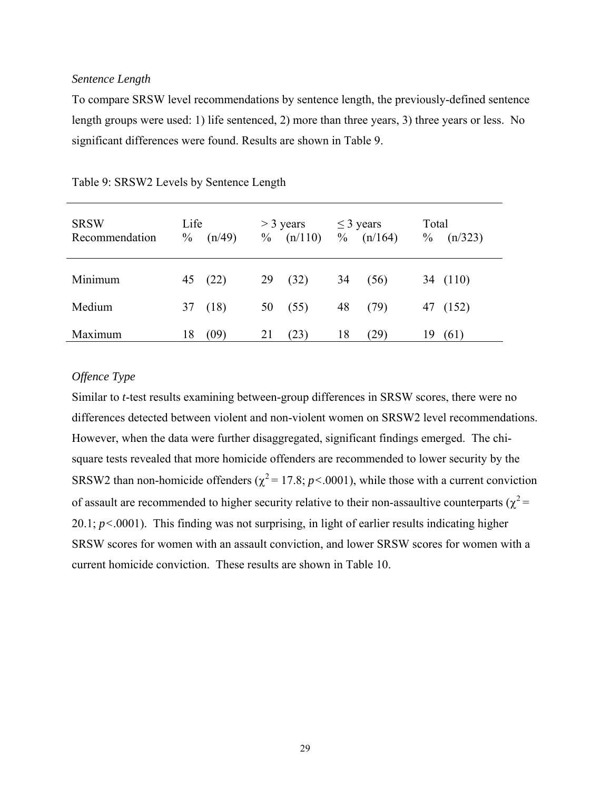### *Sentence Length*

To compare SRSW level recommendations by sentence length, the previously-defined sentence length groups were used: 1) life sentenced, 2) more than three years, 3) three years or less. No significant differences were found. Results are shown in Table 9.

| <b>SRSW</b><br>Recommendation | Life<br>$\frac{0}{0}$ | (n/49)  |    | $>$ 3 years<br>$\%$ (n/110) | $\leq$ 3 years<br>$\%$ | (n/164) | Total<br>$\%$ | (n/323)  |
|-------------------------------|-----------------------|---------|----|-----------------------------|------------------------|---------|---------------|----------|
| Minimum                       |                       | 45 (22) | 29 | (32)                        | 34                     | (56)    |               | 34 (110) |
| Medium                        |                       | 37 (18) |    | 50(55)                      | 48                     | (79)    |               | 47 (152) |
| Maximum                       | 18                    | (09)    | 21 | (23)                        | 18                     | (29)    | 19            | (61)     |

|  |  | Table 9: SRSW2 Levels by Sentence Length |
|--|--|------------------------------------------|
|  |  |                                          |

## *Offence Type*

Similar to *t*-test results examining between-group differences in SRSW scores, there were no differences detected between violent and non-violent women on SRSW2 level recommendations. However, when the data were further disaggregated, significant findings emerged. The chisquare tests revealed that more homicide offenders are recommended to lower security by the SRSW2 than non-homicide offenders ( $\chi^2$  = 17.8; *p* < 0001), while those with a current conviction of assault are recommended to higher security relative to their non-assaultive counterparts ( $\chi^2$  = 20.1; *p<*.0001). This finding was not surprising, in light of earlier results indicating higher SRSW scores for women with an assault conviction, and lower SRSW scores for women with a current homicide conviction. These results are shown in Table 10.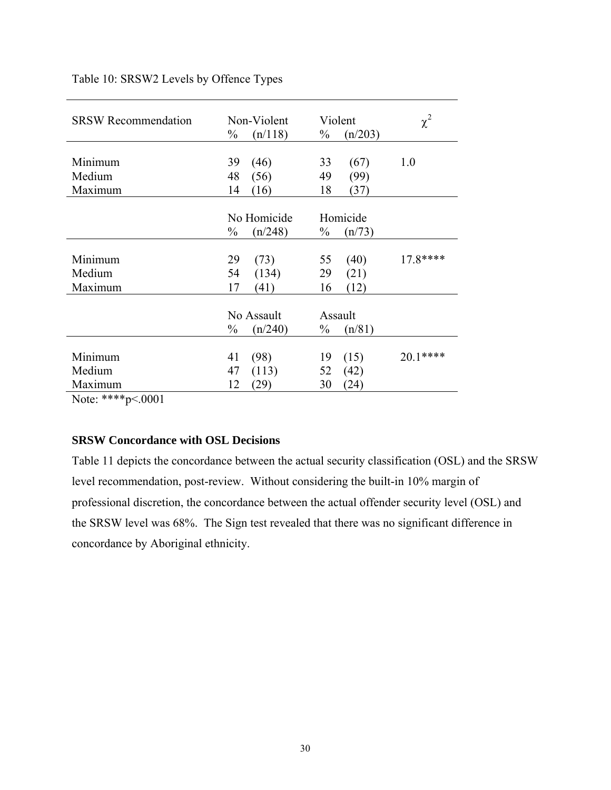| <b>SRSW Recommendation</b>            | Non-Violent<br>$\frac{0}{0}$<br>(n/118) | Violent<br>$\%$<br>(n/203) | $\chi^2$ |
|---------------------------------------|-----------------------------------------|----------------------------|----------|
|                                       |                                         |                            |          |
| Minimum                               | 39<br>(46)                              | (67)<br>33                 | 1.0      |
| Medium                                | 48<br>(56)                              | 49<br>(99)                 |          |
| Maximum                               | (16)<br>14                              | 18<br>(37)                 |          |
|                                       |                                         |                            |          |
|                                       | No Homicide                             | Homicide                   |          |
|                                       | (n/248)<br>$\frac{0}{0}$                | $\frac{0}{0}$<br>(n/73)    |          |
|                                       |                                         |                            |          |
| Minimum                               | (73)<br>29                              | 55<br>(40)                 | 17.8**** |
| Medium                                | 54<br>(134)                             | 29<br>(21)                 |          |
| Maximum                               | 17<br>(41)                              | (12)<br>16                 |          |
|                                       |                                         |                            |          |
|                                       | No Assault                              | Assault                    |          |
|                                       | $\%$<br>(n/240)                         | $\%$<br>(n/81)             |          |
|                                       |                                         |                            |          |
| Minimum                               | (98)<br>41                              | (15)<br>19                 | 20.1**** |
| Medium                                | 47<br>(113)                             | 52<br>(42)                 |          |
| Maximum                               | (29)<br>12                              | (24)<br>30                 |          |
| املو ملو ملو ملو<br>.0001<br><b>T</b> |                                         |                            |          |

# Table 10: SRSW2 Levels by Offence Types

Note: \*\*\*\*p<.0001

# **SRSW Concordance with OSL Decisions**

Table 11 depicts the concordance between the actual security classification (OSL) and the SRSW level recommendation, post-review. Without considering the built-in 10% margin of professional discretion, the concordance between the actual offender security level (OSL) and the SRSW level was 68%. The Sign test revealed that there was no significant difference in concordance by Aboriginal ethnicity.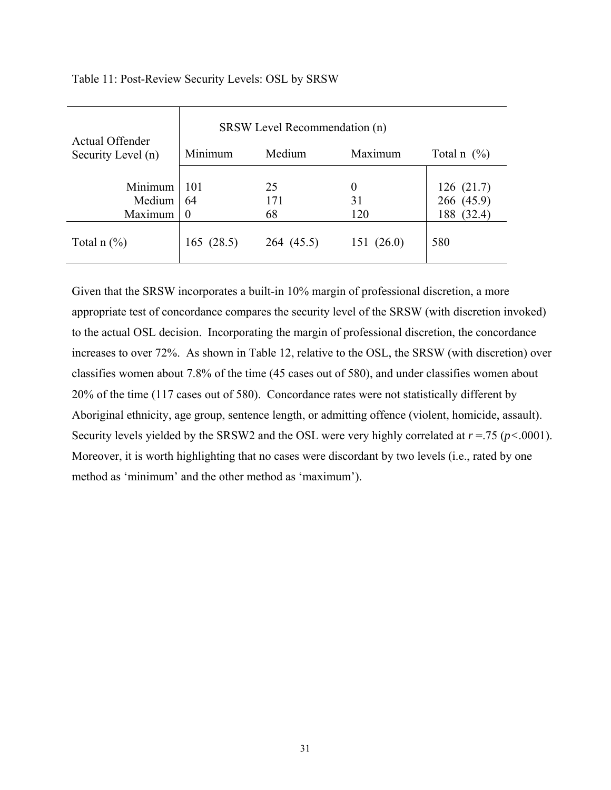|                                       | SRSW Level Recommendation (n) |            |           |                |  |  |  |
|---------------------------------------|-------------------------------|------------|-----------|----------------|--|--|--|
| Actual Offender<br>Security Level (n) | Minimum                       | Medium     | Maximum   | Total n $(\%)$ |  |  |  |
| Minimum                               | 101                           | 25         | $\theta$  | 126(21.7)      |  |  |  |
| Medium                                | 64                            | 171        | 31        | 266 (45.9)     |  |  |  |
| Maximum                               | $\boldsymbol{0}$              | 68         | 120       | (32.4)<br>188  |  |  |  |
| Total $n$ $\left(\frac{9}{6}\right)$  | 165(28.5)                     | 264 (45.5) | 151(26.0) | 580            |  |  |  |

Table 11: Post-Review Security Levels: OSL by SRSW

Given that the SRSW incorporates a built-in 10% margin of professional discretion, a more appropriate test of concordance compares the security level of the SRSW (with discretion invoked) to the actual OSL decision. Incorporating the margin of professional discretion, the concordance increases to over 72%. As shown in Table 12, relative to the OSL, the SRSW (with discretion) over classifies women about 7.8% of the time (45 cases out of 580), and under classifies women about 20% of the time (117 cases out of 580). Concordance rates were not statistically different by Aboriginal ethnicity, age group, sentence length, or admitting offence (violent, homicide, assault). Security levels yielded by the SRSW2 and the OSL were very highly correlated at *r* =.75 (*p<*.0001). Moreover, it is worth highlighting that no cases were discordant by two levels (i.e., rated by one method as 'minimum' and the other method as 'maximum').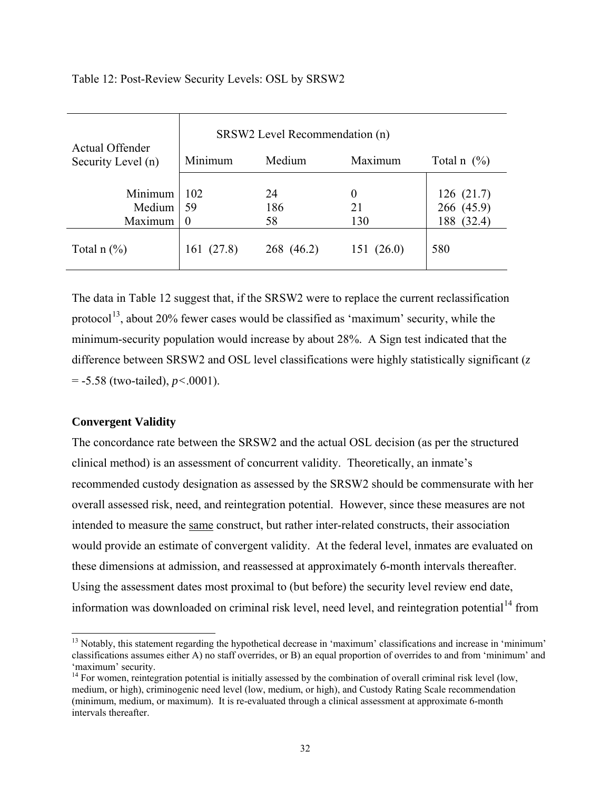| Actual Offender    | SRSW2 Level Recommendation (n) |            |           |                 |  |  |  |
|--------------------|--------------------------------|------------|-----------|-----------------|--|--|--|
| Security Level (n) | Minimum                        | Medium     | Maximum   | Total n $(\% )$ |  |  |  |
|                    |                                |            |           |                 |  |  |  |
| Minimum            | 102                            | 24         | 0         | 126(21.7)       |  |  |  |
| Medium             | 59                             | 186        | 21        | 266 (45.9)      |  |  |  |
| Maximum            | $\boldsymbol{0}$               | 58         | 130       | 188 (32.4)      |  |  |  |
| Total $n$ $(\%)$   | 161 (27.8)                     | 268 (46.2) | 151(26.0) | 580             |  |  |  |

Table 12: Post-Review Security Levels: OSL by SRSW2

The data in Table 12 suggest that, if the SRSW2 were to replace the current reclassification protocol<sup>[13](#page-39-0)</sup>, about 20% fewer cases would be classified as 'maximum' security, while the minimum-security population would increase by about 28%. A Sign test indicated that the difference between SRSW2 and OSL level classifications were highly statistically significant (*z* = -5.58 (two-tailed), *p<*.0001).

# **Convergent Validity**

 $\overline{a}$ 

The concordance rate between the SRSW2 and the actual OSL decision (as per the structured clinical method) is an assessment of concurrent validity. Theoretically, an inmate's recommended custody designation as assessed by the SRSW2 should be commensurate with her overall assessed risk, need, and reintegration potential. However, since these measures are not intended to measure the same construct, but rather inter-related constructs, their association would provide an estimate of convergent validity. At the federal level, inmates are evaluated on these dimensions at admission, and reassessed at approximately 6-month intervals thereafter. Using the assessment dates most proximal to (but before) the security level review end date, information was downloaded on criminal risk level, need level, and reintegration potential<sup>[1](#page-39-1)4</sup> from

<span id="page-39-0"></span><sup>&</sup>lt;sup>13</sup> Notably, this statement regarding the hypothetical decrease in 'maximum' classifications and increase in 'minimum' classifications assumes either A) no staff overrides, or B) an equal proportion of overrides to and from 'minimum' and 'maximum' security.

<span id="page-39-1"></span><sup>&</sup>lt;sup>14</sup> For women, reintegration potential is initially assessed by the combination of overall criminal risk level (low, medium, or high), criminogenic need level (low, medium, or high), and Custody Rating Scale recommendation (minimum, medium, or maximum). It is re-evaluated through a clinical assessment at approximate 6-month intervals thereafter.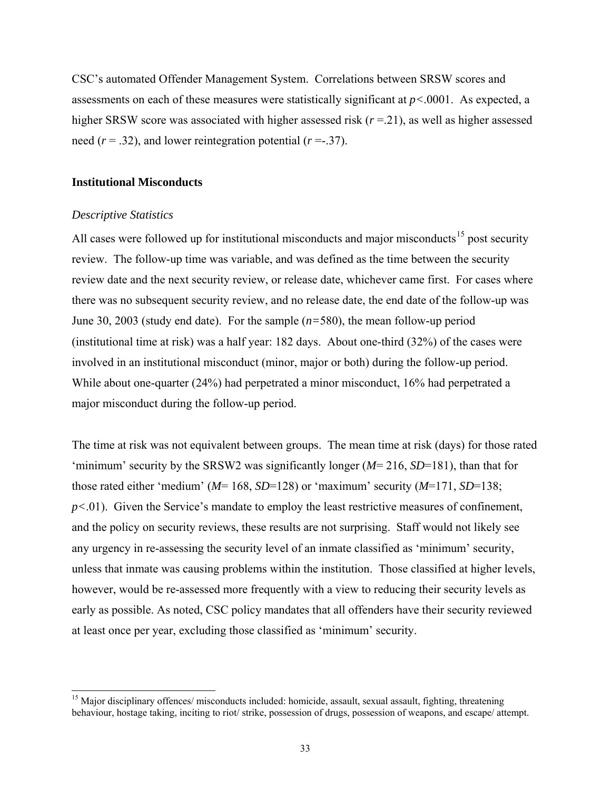CSC's automated Offender Management System. Correlations between SRSW scores and assessments on each of these measures were statistically significant at *p<*.0001. As expected, a higher SRSW score was associated with higher assessed risk ( $r = 21$ ), as well as higher assessed need  $(r = .32)$ , and lower reintegration potential  $(r = .37)$ .

### **Institutional Misconducts**

#### *Descriptive Statistics*

 $\overline{a}$ 

All cases were followed up for institutional misconducts and major misconducts<sup>[15](#page-40-0)</sup> post security review. The follow-up time was variable, and was defined as the time between the security review date and the next security review, or release date, whichever came first. For cases where there was no subsequent security review, and no release date, the end date of the follow-up was June 30, 2003 (study end date). For the sample (*n=*580), the mean follow-up period (institutional time at risk) was a half year: 182 days. About one-third (32%) of the cases were involved in an institutional misconduct (minor, major or both) during the follow-up period. While about one-quarter (24%) had perpetrated a minor misconduct, 16% had perpetrated a major misconduct during the follow-up period.

The time at risk was not equivalent between groups. The mean time at risk (days) for those rated 'minimum' security by the SRSW2 was significantly longer (*M*= 216, *SD*=181), than that for those rated either 'medium' (*M*= 168, *SD*=128) or 'maximum' security (*M*=171, *SD*=138;  $p<.01$ ). Given the Service's mandate to employ the least restrictive measures of confinement, and the policy on security reviews, these results are not surprising. Staff would not likely see any urgency in re-assessing the security level of an inmate classified as 'minimum' security, unless that inmate was causing problems within the institution. Those classified at higher levels, however, would be re-assessed more frequently with a view to reducing their security levels as early as possible. As noted, CSC policy mandates that all offenders have their security reviewed at least once per year, excluding those classified as 'minimum' security.

<span id="page-40-0"></span><sup>&</sup>lt;sup>15</sup> Major disciplinary offences/ misconducts included: homicide, assault, sexual assault, fighting, threatening behaviour, hostage taking, inciting to riot/ strike, possession of drugs, possession of weapons, and escape/ attempt.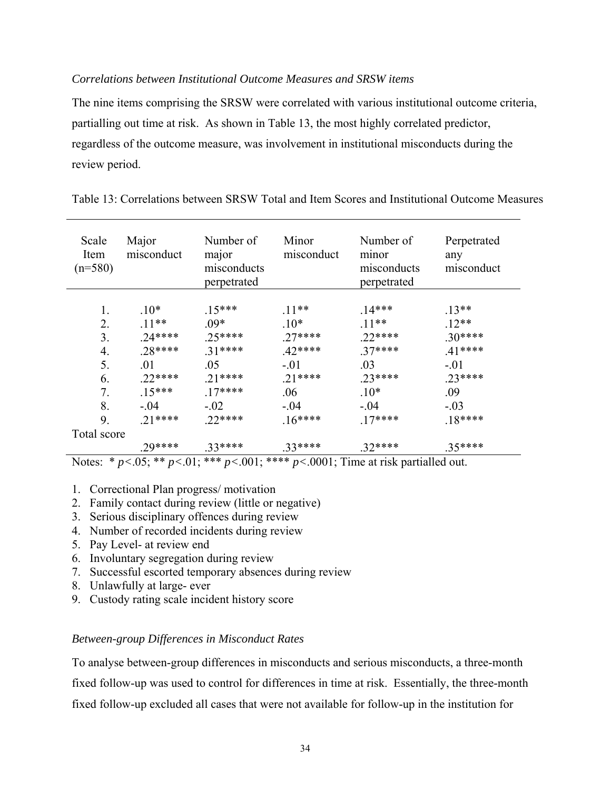# *Correlations between Institutional Outcome Measures and SRSW items*

The nine items comprising the SRSW were correlated with various institutional outcome criteria, partialling out time at risk. As shown in Table 13, the most highly correlated predictor, regardless of the outcome measure, was involvement in institutional misconducts during the review period.

| Scale<br>Item<br>$(n=580)$ | Major<br>misconduct | Number of<br>major<br>misconducts<br>perpetrated | Minor<br>misconduct | Number of<br>minor<br>misconducts<br>perpetrated | Perpetrated<br>any<br>misconduct |
|----------------------------|---------------------|--------------------------------------------------|---------------------|--------------------------------------------------|----------------------------------|
| 1.                         | $10*$               | $.15***$                                         | $.11**$             | $14***$                                          | $.13**$                          |
| 2.                         | $.11**$             | $.09*$                                           | $.10*$              | $.11**$                                          | $.12**$                          |
| 3.                         | $.24***$            | $.25****$                                        | $.27***$            | $.22***$                                         | $.30***$                         |
| 4.                         | $.28***$            | $.31***$                                         | $42***$             | $.37***$                                         | $.41***$                         |
| 5.                         | .01                 | .05                                              | $-.01$              | .03                                              | $-.01$                           |
| 6.                         | $.22***$            | $.21***$                                         | $.21***$            | $.23****$                                        | $.23****$                        |
| 7.                         | $15***$             | $.17***$                                         | .06                 | $.10*$                                           | .09                              |
| 8.                         | $-.04$              | $-.02$                                           | $-.04$              | $-0.04$                                          | $-.03$                           |
| 9.                         | $.21***$            | $.22***$                                         | $.16***$            | $17***$                                          | $18***$                          |
| Total score                |                     |                                                  |                     |                                                  |                                  |
|                            | .29****             | 33****                                           | $.33****$           | $32***$                                          | $.35***$                         |

Table 13: Correlations between SRSW Total and Item Scores and Institutional Outcome Measures

Notes: \* *p<*.05; \*\* *p<*.01; \*\*\* *p<*.001; \*\*\*\* *p<*.0001; Time at risk partialled out.

- 1. Correctional Plan progress/ motivation
- 2. Family contact during review (little or negative)
- 3. Serious disciplinary offences during review
- 4. Number of recorded incidents during review
- 5. Pay Level- at review end
- 6. Involuntary segregation during review
- 7. Successful escorted temporary absences during review
- 8. Unlawfully at large- ever
- 9. Custody rating scale incident history score

### *Between-group Differences in Misconduct Rates*

To analyse between-group differences in misconducts and serious misconducts, a three-month fixed follow-up was used to control for differences in time at risk. Essentially, the three-month fixed follow-up excluded all cases that were not available for follow-up in the institution for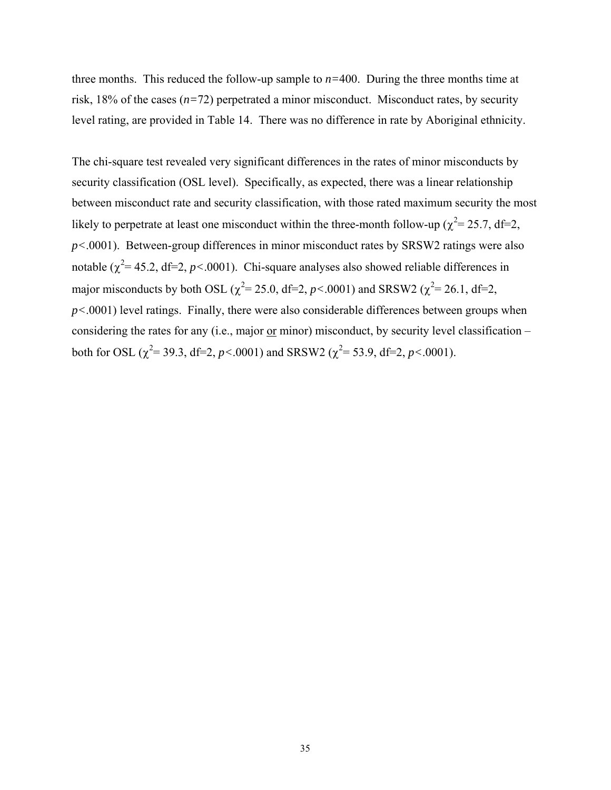three months. This reduced the follow-up sample to *n=*400. During the three months time at risk, 18% of the cases (*n=*72) perpetrated a minor misconduct. Misconduct rates, by security level rating, are provided in Table 14. There was no difference in rate by Aboriginal ethnicity.

The chi-square test revealed very significant differences in the rates of minor misconducts by security classification (OSL level). Specifically, as expected, there was a linear relationship between misconduct rate and security classification, with those rated maximum security the most likely to perpetrate at least one misconduct within the three-month follow-up ( $\chi^2$  = 25.7, df=2, *p<*.0001). Between-group differences in minor misconduct rates by SRSW2 ratings were also notable  $(\chi^2 = 45.2, df=2, p<0.001)$ . Chi-square analyses also showed reliable differences in major misconducts by both OSL ( $\chi^2$ = 25.0, df=2, *p*<.0001) and SRSW2 ( $\chi^2$ = 26.1, df=2, *p<*.0001) level ratings. Finally, there were also considerable differences between groups when considering the rates for any (i.e., major or minor) misconduct, by security level classification – both for OSL ( $\chi^2$ = 39.3, df=2, *p*<.0001) and SRSW2 ( $\chi^2$ = 53.9, df=2, *p*<.0001).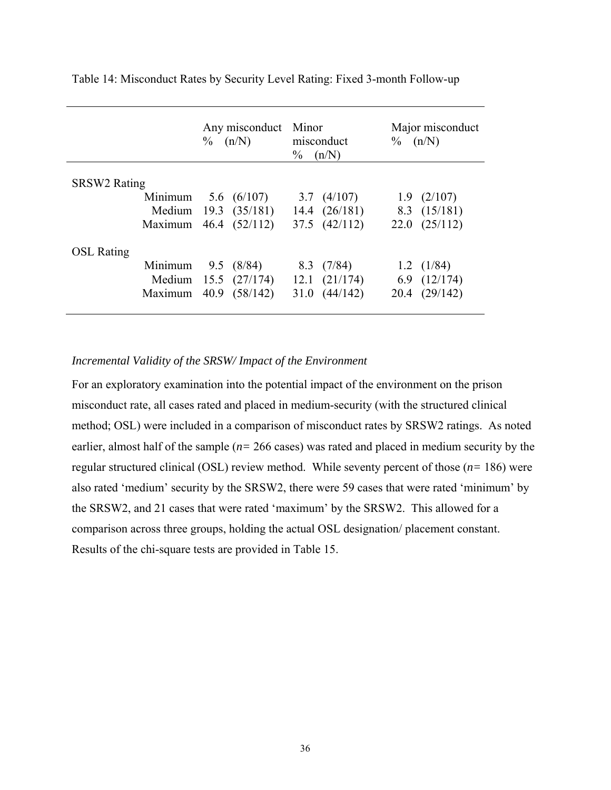|                     |                       | Any misconduct<br>(n/N)<br>$\%$ |                      | Minor<br>misconduct<br>$\%$<br>(n/N) |                       | Major misconduct<br>$\%$ (n/N) |                   |
|---------------------|-----------------------|---------------------------------|----------------------|--------------------------------------|-----------------------|--------------------------------|-------------------|
| <b>SRSW2 Rating</b> |                       |                                 |                      |                                      |                       |                                |                   |
|                     | Minimum $5.6$ (6/107) |                                 |                      |                                      | 3.7 $(4/107)$         |                                | $1.9$ $(2/107)$   |
|                     |                       |                                 | Medium 19.3 (35/181) |                                      | 14.4 $(26/181)$       |                                | 8.3 $(15/181)$    |
|                     | Maximum 46.4 (52/112) |                                 |                      |                                      | 37.5 (42/112)         |                                | $22.0$ $(25/112)$ |
| <b>OSL Rating</b>   |                       |                                 |                      |                                      |                       |                                |                   |
|                     | Minimum $9.5$ (8/84)  |                                 |                      |                                      | $8.3$ $(7/84)$        |                                | 1.2 $(1/84)$      |
|                     |                       |                                 | Medium 15.5 (27/174) |                                      | $12.1 \quad (21/174)$ |                                | 6.9 $(12/174)$    |
|                     | Maximum 40.9 (58/142) |                                 |                      |                                      | $31.0 \quad (44/142)$ |                                | 20.4 (29/142)     |
|                     |                       |                                 |                      |                                      |                       |                                |                   |

Table 14: Misconduct Rates by Security Level Rating: Fixed 3-month Follow-up

### *Incremental Validity of the SRSW/ Impact of the Environment*

For an exploratory examination into the potential impact of the environment on the prison misconduct rate, all cases rated and placed in medium-security (with the structured clinical method; OSL) were included in a comparison of misconduct rates by SRSW2 ratings. As noted earlier, almost half of the sample (*n=* 266 cases) was rated and placed in medium security by the regular structured clinical (OSL) review method. While seventy percent of those (*n=* 186) were also rated 'medium' security by the SRSW2, there were 59 cases that were rated 'minimum' by the SRSW2, and 21 cases that were rated 'maximum' by the SRSW2. This allowed for a comparison across three groups, holding the actual OSL designation/ placement constant. Results of the chi-square tests are provided in Table 15.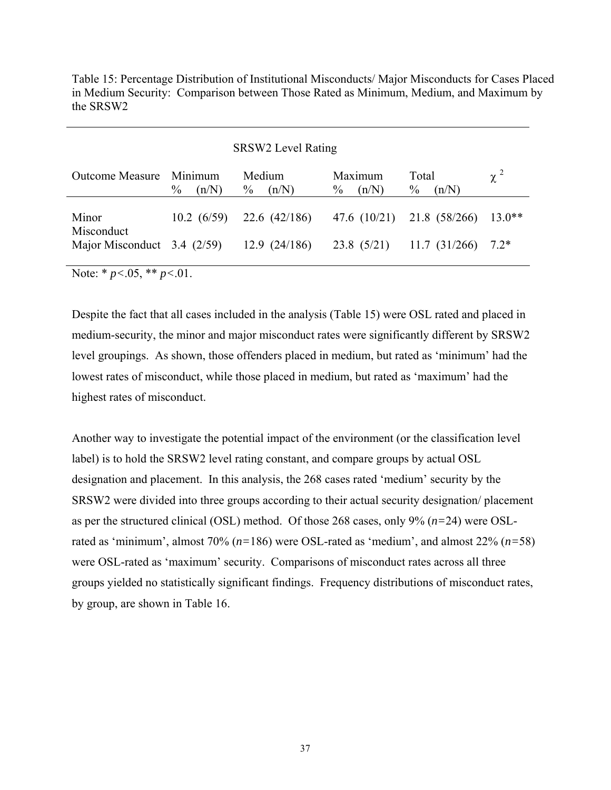Table 15: Percentage Distribution of Institutional Misconducts/ Major Misconducts for Cases Placed in Medium Security: Comparison between Those Rated as Minimum, Medium, and Maximum by the SRSW2

#### SRSW2 Level Rating

| <b>Outcome Measure</b>                      | Minimum<br>$\%$<br>(n/N) | Medium<br>$\%$<br>(n/N) | Maximum<br>(n/N)<br>$\%$ | Total<br>$\frac{0}{0}$<br>(n/N)   | $\chi^2$ |
|---------------------------------------------|--------------------------|-------------------------|--------------------------|-----------------------------------|----------|
| Minor                                       | $10.2 \ (6/59)$          | 22.6 (42/186)           |                          | 47.6 (10/21) 21.8 (58/266) 13.0** |          |
| Misconduct<br>Major Misconduct $3.4$ (2/59) |                          | 12.9 (24/186)           |                          | $23.8$ (5/21) 11.7 (31/266)       | $7.2*$   |

Note: \* *p<*.05, \*\* *p<*.01.

Despite the fact that all cases included in the analysis (Table 15) were OSL rated and placed in medium-security, the minor and major misconduct rates were significantly different by SRSW2 level groupings. As shown, those offenders placed in medium, but rated as 'minimum' had the lowest rates of misconduct, while those placed in medium, but rated as 'maximum' had the highest rates of misconduct.

Another way to investigate the potential impact of the environment (or the classification level label) is to hold the SRSW2 level rating constant, and compare groups by actual OSL designation and placement. In this analysis, the 268 cases rated 'medium' security by the SRSW2 were divided into three groups according to their actual security designation/ placement as per the structured clinical (OSL) method. Of those 268 cases, only 9% (*n=*24) were OSLrated as 'minimum', almost 70% (*n=*186) were OSL-rated as 'medium', and almost 22% (*n=*58) were OSL-rated as 'maximum' security. Comparisons of misconduct rates across all three groups yielded no statistically significant findings. Frequency distributions of misconduct rates, by group, are shown in Table 16.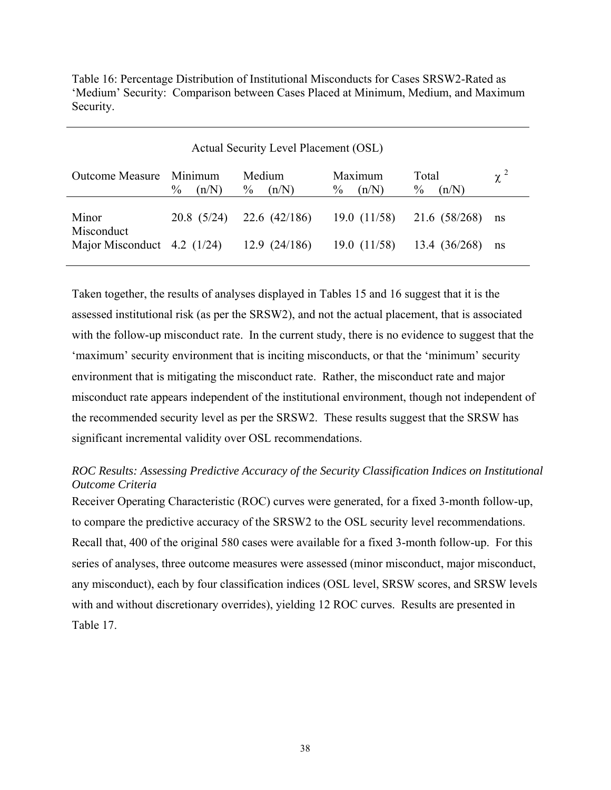Table 16: Percentage Distribution of Institutional Misconducts for Cases SRSW2-Rated as 'Medium' Security: Comparison between Cases Placed at Minimum, Medium, and Maximum Security.

| Actual Security Level Placement (OSL) |                          |                         |                          |                                 |          |  |  |  |
|---------------------------------------|--------------------------|-------------------------|--------------------------|---------------------------------|----------|--|--|--|
| <b>Outcome Measure</b>                | Minimum<br>$\%$<br>(n/N) | Medium<br>$\%$<br>(n/N) | Maximum<br>(n/N)<br>$\%$ | Total<br>$\frac{0}{0}$<br>(n/N) | $\chi^2$ |  |  |  |
| Minor<br>Misconduct                   | 20.8(5/24)               | 22.6(42/186)            | 19.0(11/58)              | 21.6 (58/268)                   | ns       |  |  |  |
| Major Misconduct $4.2$ (1/24)         |                          | 12.9(24/186)            | 19.0(11/58)              | 13.4 (36/268)                   | ns       |  |  |  |

Taken together, the results of analyses displayed in Tables 15 and 16 suggest that it is the assessed institutional risk (as per the SRSW2), and not the actual placement, that is associated with the follow-up misconduct rate. In the current study, there is no evidence to suggest that the 'maximum' security environment that is inciting misconducts, or that the 'minimum' security environment that is mitigating the misconduct rate. Rather, the misconduct rate and major misconduct rate appears independent of the institutional environment, though not independent of the recommended security level as per the SRSW2. These results suggest that the SRSW has significant incremental validity over OSL recommendations.

# *ROC Results: Assessing Predictive Accuracy of the Security Classification Indices on Institutional Outcome Criteria*

Receiver Operating Characteristic (ROC) curves were generated, for a fixed 3-month follow-up, to compare the predictive accuracy of the SRSW2 to the OSL security level recommendations. Recall that, 400 of the original 580 cases were available for a fixed 3-month follow-up. For this series of analyses, three outcome measures were assessed (minor misconduct, major misconduct, any misconduct), each by four classification indices (OSL level, SRSW scores, and SRSW levels with and without discretionary overrides), yielding 12 ROC curves. Results are presented in Table 17.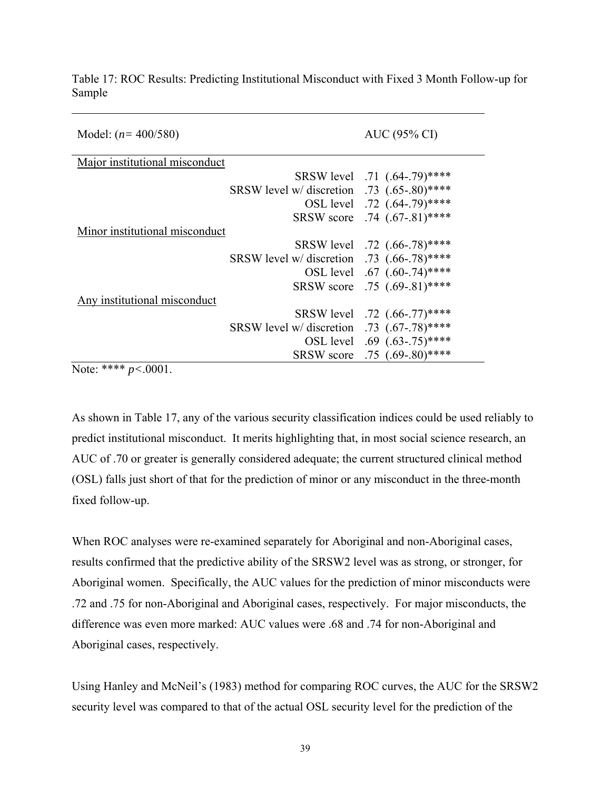| Model: $(n=400/580)$           |                                               | AUC (95% CI)                 |
|--------------------------------|-----------------------------------------------|------------------------------|
| Major institutional misconduct |                                               |                              |
|                                |                                               | SRSW level .71 (.64-.79)**** |
|                                | SRSW level w/ discretion .73 (.65-.80)****    |                              |
|                                |                                               | OSL level .72 (.64-.79)****  |
|                                |                                               | SRSW score .74 (.67-.81)**** |
| Minor institutional misconduct |                                               |                              |
|                                |                                               | SRSW level .72 (.66-.78)**** |
|                                | SRSW level w/ discretion .73 $(.66-.78)$ **** |                              |
|                                |                                               | OSL level .67 (.60-.74)****  |
|                                |                                               | SRSW score .75 (.69-.81)**** |
| Any institutional misconduct   |                                               |                              |
|                                |                                               | SRSW level .72 (.66-.77)**** |
|                                | SRSW level w/ discretion .73 $(.67-.78)$ **** |                              |
|                                |                                               | OSL level .69 (.63-.75)****  |
|                                |                                               | SRSW score .75 (.69-.80)**** |

Table 17: ROC Results: Predicting Institutional Misconduct with Fixed 3 Month Follow-up for Sample

Note: \*\*\*\* *p<*.0001.

As shown in Table 17, any of the various security classification indices could be used reliably to predict institutional misconduct. It merits highlighting that, in most social science research, an AUC of .70 or greater is generally considered adequate; the current structured clinical method (OSL) falls just short of that for the prediction of minor or any misconduct in the three-month fixed follow-up.

When ROC analyses were re-examined separately for Aboriginal and non-Aboriginal cases, results confirmed that the predictive ability of the SRSW2 level was as strong, or stronger, for Aboriginal women. Specifically, the AUC values for the prediction of minor misconducts were .72 and .75 for non-Aboriginal and Aboriginal cases, respectively. For major misconducts, the difference was even more marked: AUC values were .68 and .74 for non-Aboriginal and Aboriginal cases, respectively.

Using Hanley and McNeil's (1983) method for comparing ROC curves, the AUC for the SRSW2 security level was compared to that of the actual OSL security level for the prediction of the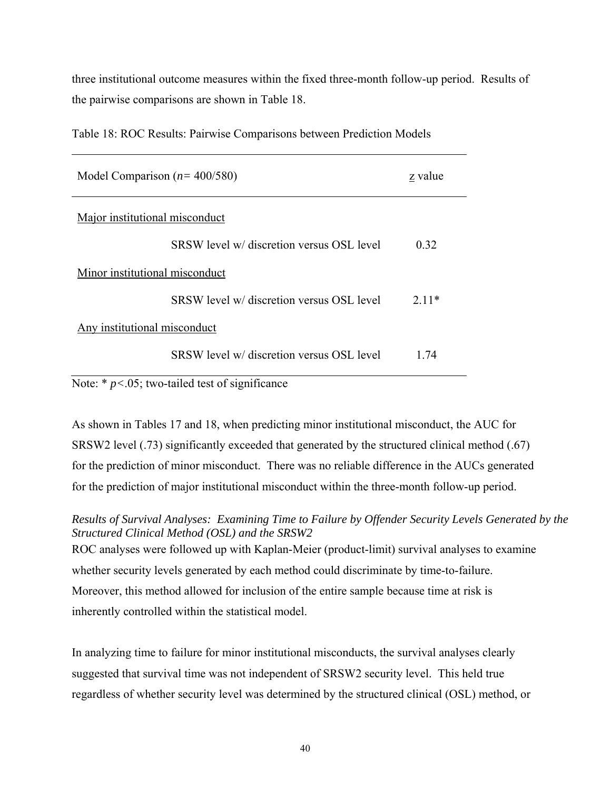three institutional outcome measures within the fixed three-month follow-up period. Results of the pairwise comparisons are shown in Table 18.

| Model Comparison $(n=400/580)$            | z value |  |  |  |
|-------------------------------------------|---------|--|--|--|
| Major institutional misconduct            |         |  |  |  |
| SRSW level w/ discretion versus OSL level | 0.32    |  |  |  |
| Minor institutional misconduct            |         |  |  |  |
| SRSW level w/ discretion versus OSL level | $2.11*$ |  |  |  |
| Any institutional misconduct              |         |  |  |  |
| SRSW level w/ discretion versus OSL level | 1 74    |  |  |  |

Table 18: ROC Results: Pairwise Comparisons between Prediction Models

Note: \*  $p$ <.05; two-tailed test of significance

As shown in Tables 17 and 18, when predicting minor institutional misconduct, the AUC for SRSW2 level (.73) significantly exceeded that generated by the structured clinical method (.67) for the prediction of minor misconduct. There was no reliable difference in the AUCs generated for the prediction of major institutional misconduct within the three-month follow-up period.

*Results of Survival Analyses: Examining Time to Failure by Offender Security Levels Generated by the Structured Clinical Method (OSL) and the SRSW2*  ROC analyses were followed up with Kaplan-Meier (product-limit) survival analyses to examine

whether security levels generated by each method could discriminate by time-to-failure. Moreover, this method allowed for inclusion of the entire sample because time at risk is inherently controlled within the statistical model.

In analyzing time to failure for minor institutional misconducts, the survival analyses clearly suggested that survival time was not independent of SRSW2 security level. This held true regardless of whether security level was determined by the structured clinical (OSL) method, or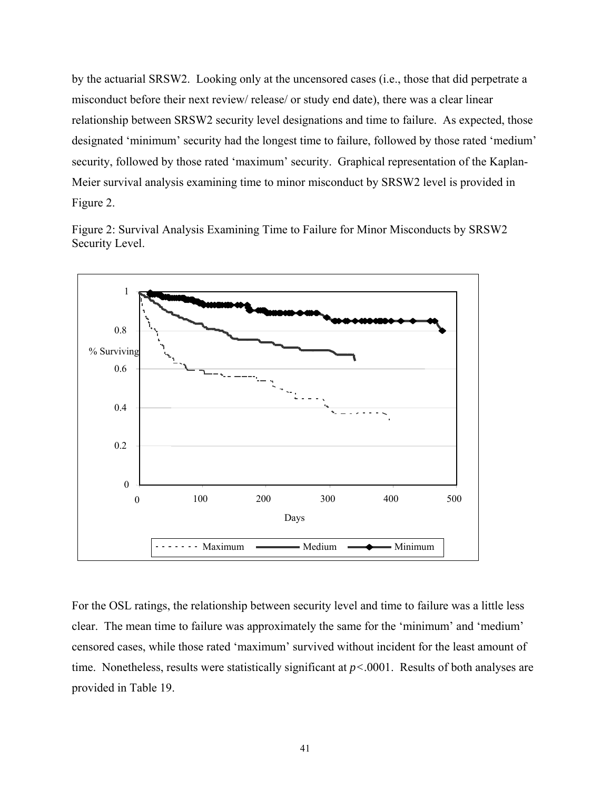by the actuarial SRSW2. Looking only at the uncensored cases (i.e., those that did perpetrate a misconduct before their next review/ release/ or study end date), there was a clear linear relationship between SRSW2 security level designations and time to failure. As expected, those designated 'minimum' security had the longest time to failure, followed by those rated 'medium' security, followed by those rated 'maximum' security. Graphical representation of the Kaplan-Meier survival analysis examining time to minor misconduct by SRSW2 level is provided in Figure 2.

Figure 2: Survival Analysis Examining Time to Failure for Minor Misconducts by SRSW2 Security Level.



For the OSL ratings, the relationship between security level and time to failure was a little less clear. The mean time to failure was approximately the same for the 'minimum' and 'medium' censored cases, while those rated 'maximum' survived without incident for the least amount of time. Nonetheless, results were statistically significant at *p<*.0001. Results of both analyses are provided in Table 19.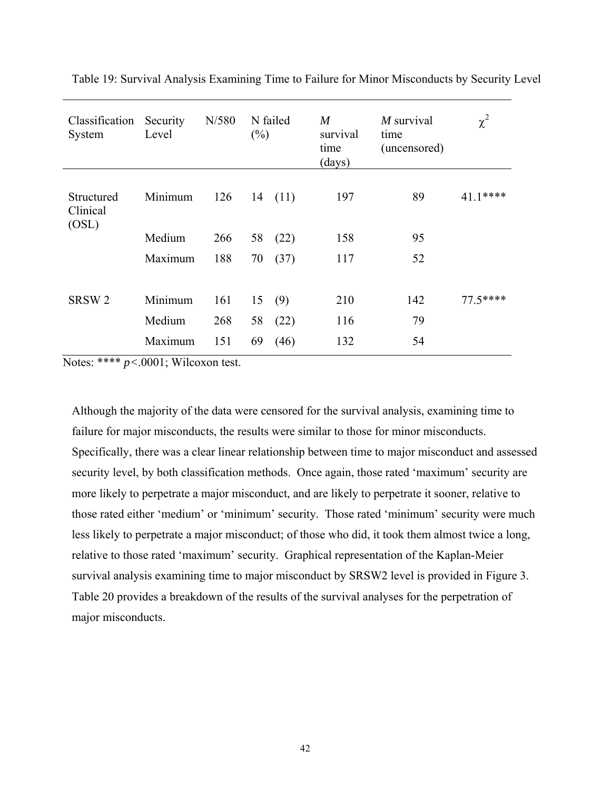| Classification<br>System        | Security<br>Level | N/580 | $(\%)$ | N failed | $\boldsymbol{M}$<br>survival<br>time<br>(days) | $M$ survival<br>time<br>(uncensored) | $\chi^2$  |
|---------------------------------|-------------------|-------|--------|----------|------------------------------------------------|--------------------------------------|-----------|
| Structured<br>Clinical<br>(OSL) | Minimum           | 126   | 14     | (11)     | 197                                            | 89                                   | $41.1***$ |
|                                 | Medium            | 266   | 58     | (22)     | 158                                            | 95                                   |           |
|                                 | Maximum           | 188   | 70     | (37)     | 117                                            | 52                                   |           |
|                                 |                   |       |        |          |                                                |                                      |           |
| SRSW <sub>2</sub>               | Minimum           | 161   | 15     | (9)      | 210                                            | 142                                  | $77.5***$ |
|                                 | Medium            | 268   | 58     | (22)     | 116                                            | 79                                   |           |
|                                 | Maximum           | 151   | 69     | (46)     | 132                                            | 54                                   |           |

Table 19: Survival Analysis Examining Time to Failure for Minor Misconducts by Security Level

Notes: \*\*\*\* *p<*.0001; Wilcoxon test.

Although the majority of the data were censored for the survival analysis, examining time to failure for major misconducts, the results were similar to those for minor misconducts. Specifically, there was a clear linear relationship between time to major misconduct and assessed security level, by both classification methods. Once again, those rated 'maximum' security are more likely to perpetrate a major misconduct, and are likely to perpetrate it sooner, relative to those rated either 'medium' or 'minimum' security. Those rated 'minimum' security were much less likely to perpetrate a major misconduct; of those who did, it took them almost twice a long, relative to those rated 'maximum' security. Graphical representation of the Kaplan-Meier survival analysis examining time to major misconduct by SRSW2 level is provided in Figure 3. Table 20 provides a breakdown of the results of the survival analyses for the perpetration of major misconducts.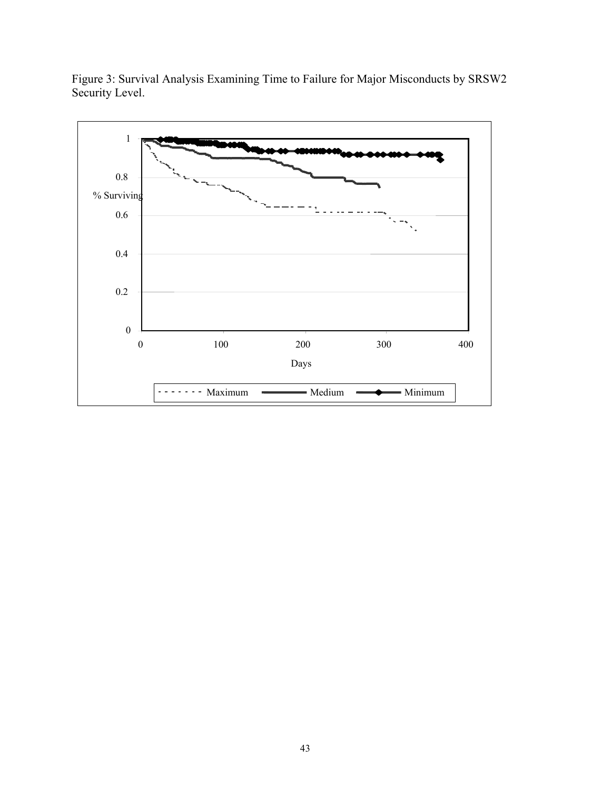

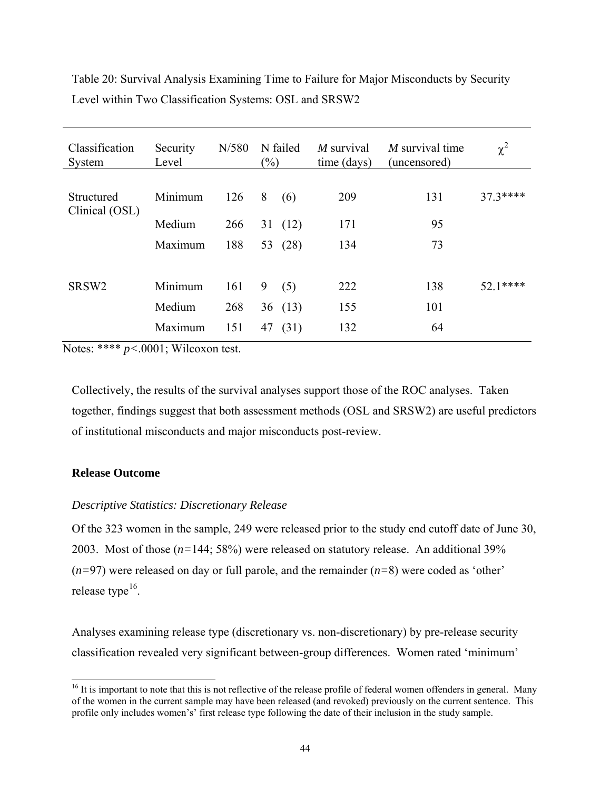| Classification<br>System     | Security<br>Level | N/580 | $(\%)$ | N failed | $M$ survival<br>time (days) | $M$ survival time<br>(uncensored) | $\chi^2$ |
|------------------------------|-------------------|-------|--------|----------|-----------------------------|-----------------------------------|----------|
| Structured<br>Clinical (OSL) | Minimum           | 126   | 8      | (6)      | 209                         | 131                               | 37.3**** |
|                              | Medium            | 266   | 31     | (12)     | 171                         | 95                                |          |
|                              | Maximum           | 188   | 53     | (28)     | 134                         | 73                                |          |
|                              |                   |       |        |          |                             |                                   |          |
| SRSW <sub>2</sub>            | Minimum           | 161   | 9      | (5)      | 222                         | 138                               | 52.1**** |
|                              | Medium            | 268   |        | 36(13)   | 155                         | 101                               |          |
|                              | Maximum           | 151   | 47     | (31)     | 132                         | 64                                |          |

Table 20: Survival Analysis Examining Time to Failure for Major Misconducts by Security Level within Two Classification Systems: OSL and SRSW2

Notes: \*\*\*\* *p<*.0001; Wilcoxon test.

Collectively, the results of the survival analyses support those of the ROC analyses. Taken together, findings suggest that both assessment methods (OSL and SRSW2) are useful predictors of institutional misconducts and major misconducts post-review.

# **Release Outcome**

l

# *Descriptive Statistics: Discretionary Release*

Of the 323 women in the sample, 249 were released prior to the study end cutoff date of June 30, 2003. Most of those (*n=*144; 58%) were released on statutory release. An additional 39% (*n=*97) were released on day or full parole, and the remainder (*n=*8) were coded as 'other' release type $16$ .

Analyses examining release type (discretionary vs. non-discretionary) by pre-release security classification revealed very significant between-group differences. Women rated 'minimum'

<span id="page-51-0"></span><sup>&</sup>lt;sup>16</sup> It is important to note that this is not reflective of the release profile of federal women offenders in general. Many of the women in the current sample may have been released (and revoked) previously on the current sentence. This profile only includes women's' first release type following the date of their inclusion in the study sample.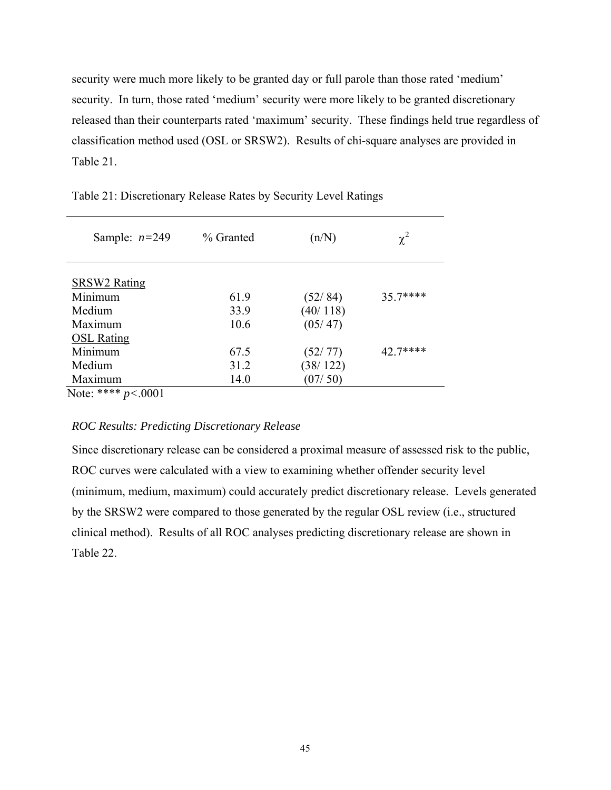security were much more likely to be granted day or full parole than those rated 'medium' security. In turn, those rated 'medium' security were more likely to be granted discretionary released than their counterparts rated 'maximum' security. These findings held true regardless of classification method used (OSL or SRSW2). Results of chi-square analyses are provided in Table 21.

| Sample: $n=249$        | % Granted | (n/N)    | $\chi^2$ |
|------------------------|-----------|----------|----------|
| <b>SRSW2 Rating</b>    |           |          |          |
| Minimum                | 61.9      | (52/84)  | 35.7**** |
| Medium                 | 33.9      | (40/118) |          |
| Maximum                | 10.6      | (05/47)  |          |
| <b>OSL Rating</b>      |           |          |          |
| Minimum                | 67.5      | (52/77)  | 42.7**** |
| Medium                 | 31.2      | (38/122) |          |
| Maximum                | 14.0      | (07/50)  |          |
| Note: **** $p < .0001$ |           |          |          |

Table 21: Discretionary Release Rates by Security Level Ratings

*ROC Results: Predicting Discretionary Release* 

Since discretionary release can be considered a proximal measure of assessed risk to the public, ROC curves were calculated with a view to examining whether offender security level (minimum, medium, maximum) could accurately predict discretionary release. Levels generated by the SRSW2 were compared to those generated by the regular OSL review (i.e., structured clinical method). Results of all ROC analyses predicting discretionary release are shown in Table 22.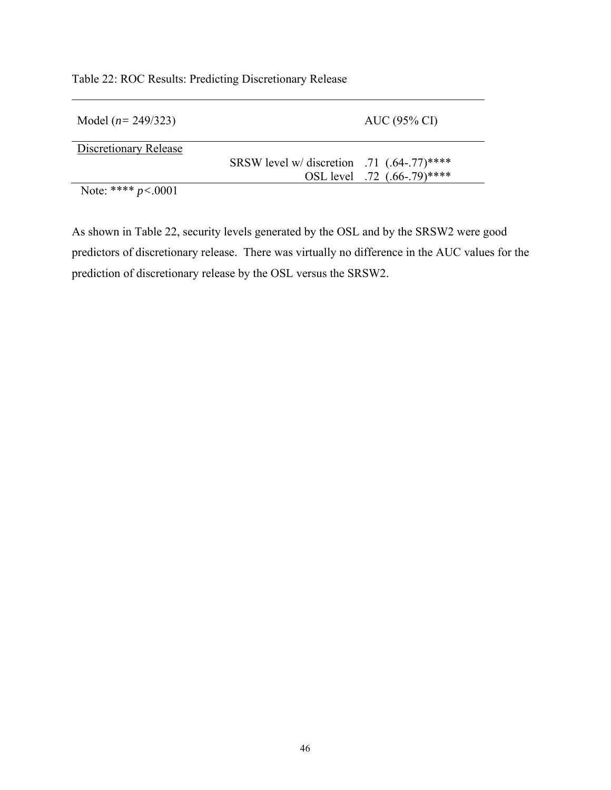| Model $(n=249/323)$   |                                               | AUC (95% CI)                 |
|-----------------------|-----------------------------------------------|------------------------------|
| Discretionary Release |                                               |                              |
|                       | SRSW level w/ discretion .71 $(.64-.77)$ **** |                              |
|                       |                                               | OSL level .72 (.66-.79)***** |
| Note: **** $p<.0001$  |                                               |                              |

Table 22: ROC Results: Predicting Discretionary Release

As shown in Table 22, security levels generated by the OSL and by the SRSW2 were good predictors of discretionary release. There was virtually no difference in the AUC values for the prediction of discretionary release by the OSL versus the SRSW2.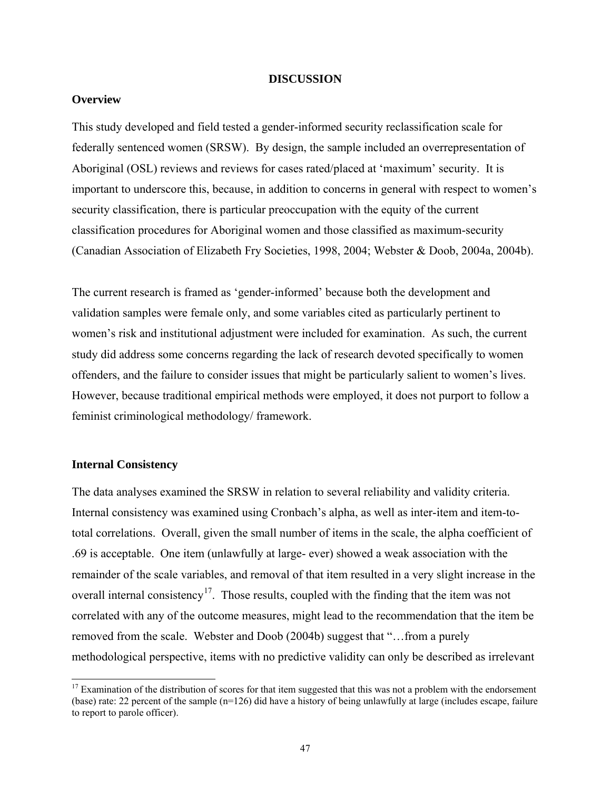#### **DISCUSSION**

# **Overview**

This study developed and field tested a gender-informed security reclassification scale for federally sentenced women (SRSW). By design, the sample included an overrepresentation of Aboriginal (OSL) reviews and reviews for cases rated/placed at 'maximum' security. It is important to underscore this, because, in addition to concerns in general with respect to women's security classification, there is particular preoccupation with the equity of the current classification procedures for Aboriginal women and those classified as maximum-security (Canadian Association of Elizabeth Fry Societies, 1998, 2004; Webster & Doob, 2004a, 2004b).

The current research is framed as 'gender-informed' because both the development and validation samples were female only, and some variables cited as particularly pertinent to women's risk and institutional adjustment were included for examination. As such, the current study did address some concerns regarding the lack of research devoted specifically to women offenders, and the failure to consider issues that might be particularly salient to women's lives. However, because traditional empirical methods were employed, it does not purport to follow a feminist criminological methodology/ framework.

#### **Internal Consistency**

l

The data analyses examined the SRSW in relation to several reliability and validity criteria. Internal consistency was examined using Cronbach's alpha, as well as inter-item and item-tototal correlations. Overall, given the small number of items in the scale, the alpha coefficient of .69 is acceptable. One item (unlawfully at large- ever) showed a weak association with the remainder of the scale variables, and removal of that item resulted in a very slight increase in the overall internal consistency<sup>[1](#page-54-0)7</sup>. Those results, coupled with the finding that the item was not correlated with any of the outcome measures, might lead to the recommendation that the item be removed from the scale. Webster and Doob (2004b) suggest that "…from a purely methodological perspective, items with no predictive validity can only be described as irrelevant

<span id="page-54-0"></span> $17$  Examination of the distribution of scores for that item suggested that this was not a problem with the endorsement (base) rate: 22 percent of the sample (n=126) did have a history of being unlawfully at large (includes escape, failure to report to parole officer).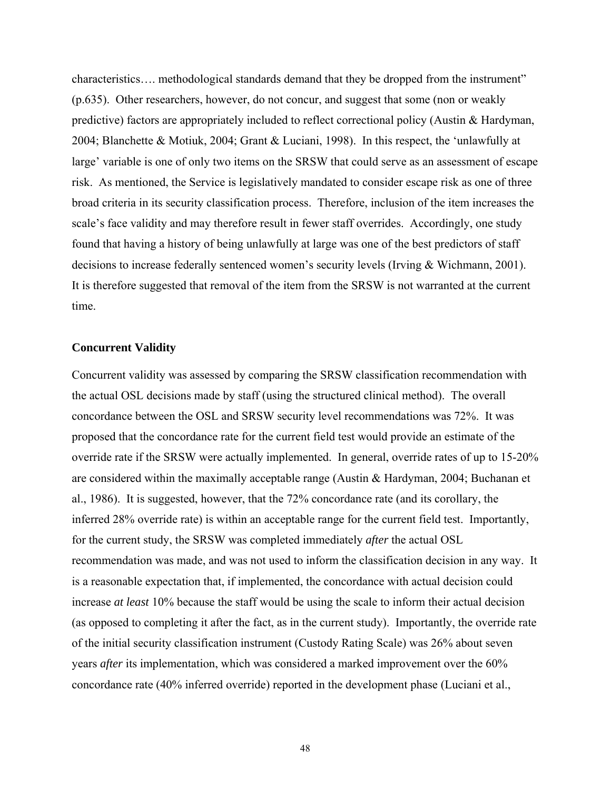characteristics…. methodological standards demand that they be dropped from the instrument" (p.635). Other researchers, however, do not concur, and suggest that some (non or weakly predictive) factors are appropriately included to reflect correctional policy (Austin & Hardyman, 2004; Blanchette & Motiuk, 2004; Grant & Luciani, 1998). In this respect, the 'unlawfully at large' variable is one of only two items on the SRSW that could serve as an assessment of escape risk. As mentioned, the Service is legislatively mandated to consider escape risk as one of three broad criteria in its security classification process. Therefore, inclusion of the item increases the scale's face validity and may therefore result in fewer staff overrides. Accordingly, one study found that having a history of being unlawfully at large was one of the best predictors of staff decisions to increase federally sentenced women's security levels (Irving & Wichmann, 2001). It is therefore suggested that removal of the item from the SRSW is not warranted at the current time.

### **Concurrent Validity**

Concurrent validity was assessed by comparing the SRSW classification recommendation with the actual OSL decisions made by staff (using the structured clinical method). The overall concordance between the OSL and SRSW security level recommendations was 72%. It was proposed that the concordance rate for the current field test would provide an estimate of the override rate if the SRSW were actually implemented. In general, override rates of up to 15-20% are considered within the maximally acceptable range (Austin & Hardyman, 2004; Buchanan et al., 1986). It is suggested, however, that the 72% concordance rate (and its corollary, the inferred 28% override rate) is within an acceptable range for the current field test. Importantly, for the current study, the SRSW was completed immediately *after* the actual OSL recommendation was made, and was not used to inform the classification decision in any way. It is a reasonable expectation that, if implemented, the concordance with actual decision could increase *at least* 10% because the staff would be using the scale to inform their actual decision (as opposed to completing it after the fact, as in the current study). Importantly, the override rate of the initial security classification instrument (Custody Rating Scale) was 26% about seven years *after* its implementation, which was considered a marked improvement over the 60% concordance rate (40% inferred override) reported in the development phase (Luciani et al.,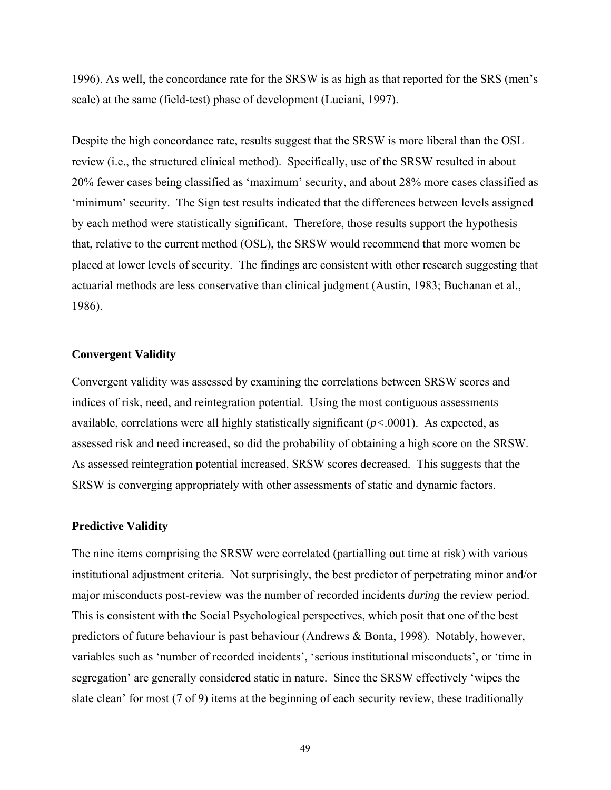1996). As well, the concordance rate for the SRSW is as high as that reported for the SRS (men's scale) at the same (field-test) phase of development (Luciani, 1997).

Despite the high concordance rate, results suggest that the SRSW is more liberal than the OSL review (i.e., the structured clinical method). Specifically, use of the SRSW resulted in about 20% fewer cases being classified as 'maximum' security, and about 28% more cases classified as 'minimum' security. The Sign test results indicated that the differences between levels assigned by each method were statistically significant. Therefore, those results support the hypothesis that, relative to the current method (OSL), the SRSW would recommend that more women be placed at lower levels of security. The findings are consistent with other research suggesting that actuarial methods are less conservative than clinical judgment (Austin, 1983; Buchanan et al., 1986).

### **Convergent Validity**

Convergent validity was assessed by examining the correlations between SRSW scores and indices of risk, need, and reintegration potential. Using the most contiguous assessments available, correlations were all highly statistically significant (*p<*.0001). As expected, as assessed risk and need increased, so did the probability of obtaining a high score on the SRSW. As assessed reintegration potential increased, SRSW scores decreased. This suggests that the SRSW is converging appropriately with other assessments of static and dynamic factors.

#### **Predictive Validity**

The nine items comprising the SRSW were correlated (partialling out time at risk) with various institutional adjustment criteria. Not surprisingly, the best predictor of perpetrating minor and/or major misconducts post-review was the number of recorded incidents *during* the review period. This is consistent with the Social Psychological perspectives, which posit that one of the best predictors of future behaviour is past behaviour (Andrews & Bonta, 1998). Notably, however, variables such as 'number of recorded incidents', 'serious institutional misconducts', or 'time in segregation' are generally considered static in nature. Since the SRSW effectively 'wipes the slate clean' for most (7 of 9) items at the beginning of each security review, these traditionally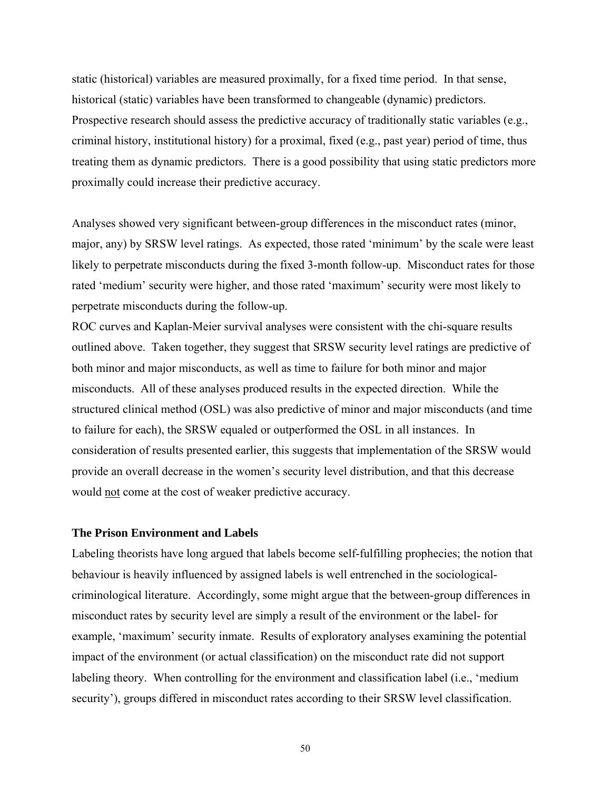static (historical) variables are measured proximally, for a fixed time period. In that sense, historical (static) variables have been transformed to changeable (dynamic) predictors. Prospective research should assess the predictive accuracy of traditionally static variables (e.g., criminal history, institutional history) for a proximal, fixed (e.g., past year) period of time, thus treating them as dynamic predictors. There is a good possibility that using static predictors more proximally could increase their predictive accuracy.

Analyses showed very significant between-group differences in the misconduct rates (minor, major, any) by SRSW level ratings. As expected, those rated 'minimum' by the scale were least likely to perpetrate misconducts during the fixed 3-month follow-up. Misconduct rates for those rated 'medium' security were higher, and those rated 'maximum' security were most likely to perpetrate misconducts during the follow-up.

ROC curves and Kaplan-Meier survival analyses were consistent with the chi-square results outlined above. Taken together, they suggest that SRSW security level ratings are predictive of both minor and major misconducts, as well as time to failure for both minor and major misconducts. All of these analyses produced results in the expected direction. While the structured clinical method (OSL) was also predictive of minor and major misconducts (and time to failure for each), the SRSW equaled or outperformed the OSL in all instances. In consideration of results presented earlier, this suggests that implementation of the SRSW would provide an overall decrease in the women's security level distribution, and that this decrease would not come at the cost of weaker predictive accuracy.

# **The Prison Environment and Labels**

Labeling theorists have long argued that labels become self-fulfilling prophecies; the notion that behaviour is heavily influenced by assigned labels is well entrenched in the sociologicalcriminological literature. Accordingly, some might argue that the between-group differences in misconduct rates by security level are simply a result of the environment or the label- for example, 'maximum' security inmate. Results of exploratory analyses examining the potential impact of the environment (or actual classification) on the misconduct rate did not support labeling theory. When controlling for the environment and classification label (i.e., 'medium security'), groups differed in misconduct rates according to their SRSW level classification.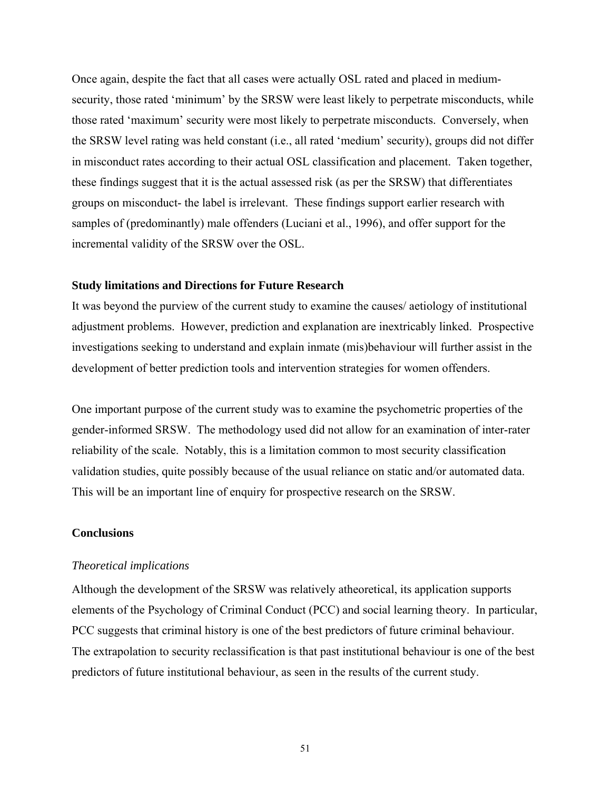Once again, despite the fact that all cases were actually OSL rated and placed in mediumsecurity, those rated 'minimum' by the SRSW were least likely to perpetrate misconducts, while those rated 'maximum' security were most likely to perpetrate misconducts. Conversely, when the SRSW level rating was held constant (i.e., all rated 'medium' security), groups did not differ in misconduct rates according to their actual OSL classification and placement. Taken together, these findings suggest that it is the actual assessed risk (as per the SRSW) that differentiates groups on misconduct- the label is irrelevant. These findings support earlier research with samples of (predominantly) male offenders (Luciani et al., 1996), and offer support for the incremental validity of the SRSW over the OSL.

### **Study limitations and Directions for Future Research**

It was beyond the purview of the current study to examine the causes/ aetiology of institutional adjustment problems. However, prediction and explanation are inextricably linked. Prospective investigations seeking to understand and explain inmate (mis)behaviour will further assist in the development of better prediction tools and intervention strategies for women offenders.

One important purpose of the current study was to examine the psychometric properties of the gender-informed SRSW. The methodology used did not allow for an examination of inter-rater reliability of the scale. Notably, this is a limitation common to most security classification validation studies, quite possibly because of the usual reliance on static and/or automated data. This will be an important line of enquiry for prospective research on the SRSW.

### **Conclusions**

#### *Theoretical implications*

Although the development of the SRSW was relatively atheoretical, its application supports elements of the Psychology of Criminal Conduct (PCC) and social learning theory. In particular, PCC suggests that criminal history is one of the best predictors of future criminal behaviour. The extrapolation to security reclassification is that past institutional behaviour is one of the best predictors of future institutional behaviour, as seen in the results of the current study.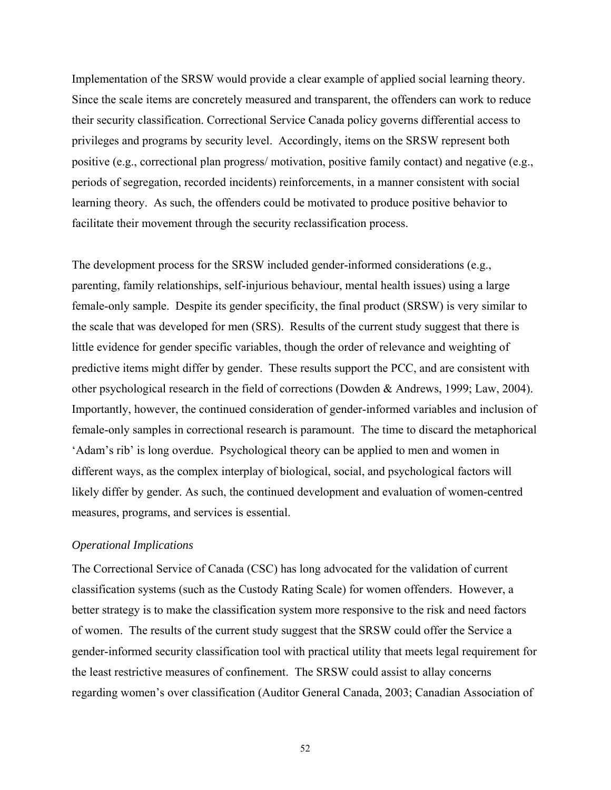Implementation of the SRSW would provide a clear example of applied social learning theory. Since the scale items are concretely measured and transparent, the offenders can work to reduce their security classification. Correctional Service Canada policy governs differential access to privileges and programs by security level. Accordingly, items on the SRSW represent both positive (e.g., correctional plan progress/ motivation, positive family contact) and negative (e.g., periods of segregation, recorded incidents) reinforcements, in a manner consistent with social learning theory. As such, the offenders could be motivated to produce positive behavior to facilitate their movement through the security reclassification process.

The development process for the SRSW included gender-informed considerations (e.g., parenting, family relationships, self-injurious behaviour, mental health issues) using a large female-only sample. Despite its gender specificity, the final product (SRSW) is very similar to the scale that was developed for men (SRS). Results of the current study suggest that there is little evidence for gender specific variables, though the order of relevance and weighting of predictive items might differ by gender. These results support the PCC, and are consistent with other psychological research in the field of corrections (Dowden & Andrews, 1999; Law, 2004). Importantly, however, the continued consideration of gender-informed variables and inclusion of female-only samples in correctional research is paramount. The time to discard the metaphorical 'Adam's rib' is long overdue. Psychological theory can be applied to men and women in different ways, as the complex interplay of biological, social, and psychological factors will likely differ by gender. As such, the continued development and evaluation of women-centred measures, programs, and services is essential.

### *Operational Implications*

The Correctional Service of Canada (CSC) has long advocated for the validation of current classification systems (such as the Custody Rating Scale) for women offenders. However, a better strategy is to make the classification system more responsive to the risk and need factors of women. The results of the current study suggest that the SRSW could offer the Service a gender-informed security classification tool with practical utility that meets legal requirement for the least restrictive measures of confinement. The SRSW could assist to allay concerns regarding women's over classification (Auditor General Canada, 2003; Canadian Association of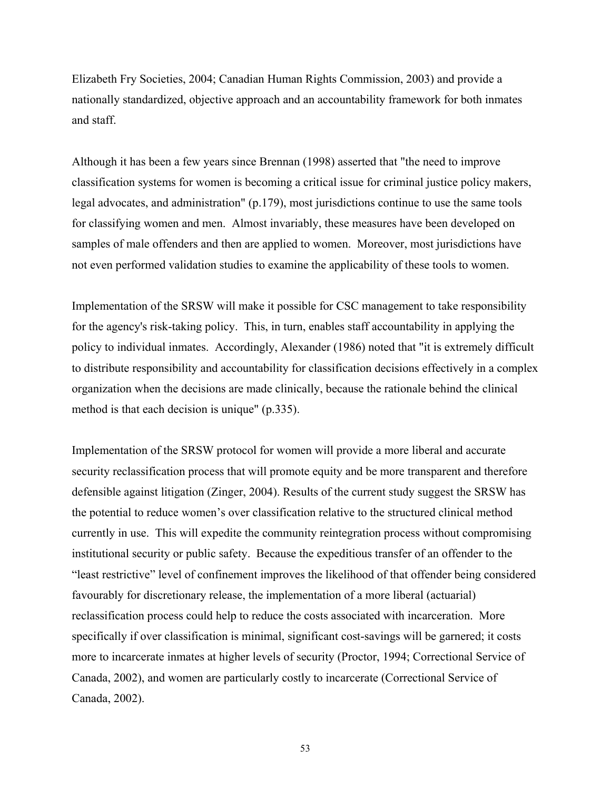Elizabeth Fry Societies, 2004; Canadian Human Rights Commission, 2003) and provide a nationally standardized, objective approach and an accountability framework for both inmates and staff.

Although it has been a few years since Brennan (1998) asserted that "the need to improve classification systems for women is becoming a critical issue for criminal justice policy makers, legal advocates, and administration" (p.179), most jurisdictions continue to use the same tools for classifying women and men. Almost invariably, these measures have been developed on samples of male offenders and then are applied to women. Moreover, most jurisdictions have not even performed validation studies to examine the applicability of these tools to women.

Implementation of the SRSW will make it possible for CSC management to take responsibility for the agency's risk-taking policy. This, in turn, enables staff accountability in applying the policy to individual inmates. Accordingly, Alexander (1986) noted that "it is extremely difficult to distribute responsibility and accountability for classification decisions effectively in a complex organization when the decisions are made clinically, because the rationale behind the clinical method is that each decision is unique" (p.335).

Implementation of the SRSW protocol for women will provide a more liberal and accurate security reclassification process that will promote equity and be more transparent and therefore defensible against litigation (Zinger, 2004). Results of the current study suggest the SRSW has the potential to reduce women's over classification relative to the structured clinical method currently in use. This will expedite the community reintegration process without compromising institutional security or public safety. Because the expeditious transfer of an offender to the "least restrictive" level of confinement improves the likelihood of that offender being considered favourably for discretionary release, the implementation of a more liberal (actuarial) reclassification process could help to reduce the costs associated with incarceration. More specifically if over classification is minimal, significant cost-savings will be garnered; it costs more to incarcerate inmates at higher levels of security (Proctor, 1994; Correctional Service of Canada, 2002), and women are particularly costly to incarcerate (Correctional Service of Canada, 2002).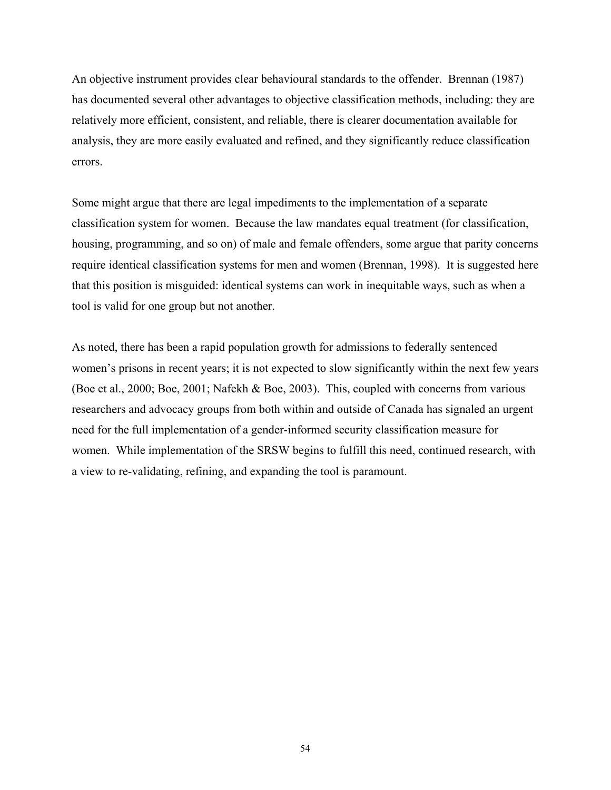An objective instrument provides clear behavioural standards to the offender. Brennan (1987) has documented several other advantages to objective classification methods, including: they are relatively more efficient, consistent, and reliable, there is clearer documentation available for analysis, they are more easily evaluated and refined, and they significantly reduce classification errors.

Some might argue that there are legal impediments to the implementation of a separate classification system for women. Because the law mandates equal treatment (for classification, housing, programming, and so on) of male and female offenders, some argue that parity concerns require identical classification systems for men and women (Brennan, 1998). It is suggested here that this position is misguided: identical systems can work in inequitable ways, such as when a tool is valid for one group but not another.

As noted, there has been a rapid population growth for admissions to federally sentenced women's prisons in recent years; it is not expected to slow significantly within the next few years (Boe et al., 2000; Boe, 2001; Nafekh & Boe, 2003). This, coupled with concerns from various researchers and advocacy groups from both within and outside of Canada has signaled an urgent need for the full implementation of a gender-informed security classification measure for women. While implementation of the SRSW begins to fulfill this need, continued research, with a view to re-validating, refining, and expanding the tool is paramount.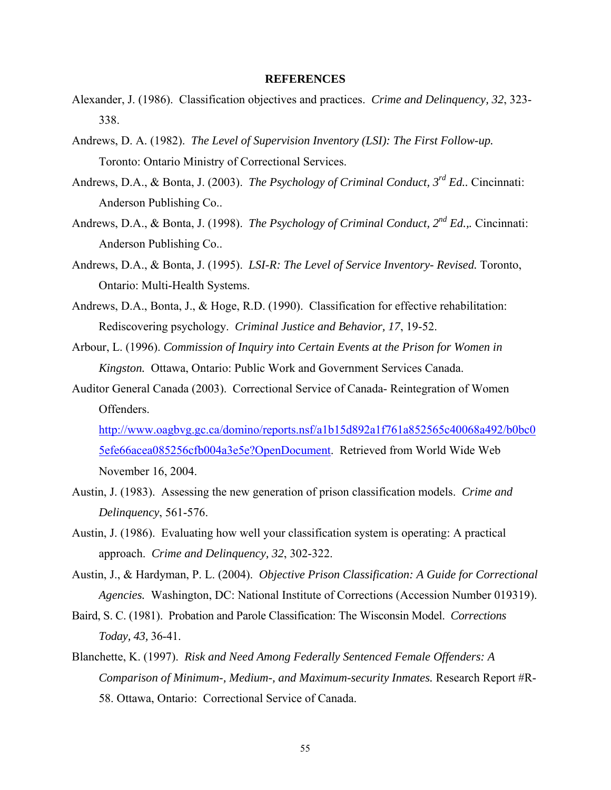#### **REFERENCES**

- Alexander, J. (1986). Classification objectives and practices. *Crime and Delinquency, 32*, 323- 338.
- Andrews, D. A. (1982). *The Level of Supervision Inventory (LSI): The First Follow-up.* Toronto: Ontario Ministry of Correctional Services.
- Andrews, D.A., & Bonta, J. (2003). *The Psychology of Criminal Conduct, 3rd Ed..* Cincinnati: Anderson Publishing Co..
- Andrews, D.A., & Bonta, J. (1998). *The Psychology of Criminal Conduct*,  $2^{nd} Ed$ ... Cincinnati: Anderson Publishing Co..
- Andrews, D.A., & Bonta, J. (1995). *LSI-R: The Level of Service Inventory- Revised.* Toronto, Ontario: Multi-Health Systems.
- Andrews, D.A., Bonta, J., & Hoge, R.D. (1990). Classification for effective rehabilitation: Rediscovering psychology. *Criminal Justice and Behavior, 17*, 19-52.
- Arbour, L. (1996). *Commission of Inquiry into Certain Events at the Prison for Women in Kingston.* Ottawa, Ontario: Public Work and Government Services Canada.
- Auditor General Canada (2003). Correctional Service of Canada- Reintegration of Women Offenders.

[http://www.oagbvg.gc.ca/domino/reports.nsf/a1b15d892a1f761a852565c40068a492/b0bc0](http://www.oagbvg.gc.ca/domino/reports.nsf/a1b15d892a1f761a852565c40068a492/b0bc05efe66acea085256cfb004a3e5e?OpenDocument) [5efe66acea085256cfb004a3e5e?OpenDocument.](http://www.oagbvg.gc.ca/domino/reports.nsf/a1b15d892a1f761a852565c40068a492/b0bc05efe66acea085256cfb004a3e5e?OpenDocument) Retrieved from World Wide Web November 16, 2004.

- Austin, J. (1983). Assessing the new generation of prison classification models. *Crime and Delinquency*, 561-576.
- Austin, J. (1986). Evaluating how well your classification system is operating: A practical approach. *Crime and Delinquency, 32*, 302-322.
- Austin, J., & Hardyman, P. L. (2004). *Objective Prison Classification: A Guide for Correctional Agencies.* Washington, DC: National Institute of Corrections (Accession Number 019319).
- Baird, S. C. (1981). Probation and Parole Classification: The Wisconsin Model. *Corrections Today, 43,* 36-41.
- Blanchette, K. (1997). *Risk and Need Among Federally Sentenced Female Offenders: A Comparison of Minimum-, Medium-, and Maximum-security Inmates.* Research Report #R-58. Ottawa, Ontario: Correctional Service of Canada.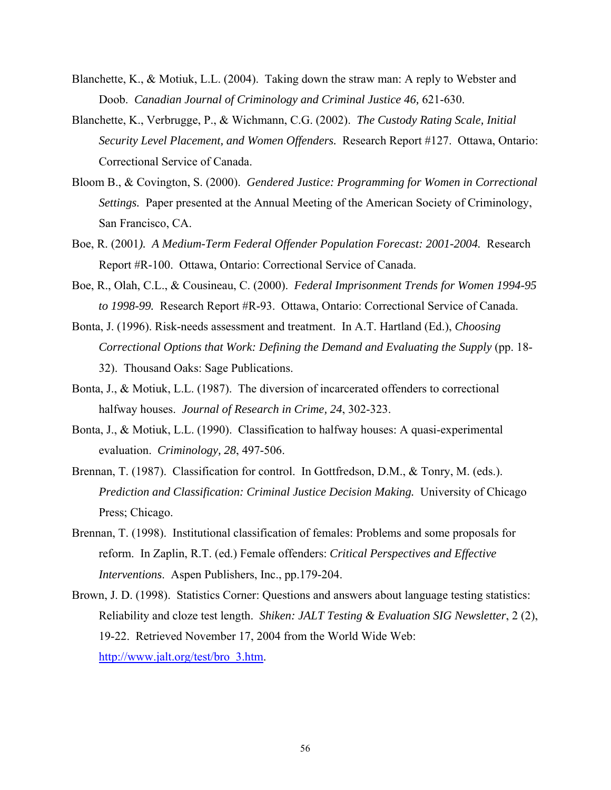- Blanchette, K., & Motiuk, L.L. (2004). Taking down the straw man: A reply to Webster and Doob. *Canadian Journal of Criminology and Criminal Justice 46, 621-630.*
- Blanchette, K., Verbrugge, P., & Wichmann, C.G. (2002). *The Custody Rating Scale, Initial Security Level Placement, and Women Offenders.* Research Report #127. Ottawa, Ontario: Correctional Service of Canada.
- Bloom B., & Covington, S. (2000). *Gendered Justice: Programming for Women in Correctional Settings.* Paper presented at the Annual Meeting of the American Society of Criminology, San Francisco, CA.
- Boe, R. (2001*). A Medium-Term Federal Offender Population Forecast: 2001-2004.* Research Report #R-100. Ottawa, Ontario: Correctional Service of Canada.
- Boe, R., Olah, C.L., & Cousineau, C. (2000). *Federal Imprisonment Trends for Women 1994-95 to 1998-99.* Research Report #R-93. Ottawa, Ontario: Correctional Service of Canada.
- Bonta, J. (1996). Risk-needs assessment and treatment. In A.T. Hartland (Ed.), *Choosing Correctional Options that Work: Defining the Demand and Evaluating the Supply* (pp. 18- 32). Thousand Oaks: Sage Publications.
- Bonta, J., & Motiuk, L.L. (1987). The diversion of incarcerated offenders to correctional halfway houses. *Journal of Research in Crime, 24*, 302-323.
- Bonta, J., & Motiuk, L.L. (1990). Classification to halfway houses: A quasi-experimental evaluation. *Criminology, 28*, 497-506.
- Brennan, T. (1987). Classification for control. In Gottfredson, D.M., & Tonry, M. (eds.). *Prediction and Classification: Criminal Justice Decision Making.* University of Chicago Press; Chicago.
- Brennan, T. (1998). Institutional classification of females: Problems and some proposals for reform. In Zaplin, R.T. (ed.) Female offenders: *Critical Perspectives and Effective Interventions*. Aspen Publishers, Inc., pp.179-204.
- Brown, J. D. (1998). Statistics Corner: Questions and answers about language testing statistics: Reliability and cloze test length. *Shiken: JALT Testing & Evaluation SIG Newsletter*, 2 (2), 19-22. Retrieved November 17, 2004 from the World Wide Web: [http://www.jalt.org/test/bro\\_3.htm.](http://www.jalt.org/test/bro_3.htm)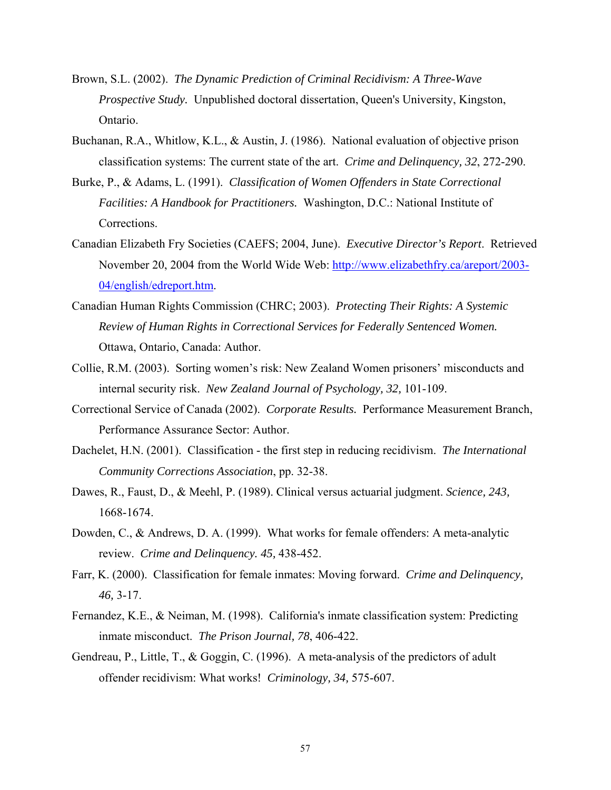- Brown, S.L. (2002). *The Dynamic Prediction of Criminal Recidivism: A Three-Wave Prospective Study.* Unpublished doctoral dissertation, Queen's University, Kingston, Ontario.
- Buchanan, R.A., Whitlow, K.L., & Austin, J. (1986). National evaluation of objective prison classification systems: The current state of the art. *Crime and Delinquency, 32*, 272-290.
- Burke, P., & Adams, L. (1991). *Classification of Women Offenders in State Correctional Facilities: A Handbook for Practitioners.* Washington, D.C.: National Institute of Corrections.
- Canadian Elizabeth Fry Societies (CAEFS; 2004, June). *Executive Director's Report*. Retrieved November 20, 2004 from the World Wide Web: [http://www.elizabethfry.ca/areport/2003-](http://www.elizabethfry.ca/areport/2003-04/english/edreport.htm) [04/english/edreport.htm.](http://www.elizabethfry.ca/areport/2003-04/english/edreport.htm)
- Canadian Human Rights Commission (CHRC; 2003). *Protecting Their Rights: A Systemic Review of Human Rights in Correctional Services for Federally Sentenced Women.* Ottawa, Ontario, Canada: Author.
- Collie, R.M. (2003). Sorting women's risk: New Zealand Women prisoners' misconducts and internal security risk. *New Zealand Journal of Psychology, 32,* 101-109.
- Correctional Service of Canada (2002). *Corporate Results.* Performance Measurement Branch, Performance Assurance Sector: Author.
- Dachelet, H.N. (2001). Classification the first step in reducing recidivism. *The International Community Corrections Association*, pp. 32-38.
- Dawes, R., Faust, D., & Meehl, P. (1989). Clinical versus actuarial judgment. *Science, 243,* 1668-1674.
- Dowden, C., & Andrews, D. A. (1999). What works for female offenders: A meta-analytic review. *Crime and Delinquency. 45,* 438-452.
- Farr, K. (2000). Classification for female inmates: Moving forward.*Crime and Delinquency, 46,* 3-17.
- Fernandez, K.E., & Neiman, M. (1998). California's inmate classification system: Predicting inmate misconduct. *The Prison Journal, 78*, 406-422.
- Gendreau, P., Little, T., & Goggin, C. (1996). A meta-analysis of the predictors of adult offender recidivism: What works! *Criminology, 34,* 575-607.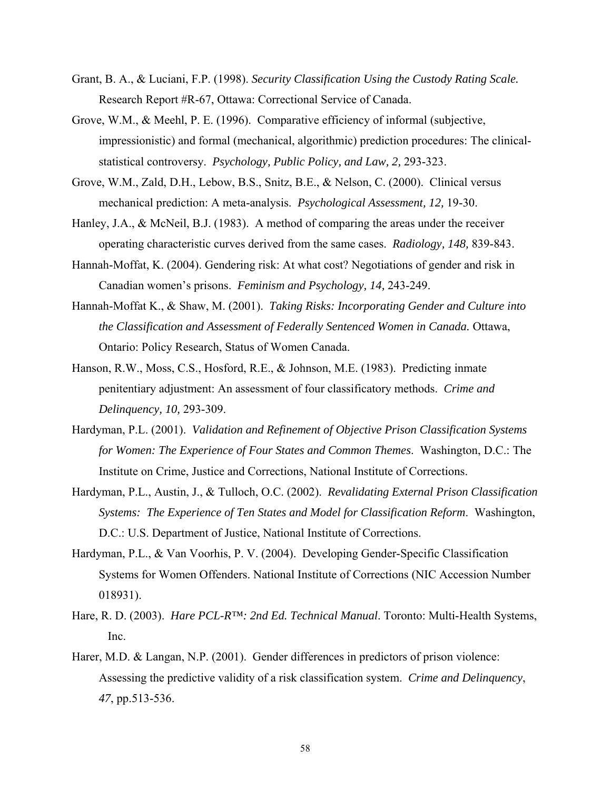- Grant, B. A., & Luciani, F.P. (1998). *Security Classification Using the Custody Rating Scale.*  Research Report #R-67, Ottawa: Correctional Service of Canada.
- Grove, W.M., & Meehl, P. E. (1996). Comparative efficiency of informal (subjective, impressionistic) and formal (mechanical, algorithmic) prediction procedures: The clinicalstatistical controversy. *Psychology, Public Policy, and Law, 2,* 293-323.
- Grove, W.M., Zald, D.H., Lebow, B.S., Snitz, B.E., & Nelson, C. (2000). Clinical versus mechanical prediction: A meta-analysis. *Psychological Assessment, 12,* 19-30.
- Hanley, J.A., & McNeil, B.J. (1983). A method of comparing the areas under the receiver operating characteristic curves derived from the same cases. *Radiology, 148,* 839-843.
- Hannah-Moffat, K. (2004). Gendering risk: At what cost? Negotiations of gender and risk in Canadian women's prisons. *Feminism and Psychology, 14,* 243-249.
- Hannah-Moffat K., & Shaw, M. (2001). *Taking Risks: Incorporating Gender and Culture into the Classification and Assessment of Federally Sentenced Women in Canada.* Ottawa, Ontario: Policy Research, Status of Women Canada.
- Hanson, R.W., Moss, C.S., Hosford, R.E., & Johnson, M.E. (1983). Predicting inmate penitentiary adjustment: An assessment of four classificatory methods. *Crime and Delinquency, 10,* 293-309.
- Hardyman, P.L. (2001). *Validation and Refinement of Objective Prison Classification Systems for Women: The Experience of Four States and Common Themes*. Washington, D.C.: The Institute on Crime, Justice and Corrections, National Institute of Corrections.
- Hardyman, P.L., Austin, J., & Tulloch, O.C. (2002). *Revalidating External Prison Classification Systems: The Experience of Ten States and Model for Classification Reform*. Washington, D.C.: U.S. Department of Justice, National Institute of Corrections.
- Hardyman, P.L., & Van Voorhis, P. V. (2004). Developing Gender-Specific Classification Systems for Women Offenders. National Institute of Corrections (NIC Accession Number 018931).
- Hare, R. D. (2003). *Hare PCL-R™: 2nd Ed. Technical Manual*. Toronto: Multi-Health Systems, Inc.
- Harer, M.D. & Langan, N.P. (2001). Gender differences in predictors of prison violence: Assessing the predictive validity of a risk classification system. *Crime and Delinquency*, *47*, pp.513-536.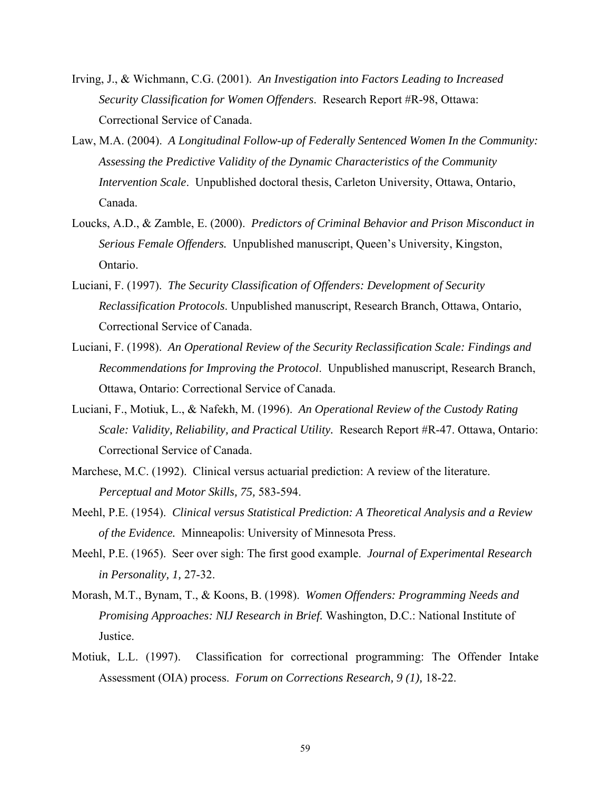- Irving, J., & Wichmann, C.G. (2001). *An Investigation into Factors Leading to Increased Security Classification for Women Offenders*. Research Report #R-98, Ottawa: Correctional Service of Canada.
- Law, M.A. (2004). *A Longitudinal Follow-up of Federally Sentenced Women In the Community: Assessing the Predictive Validity of the Dynamic Characteristics of the Community Intervention Scale*. Unpublished doctoral thesis, Carleton University, Ottawa, Ontario, Canada.
- Loucks, A.D., & Zamble, E. (2000). *Predictors of Criminal Behavior and Prison Misconduct in Serious Female Offenders.* Unpublished manuscript, Queen's University, Kingston, Ontario.
- Luciani, F. (1997). *The Security Classification of Offenders: Development of Security Reclassification Protocols*. Unpublished manuscript, Research Branch, Ottawa, Ontario, Correctional Service of Canada.
- Luciani, F. (1998). *An Operational Review of the Security Reclassification Scale: Findings and Recommendations for Improving the Protocol*. Unpublished manuscript, Research Branch, Ottawa, Ontario: Correctional Service of Canada.
- Luciani, F., Motiuk, L., & Nafekh, M. (1996). *An Operational Review of the Custody Rating Scale: Validity, Reliability, and Practical Utility.* Research Report #R-47. Ottawa, Ontario: Correctional Service of Canada.
- Marchese, M.C. (1992). Clinical versus actuarial prediction: A review of the literature. *Perceptual and Motor Skills, 75,* 583-594.
- Meehl, P.E. (1954). *Clinical versus Statistical Prediction: A Theoretical Analysis and a Review of the Evidence.* Minneapolis: University of Minnesota Press.
- Meehl, P.E. (1965). Seer over sigh: The first good example. *Journal of Experimental Research in Personality, 1,* 27-32.
- Morash, M.T., Bynam, T., & Koons, B. (1998). *Women Offenders: Programming Needs and Promising Approaches: NIJ Research in Brief.* Washington, D.C.: National Institute of Justice.
- Motiuk, L.L. (1997). Classification for correctional programming: The Offender Intake Assessment (OIA) process. *Forum on Corrections Research, 9 (1),* 18-22.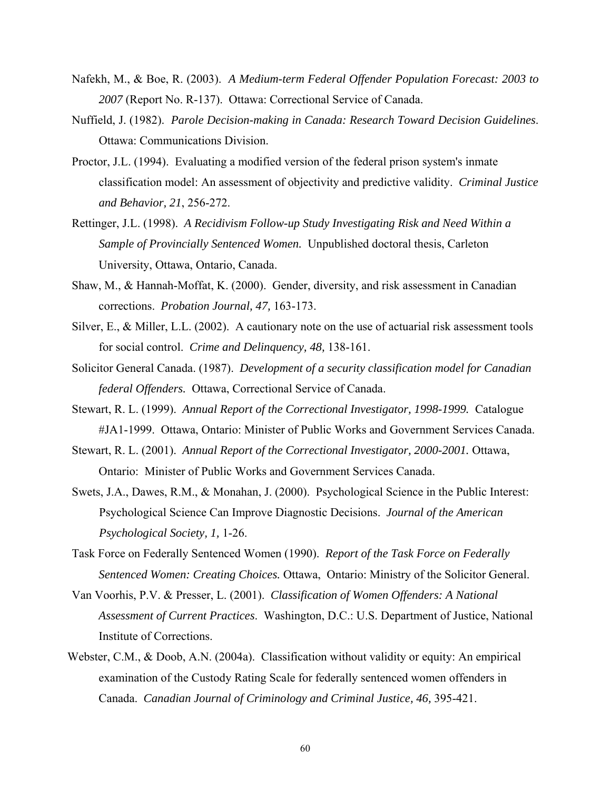- Nafekh, M., & Boe, R. (2003). *A Medium-term Federal Offender Population Forecast: 2003 to 2007* (Report No. R-137). Ottawa: Correctional Service of Canada.
- Nuffield, J. (1982). *Parole Decision-making in Canada: Research Toward Decision Guidelines*. Ottawa: Communications Division.
- Proctor, J.L. (1994). Evaluating a modified version of the federal prison system's inmate classification model: An assessment of objectivity and predictive validity. *Criminal Justice and Behavior, 21*, 256-272.
- Rettinger, J.L. (1998). *A Recidivism Follow-up Study Investigating Risk and Need Within a Sample of Provincially Sentenced Women.* Unpublished doctoral thesis, Carleton University, Ottawa, Ontario, Canada.
- Shaw, M., & Hannah-Moffat, K. (2000). Gender, diversity, and risk assessment in Canadian corrections. *Probation Journal, 47,* 163-173.
- Silver, E., & Miller, L.L. (2002). A cautionary note on the use of actuarial risk assessment tools for social control. *Crime and Delinquency, 48,* 138-161.
- Solicitor General Canada. (1987). *Development of a security classification model for Canadian federal Offenders.* Ottawa, Correctional Service of Canada.
- Stewart, R. L. (1999). *Annual Report of the Correctional Investigator, 1998-1999.* Catalogue #JA1-1999. Ottawa, Ontario: Minister of Public Works and Government Services Canada.
- Stewart, R. L. (2001). *Annual Report of the Correctional Investigator, 2000-2001.* Ottawa, Ontario: Minister of Public Works and Government Services Canada.
- Swets, J.A., Dawes, R.M., & Monahan, J. (2000). Psychological Science in the Public Interest: Psychological Science Can Improve Diagnostic Decisions. *Journal of the American Psychological Society, 1,* 1-26.
- Task Force on Federally Sentenced Women (1990). *Report of the Task Force on Federally Sentenced Women: Creating Choices.* Ottawa, Ontario: Ministry of the Solicitor General.
- Van Voorhis, P.V. & Presser, L. (2001). *Classification of Women Offenders: A National Assessment of Current Practices*. Washington, D.C.: U.S. Department of Justice, National Institute of Corrections.
- Webster, C.M., & Doob, A.N. (2004a). Classification without validity or equity: An empirical examination of the Custody Rating Scale for federally sentenced women offenders in Canada. *Canadian Journal of Criminology and Criminal Justice, 46,* 395-421.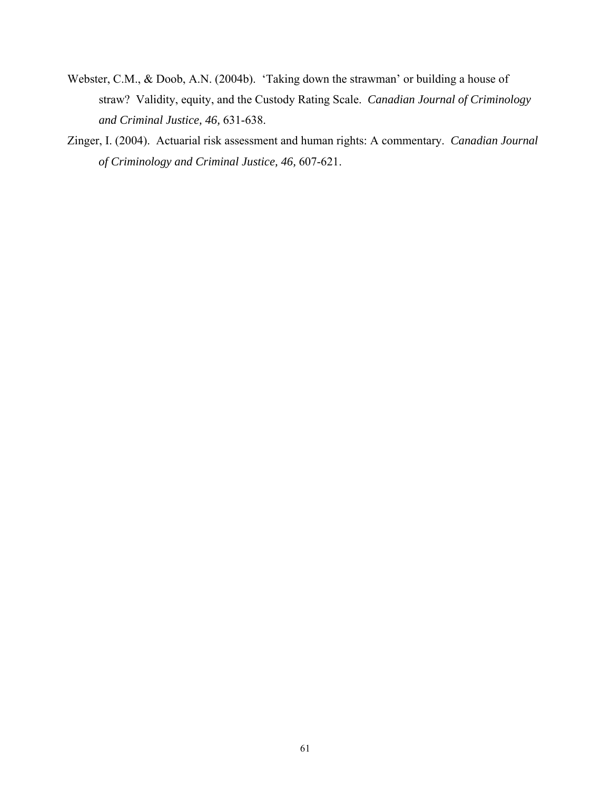- Webster, C.M., & Doob, A.N. (2004b). 'Taking down the strawman' or building a house of straw? Validity, equity, and the Custody Rating Scale. *Canadian Journal of Criminology and Criminal Justice, 46,* 631-638.
- Zinger, I. (2004). Actuarial risk assessment and human rights: A commentary. *Canadian Journal of Criminology and Criminal Justice, 46,* 607-621.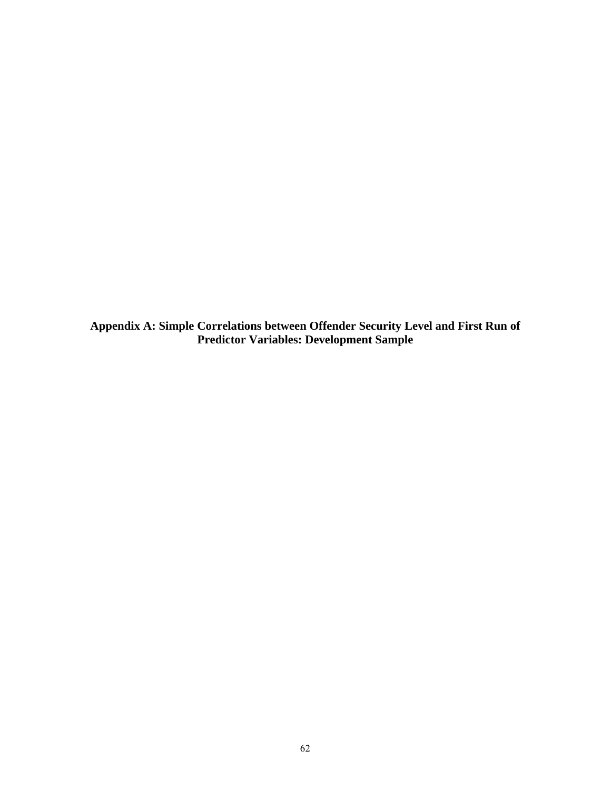**Appendix A: Simple Correlations between Offender Security Level and First Run of Predictor Variables: Development Sample**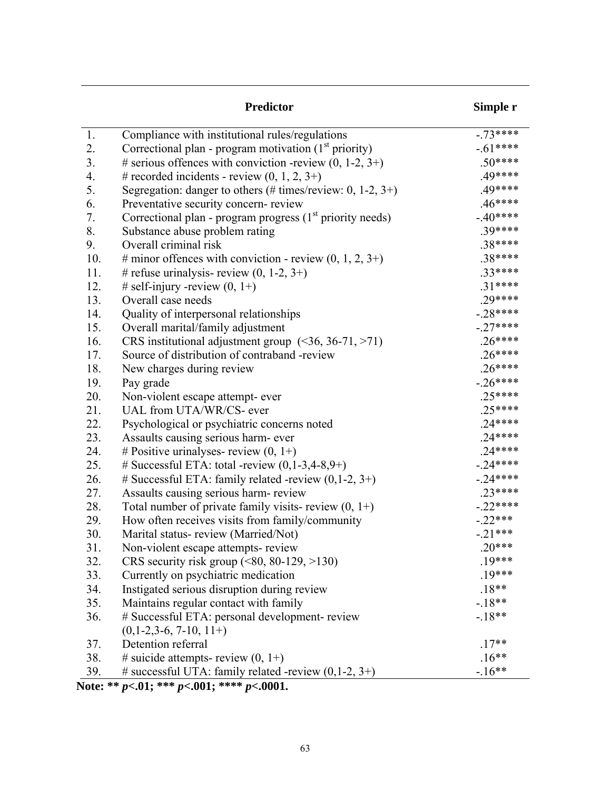|     | <b>Predictor</b>                                                             | Simple r   |
|-----|------------------------------------------------------------------------------|------------|
| 1.  | Compliance with institutional rules/regulations                              | $-73***$   |
| 2.  | Correctional plan - program motivation $(1st$ priority)                      | $-.61***$  |
| 3.  | # serious offences with conviction -review $(0, 1-2, 3+)$                    | $.50***$   |
| 4.  | # recorded incidents - review $(0, 1, 2, 3+)$                                | .49****    |
| 5.  | Segregation: danger to others (# times/review: $0, 1-2, 3+$ )                | .49****    |
| 6.  | Preventative security concern-review                                         | $.46***$   |
| 7.  | Correctional plan - program progress (1 <sup>st</sup> priority needs)        | $-.40***$  |
| 8.  | Substance abuse problem rating                                               | .39****    |
| 9.  | Overall criminal risk                                                        | .38****    |
| 10. | # minor offences with conviction - review $(0, 1, 2, 3+)$                    | .38****    |
| 11. | # refuse urinalysis- review $(0, 1-2, 3+)$                                   | $.33****$  |
| 12. | # self-injury -review $(0, 1+)$                                              | $.31***$   |
| 13. | Overall case needs                                                           | .29****    |
| 14. | Quality of interpersonal relationships                                       | $-28***$   |
| 15. | Overall marital/family adjustment                                            | $-.27***$  |
| 16. | CRS institutional adjustment group $($ <36, 36-71, >71)                      | $.26***$   |
| 17. | Source of distribution of contraband -review                                 | $.26***$   |
| 18. | New charges during review                                                    | $.26***$   |
| 19. | Pay grade                                                                    | $-26***$   |
| 20. | Non-violent escape attempt- ever                                             | $.25***$   |
| 21. | UAL from UTA/WR/CS- ever                                                     | $.25***$   |
| 22. | Psychological or psychiatric concerns noted                                  | $.24***$   |
| 23. | Assaults causing serious harm- ever                                          | $.24***$   |
| 24. | # Positive urinalyses- review $(0, 1+)$                                      | $.24***$   |
| 25. | # Successful ETA: total -review $(0,1-3,4-8,9+)$                             | $-24***$   |
| 26. | # Successful ETA: family related -review $(0,1-2, 3+)$                       | $-24***$   |
| 27. | Assaults causing serious harm-review                                         | $.23****$  |
| 28. | Total number of private family visits-review $(0, 1+)$                       | $-.22****$ |
| 29. | How often receives visits from family/community                              | $-.22***$  |
| 30. | Marital status-review (Married/Not)                                          | $-.21***$  |
| 31. | Non-violent escape attempts-review                                           | $.20***$   |
| 32. | CRS security risk group $(\leq 80, 80 - 129, > 130)$                         | $.19***$   |
| 33. | Currently on psychiatric medication                                          | $.19***$   |
| 34. | Instigated serious disruption during review                                  | $.18**$    |
| 35. | Maintains regular contact with family                                        | $-18**$    |
| 36. | # Successful ETA: personal development- review<br>$(0, 1-2, 3-6, 7-10, 11+)$ | $-18**$    |
| 37. | Detention referral                                                           | $.17**$    |
| 38. | # suicide attempts- review $(0, 1+)$                                         | $.16**$    |
| 39. | # successful UTA: family related -review (0,1-2, 3+)<br>1.333.001.3333.0001  | $-16**$    |

**Note: \*\*** *p<***.01; \*\*\*** *p<***.001; \*\*\*\*** *p<***.0001.**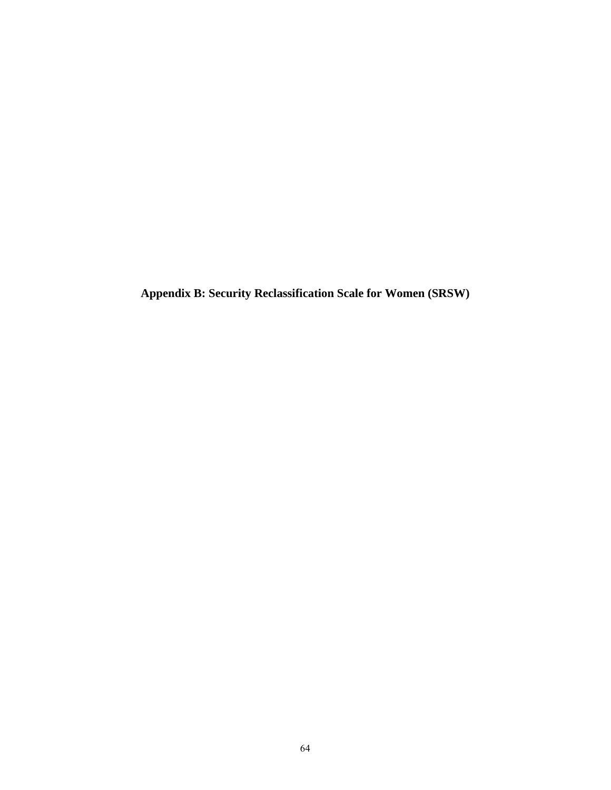**Appendix B: Security Reclassification Scale for Women (SRSW)**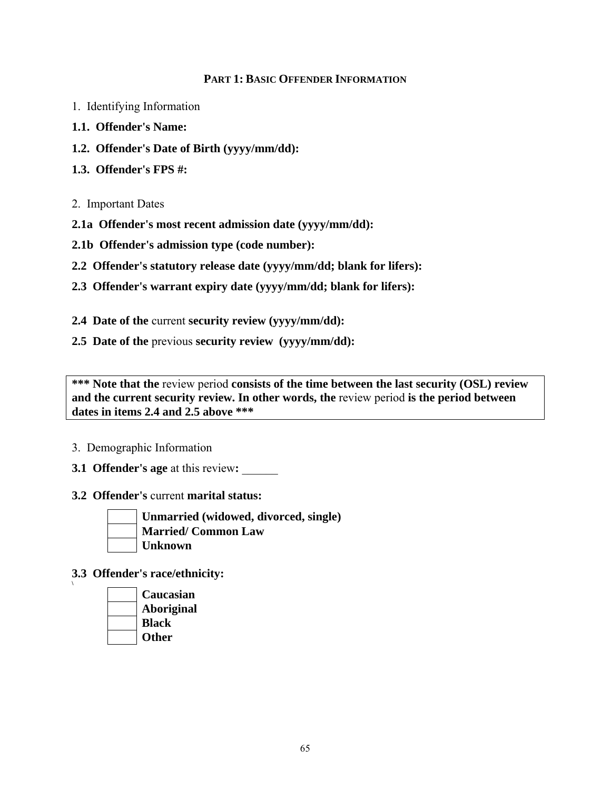### **PART 1: BASIC OFFENDER INFORMATION**

- 1. Identifying Information
- **1.1. Offender's Name:**
- **1.2. Offender's Date of Birth (yyyy/mm/dd):**
- **1.3. Offender's FPS #:**
- 2. Important Dates
- **2.1a Offender's most recent admission date (yyyy/mm/dd):**
- **2.1b Offender's admission type (code number):**
- **2.2 Offender's statutory release date (yyyy/mm/dd; blank for lifers):**
- **2.3 Offender's warrant expiry date (yyyy/mm/dd; blank for lifers):**
- **2.4 Date of the** current **security review (yyyy/mm/dd):**
- **2.5 Date of the** previous **security review (yyyy/mm/dd):**

**\*\*\* Note that the** review period **consists of the time between the last security (OSL) review**  and the current security review. In other words, the review period is the period between **dates in items 2.4 and 2.5 above \*\*\*** 

#### 3. Demographic Information

- **3.1 Offender's age** at this review**:** \_\_\_\_\_\_
- **3.2 Offender's** current **marital status:**



**\** 

**Unmarried (widowed, divorced, single) Married/ Common Law Unknown** 

**3.3 Offender's race/ethnicity:** 

**Caucasian Aboriginal Black Other**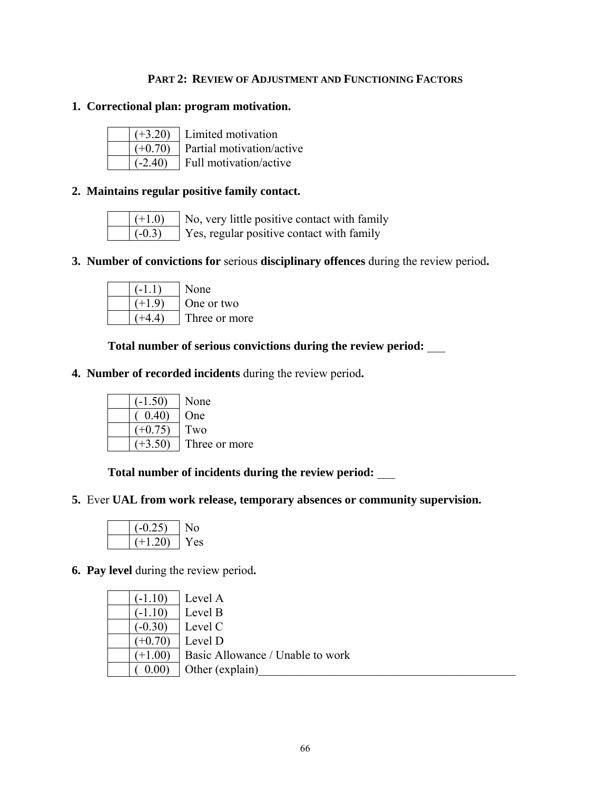## **PART 2: REVIEW OF ADJUSTMENT AND FUNCTIONING FACTORS**

### **1. Correctional plan: program motivation.**

| 3.20      |  |
|-----------|--|
| $(+0.70)$ |  |
| $(-2.40)$ |  |

Limited motivation Partial motivation/active Full motivation/active

### **2. Maintains regular positive family contact.**

| . |
|---|
|   |

 $|(+1.0)$  No, very little positive contact with family  $\vert$  (-0.3) Yes, regular positive contact with family

# **3. Number of convictions for** serious **disciplinary offences** during the review period**.**

| -11)           | None          |
|----------------|---------------|
| $(+19)$        | One or two    |
| $+4$ $\Lambda$ | Three or more |

 **Total number of serious convictions during the review period:** \_\_\_

**4. Number of recorded incidents** during the review period**.**

|                | None          |
|----------------|---------------|
| $0.40^{\circ}$ | <b>One</b>    |
| $(+0.75)$      | Two           |
|                | Three or more |

 **Total number of incidents during the review period:** \_\_\_

**5.** Ever **UAL from work release, temporary absences or community supervision.** 

| じりへき  | O    |
|-------|------|
| l 20) | r es |

**6. Pay level** during the review period**.** 

| $(-1.10)$ | Level A                          |
|-----------|----------------------------------|
| $(-1.10)$ | Level B                          |
| $(-0.30)$ | Level C                          |
| $(+0.70)$ | Level D                          |
| $(+1.00)$ | Basic Allowance / Unable to work |
| 0.00      | Other (explain)                  |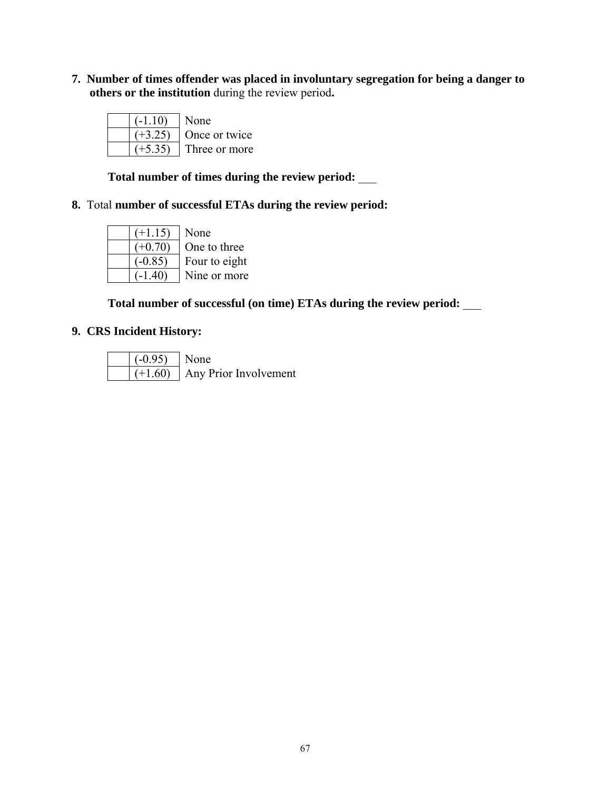**7. Number of times offender was placed in involuntary segregation for being a danger to others or the institution** during the review period**.** 

| $(-1.10)$ | <b>None</b>   |
|-----------|---------------|
|           | Once or twice |
|           | Three or more |

 **Total number of times during the review period:** \_\_\_

# **8.** Total **number of successful ETAs during the review period:**

| $(+1.15)$ | None          |
|-----------|---------------|
| $(+0.70)$ | One to three  |
| $(-0.85)$ | Four to eight |
|           | Nine or more  |

 **Total number of successful (on time) ETAs during the review period:** \_\_\_

# **9. CRS Incident History:**

| $( -0.95)$ None |                                   |
|-----------------|-----------------------------------|
|                 | $(+1.60)$   Any Prior Involvement |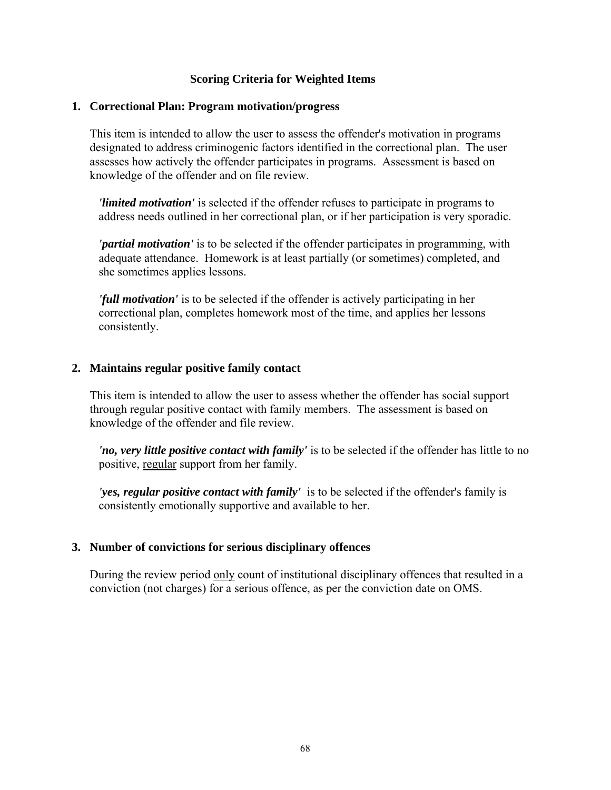### **Scoring Criteria for Weighted Items**

#### **1. Correctional Plan: Program motivation/progress**

This item is intended to allow the user to assess the offender's motivation in programs designated to address criminogenic factors identified in the correctional plan. The user assesses how actively the offender participates in programs. Assessment is based on knowledge of the offender and on file review.

*'limited motivation'* is selected if the offender refuses to participate in programs to address needs outlined in her correctional plan, or if her participation is very sporadic.

*'partial motivation'* is to be selected if the offender participates in programming, with adequate attendance. Homework is at least partially (or sometimes) completed, and she sometimes applies lessons.

*'full motivation'* is to be selected if the offender is actively participating in her correctional plan, completes homework most of the time, and applies her lessons consistently.

#### **2. Maintains regular positive family contact**

This item is intended to allow the user to assess whether the offender has social support through regular positive contact with family members. The assessment is based on knowledge of the offender and file review.

*'no, very little positive contact with family'* is to be selected if the offender has little to no positive, regular support from her family.

*'yes, regular positive contact with family'* is to be selected if the offender's family is consistently emotionally supportive and available to her.

#### **3. Number of convictions for serious disciplinary offences**

During the review period only count of institutional disciplinary offences that resulted in a conviction (not charges) for a serious offence, as per the conviction date on OMS.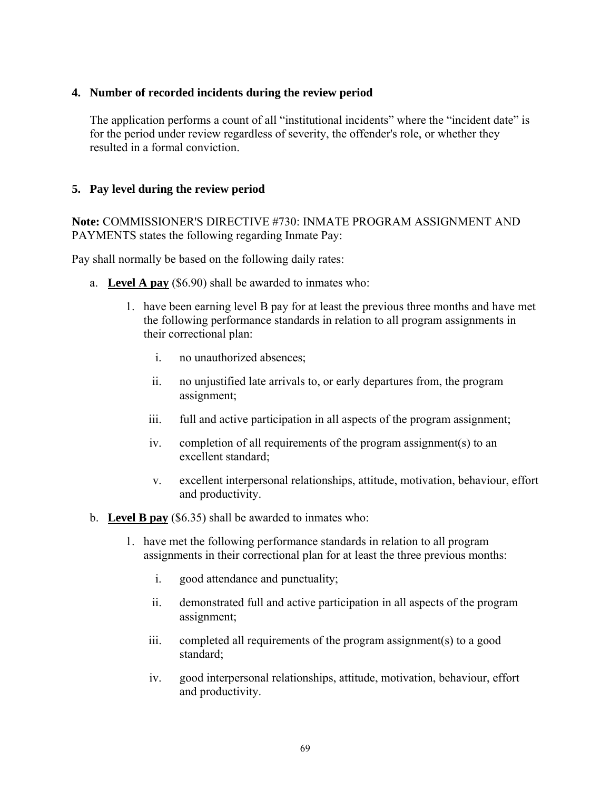## **4. Number of recorded incidents during the review period**

The application performs a count of all "institutional incidents" where the "incident date" is for the period under review regardless of severity, the offender's role, or whether they resulted in a formal conviction.

# **5. Pay level during the review period**

**Note:** COMMISSIONER'S DIRECTIVE #730: INMATE PROGRAM ASSIGNMENT AND PAYMENTS states the following regarding Inmate Pay:

Pay shall normally be based on the following daily rates:

- a. **Level A pay** (\$6.90) shall be awarded to inmates who:
	- 1. have been earning level B pay for at least the previous three months and have met the following performance standards in relation to all program assignments in their correctional plan:
		- i. no unauthorized absences;
		- ii. no unjustified late arrivals to, or early departures from, the program assignment;
		- iii. full and active participation in all aspects of the program assignment;
		- iv. completion of all requirements of the program assignment(s) to an excellent standard;
		- v. excellent interpersonal relationships, attitude, motivation, behaviour, effort and productivity.
- b. **Level B pay** (\$6.35) shall be awarded to inmates who:
	- 1. have met the following performance standards in relation to all program assignments in their correctional plan for at least the three previous months:
		- i. good attendance and punctuality;
		- ii. demonstrated full and active participation in all aspects of the program assignment;
		- iii. completed all requirements of the program assignment(s) to a good standard;
		- iv. good interpersonal relationships, attitude, motivation, behaviour, effort and productivity.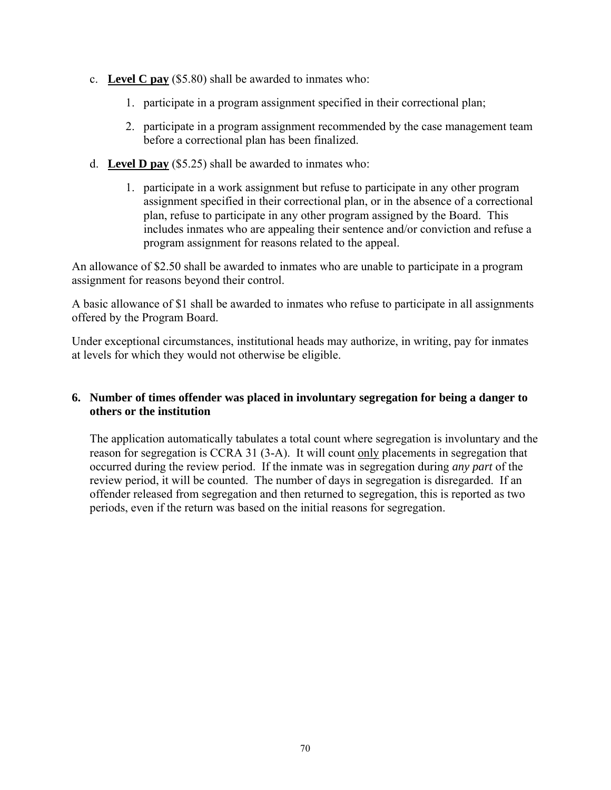- c. **Level C pay** (\$5.80) shall be awarded to inmates who:
	- 1. participate in a program assignment specified in their correctional plan;
	- 2. participate in a program assignment recommended by the case management team before a correctional plan has been finalized.
- d. **Level D pay** (\$5.25) shall be awarded to inmates who:
	- 1. participate in a work assignment but refuse to participate in any other program assignment specified in their correctional plan, or in the absence of a correctional plan, refuse to participate in any other program assigned by the Board. This includes inmates who are appealing their sentence and/or conviction and refuse a program assignment for reasons related to the appeal.

An allowance of \$2.50 shall be awarded to inmates who are unable to participate in a program assignment for reasons beyond their control.

A basic allowance of \$1 shall be awarded to inmates who refuse to participate in all assignments offered by the Program Board.

Under exceptional circumstances, institutional heads may authorize, in writing, pay for inmates at levels for which they would not otherwise be eligible.

### **6. Number of times offender was placed in involuntary segregation for being a danger to others or the institution**

The application automatically tabulates a total count where segregation is involuntary and the reason for segregation is CCRA 31 (3-A). It will count only placements in segregation that occurred during the review period. If the inmate was in segregation during *any part* of the review period, it will be counted. The number of days in segregation is disregarded. If an offender released from segregation and then returned to segregation, this is reported as two periods, even if the return was based on the initial reasons for segregation.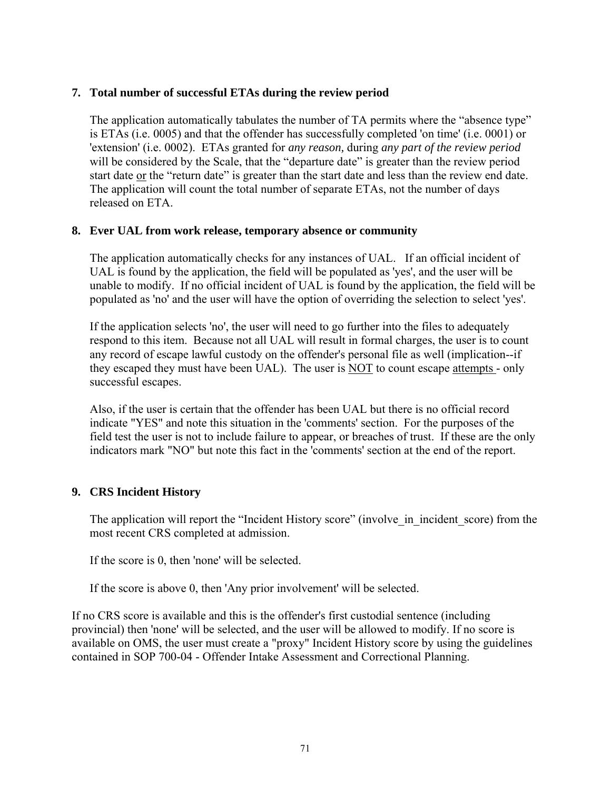## **7. Total number of successful ETAs during the review period**

The application automatically tabulates the number of TA permits where the "absence type" is ETAs (i.e. 0005) and that the offender has successfully completed 'on time' (i.e. 0001) or 'extension' (i.e. 0002). ETAs granted for *any reason,* during *any part of the review period*  will be considered by the Scale, that the "departure date" is greater than the review period start date or the "return date" is greater than the start date and less than the review end date. The application will count the total number of separate ETAs, not the number of days released on ETA.

#### **8. Ever UAL from work release, temporary absence or community**

The application automatically checks for any instances of UAL. If an official incident of UAL is found by the application, the field will be populated as 'yes', and the user will be unable to modify. If no official incident of UAL is found by the application, the field will be populated as 'no' and the user will have the option of overriding the selection to select 'yes'.

If the application selects 'no', the user will need to go further into the files to adequately respond to this item. Because not all UAL will result in formal charges, the user is to count any record of escape lawful custody on the offender's personal file as well (implication--if they escaped they must have been UAL). The user is NOT to count escape attempts - only successful escapes.

Also, if the user is certain that the offender has been UAL but there is no official record indicate "YES" and note this situation in the 'comments' section. For the purposes of the field test the user is not to include failure to appear, or breaches of trust. If these are the only indicators mark "NO" but note this fact in the 'comments' section at the end of the report.

## **9. CRS Incident History**

The application will report the "Incident History score" (involve in incident score) from the most recent CRS completed at admission.

If the score is 0, then 'none' will be selected.

If the score is above 0, then 'Any prior involvement' will be selected.

If no CRS score is available and this is the offender's first custodial sentence (including provincial) then 'none' will be selected, and the user will be allowed to modify. If no score is available on OMS, the user must create a "proxy" Incident History score by using the guidelines contained in SOP 700-04 - Offender Intake Assessment and Correctional Planning.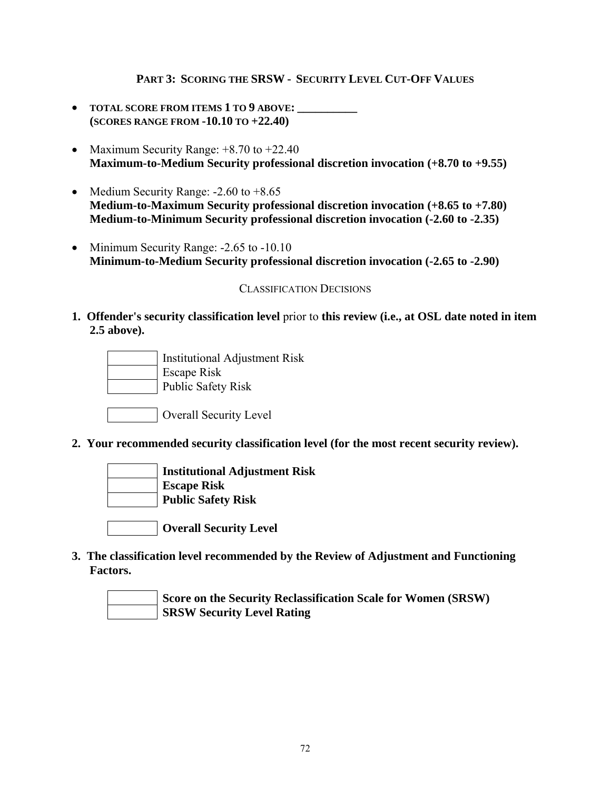### **PART 3: SCORING THE SRSW - SECURITY LEVEL CUT-OFF VALUES**

- **TOTAL SCORE FROM ITEMS 1 TO 9 ABOVE: \_\_\_\_\_\_\_\_\_\_ (SCORES RANGE FROM -10.10 TO +22.40)**
- Maximum Security Range:  $+8.70$  to  $+22.40$ **Maximum-to-Medium Security professional discretion invocation (+8.70 to +9.55)**
- Medium Security Range: -2.60 to +8.65 **Medium-to-Maximum Security professional discretion invocation (+8.65 to +7.80) Medium-to-Minimum Security professional discretion invocation (-2.60 to -2.35)**
- Minimum Security Range: -2.65 to -10.10 **Minimum-to-Medium Security professional discretion invocation (-2.65 to -2.90)**

#### CLASSIFICATION DECISIONS

**1. Offender's security classification level** prior to **this review (i.e., at OSL date noted in item 2.5 above).** 



Overall Security Level

**2. Your recommended security classification level (for the most recent security review).** 



 **Institutional Adjustment Risk Escape Risk** 

 **Public Safety Risk** 

 **Overall Security Level** 

**3. The classification level recommended by the Review of Adjustment and Functioning Factors.** 

**Score on the Security Reclassification Scale for Women (SRSW) SRSW Security Level Rating**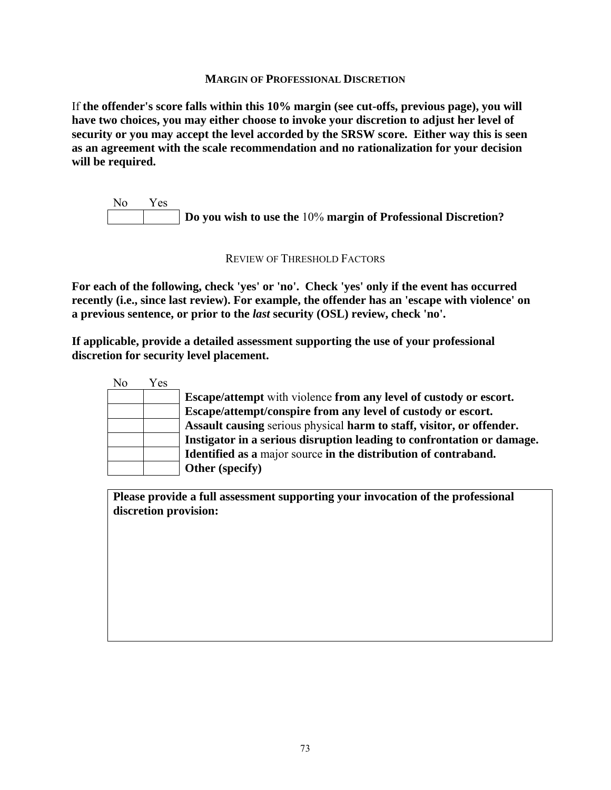#### **MARGIN OF PROFESSIONAL DISCRETION**

If **the offender's score falls within this 10% margin (see cut-offs, previous page), you will have two choices, you may either choose to invoke your discretion to adjust her level of security or you may accept the level accorded by the SRSW score. Either way this is seen as an agreement with the scale recommendation and no rationalization for your decision will be required.** 

No Yes **Do you wish to use the** 10% **margin of Professional Discretion?** 

#### REVIEW OF THRESHOLD FACTORS

**For each of the following, check 'yes' or 'no'. Check 'yes' only if the event has occurred recently (i.e., since last review). For example, the offender has an 'escape with violence' on a previous sentence, or prior to the** *last* **security (OSL) review, check 'no'.** 

**If applicable, provide a detailed assessment supporting the use of your professional discretion for security level placement.** 

|    | Yes | No |
|----|-----|----|
| E  |     |    |
| E  |     |    |
| A  |     |    |
| Iı |     |    |
| I  |     |    |
|    |     |    |

 **Escape/attempt** with violence **from any level of custody or escort. Escape/attempt/conspire from any level of custody or escort. Assault causing** serious physical **harm to staff, visitor, or offender. Instigator in a serious disruption leading to confrontation or damage. Identified as a** major source **in the distribution of contraband. Other (specify)** 

**Please provide a full assessment supporting your invocation of the professional discretion provision:**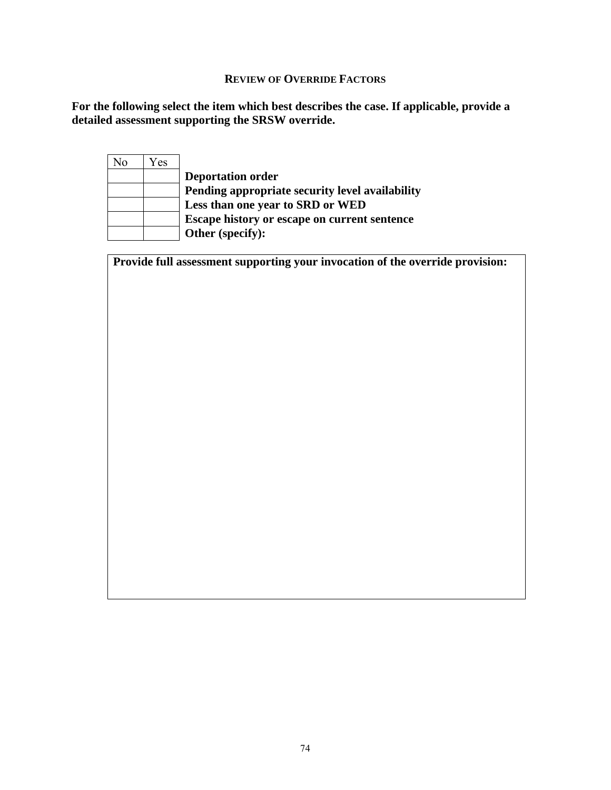#### **REVIEW OF OVERRIDE FACTORS**

**For the following select the item which best describes the case. If applicable, provide a detailed assessment supporting the SRSW override.** 

|     | Yes | No |
|-----|-----|----|
| De  |     |    |
| Per |     |    |
| Les |     |    |
| Esc |     |    |
| Otl |     |    |

 **Deportation order Pending appropriate security level availability Less than one year to SRD or WED Escape history or escape on current sentence**  her (specify):

**Provide full assessment supporting your invocation of the override provision:**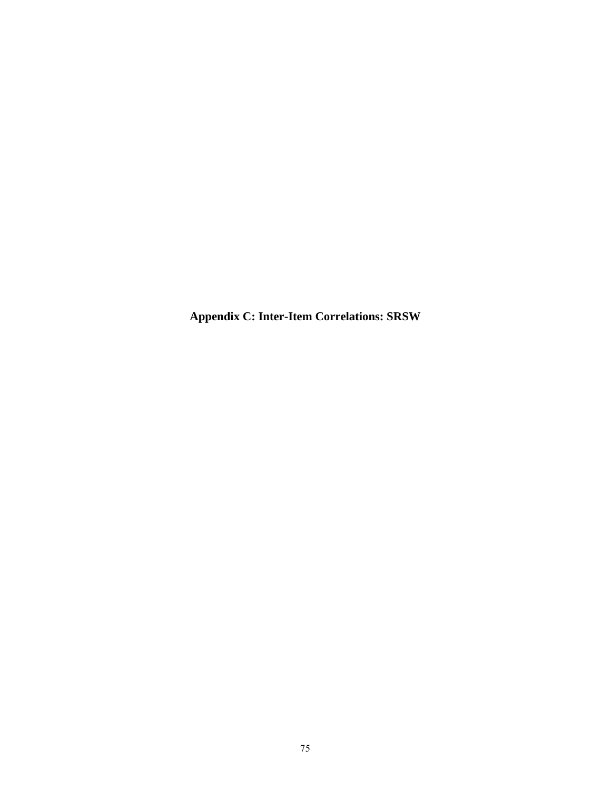**Appendix C: Inter-Item Correlations: SRSW**